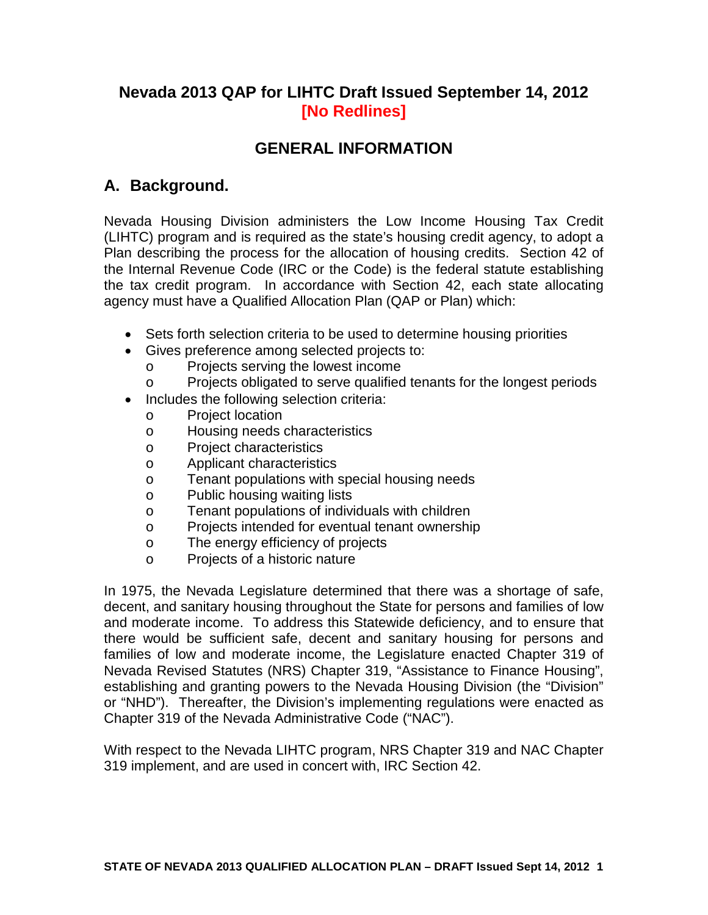# **Nevada 2013 QAP for LIHTC Draft Issued September 14, 2012 [No Redlines]**

# **GENERAL INFORMATION**

# **A. Background.**

Nevada Housing Division administers the Low Income Housing Tax Credit (LIHTC) program and is required as the state's housing credit agency, to adopt a Plan describing the process for the allocation of housing credits. Section 42 of the Internal Revenue Code (IRC or the Code) is the federal statute establishing the tax credit program. In accordance with Section 42, each state allocating agency must have a Qualified Allocation Plan (QAP or Plan) which:

- Sets forth selection criteria to be used to determine housing priorities
- Gives preference among selected projects to:
	- o Projects serving the lowest income<br>
	Projects obligated to serve qualified
		- Projects obligated to serve qualified tenants for the longest periods
- Includes the following selection criteria:
	- o Project location<br>o Housing needs
	- Housing needs characteristics
	- o Project characteristics
	- o Applicant characteristics
	- o Tenant populations with special housing needs
	- o Public housing waiting lists<br>
	o Tenant populations of indivi
	- Tenant populations of individuals with children
	- o Projects intended for eventual tenant ownership
	- o The energy efficiency of projects
	- o Projects of a historic nature

In 1975, the Nevada Legislature determined that there was a shortage of safe, decent, and sanitary housing throughout the State for persons and families of low and moderate income. To address this Statewide deficiency, and to ensure that there would be sufficient safe, decent and sanitary housing for persons and families of low and moderate income, the Legislature enacted Chapter 319 of Nevada Revised Statutes (NRS) Chapter 319, "Assistance to Finance Housing", establishing and granting powers to the Nevada Housing Division (the "Division" or "NHD"). Thereafter, the Division's implementing regulations were enacted as Chapter 319 of the Nevada Administrative Code ("NAC").

<span id="page-0-0"></span>With respect to the Nevada LIHTC program, NRS Chapter 319 and NAC Chapter 319 implement, and are used in concert with, IRC Section 42.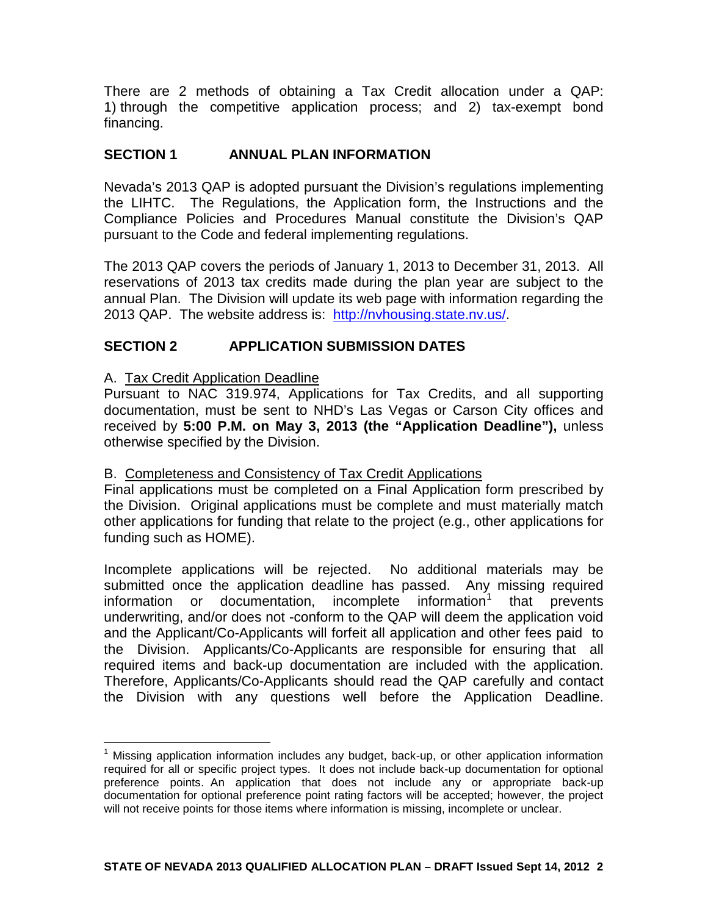There are 2 methods of obtaining a Tax Credit allocation under a QAP: 1) through the competitive application process; and 2) tax-exempt bond financing.

# **SECTION 1 ANNUAL PLAN INFORMATION**

Nevada's 2013 QAP is adopted pursuant the Division's regulations implementing the LIHTC. The Regulations, the Application form, the Instructions and the Compliance Policies and Procedures Manual constitute the Division's QAP pursuant to the Code and federal implementing regulations.

The 2013 QAP covers the periods of January 1, 2013 to December 31, 2013. All reservations of 2013 tax credits made during the plan year are subject to the annual Plan. The Division will update its web page with information regarding the 2013 QAP. The website address is: [http://nvhousing.state.nv.us/.](http://nvhousing.state.nv.us/)

# **SECTION 2 APPLICATION SUBMISSION DATES**

#### A. Tax Credit Application Deadline

Pursuant to NAC 319.974, Applications for Tax Credits, and all supporting documentation, must be sent to NHD's Las Vegas or Carson City offices and received by **5:00 P.M. on May 3, 2013 (the "Application Deadline"),** unless otherwise specified by the Division.

# B. Completeness and Consistency of Tax Credit Applications

Final applications must be completed on a Final Application form prescribed by the Division. Original applications must be complete and must materially match other applications for funding that relate to the project (e.g., other applications for funding such as HOME).

Incomplete applications will be rejected. No additional materials may be submitted once the application deadline has passed. Any missing required information or documentation, incomplete information<sup>[1](#page-0-0)</sup> that prevents underwriting, and/or does not -conform to the QAP will deem the application void and the Applicant/Co-Applicants will forfeit all application and other fees paid to the Division. Applicants/Co-Applicants are responsible for ensuring that all required items and back-up documentation are included with the application. Therefore, Applicants/Co-Applicants should read the QAP carefully and contact the Division with any questions well before the Application Deadline.

<span id="page-1-0"></span> $<sup>1</sup>$  Missing application information includes any budget, back-up, or other application information</sup> required for all or specific project types. It does not include back-up documentation for optional preference points. An application that does not include any or appropriate back-up documentation for optional preference point rating factors will be accepted; however, the project will not receive points for those items where information is missing, incomplete or unclear.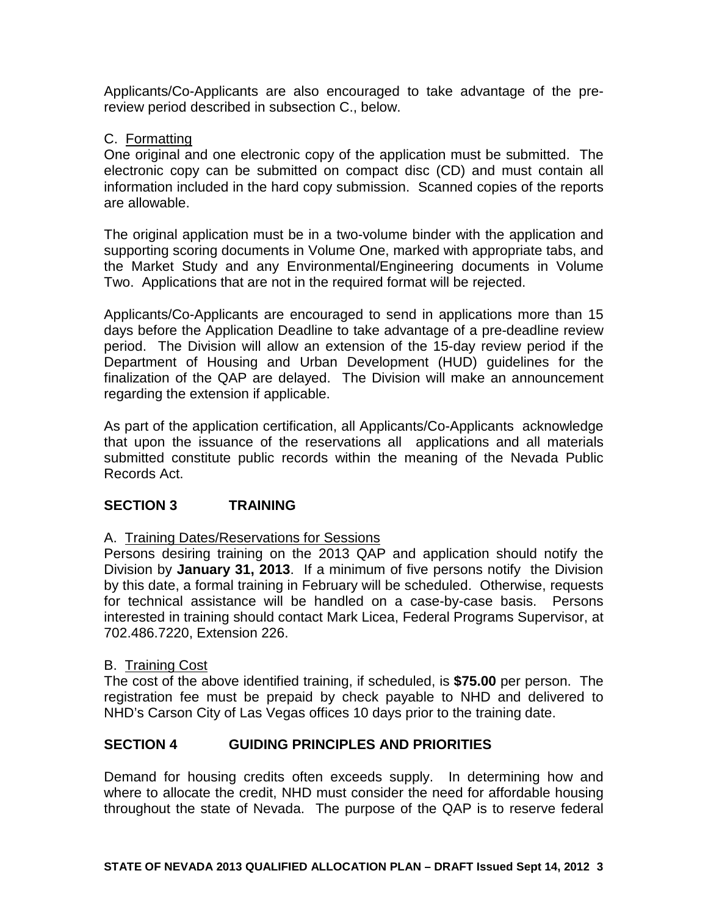Applicants/Co-Applicants are also encouraged to take advantage of the prereview period described in subsection C., below.

# C. Formatting

One original and one electronic copy of the application must be submitted. The electronic copy can be submitted on compact disc (CD) and must contain all information included in the hard copy submission. Scanned copies of the reports are allowable.

The original application must be in a two-volume binder with the application and supporting scoring documents in Volume One, marked with appropriate tabs, and the Market Study and any Environmental/Engineering documents in Volume Two. Applications that are not in the required format will be rejected.

Applicants/Co-Applicants are encouraged to send in applications more than 15 days before the Application Deadline to take advantage of a pre-deadline review period. The Division will allow an extension of the 15-day review period if the Department of Housing and Urban Development (HUD) guidelines for the finalization of the QAP are delayed. The Division will make an announcement regarding the extension if applicable.

As part of the application certification, all Applicants/Co-Applicants acknowledge that upon the issuance of the reservations all applications and all materials submitted constitute public records within the meaning of the Nevada Public Records Act.

# **SECTION 3 TRAINING**

# A. Training Dates/Reservations for Sessions

Persons desiring training on the 2013 QAP and application should notify the Division by **January 31, 2013**. If a minimum of five persons notify the Division by this date, a formal training in February will be scheduled. Otherwise, requests for technical assistance will be handled on a case-by-case basis. Persons interested in training should contact Mark Licea, Federal Programs Supervisor, at 702.486.7220, Extension 226.

#### B. Training Cost

The cost of the above identified training, if scheduled, is **\$75.00** per person. The registration fee must be prepaid by check payable to NHD and delivered to NHD's Carson City of Las Vegas offices 10 days prior to the training date.

# **SECTION 4 GUIDING PRINCIPLES AND PRIORITIES**

Demand for housing credits often exceeds supply. In determining how and where to allocate the credit, NHD must consider the need for affordable housing throughout the state of Nevada. The purpose of the QAP is to reserve federal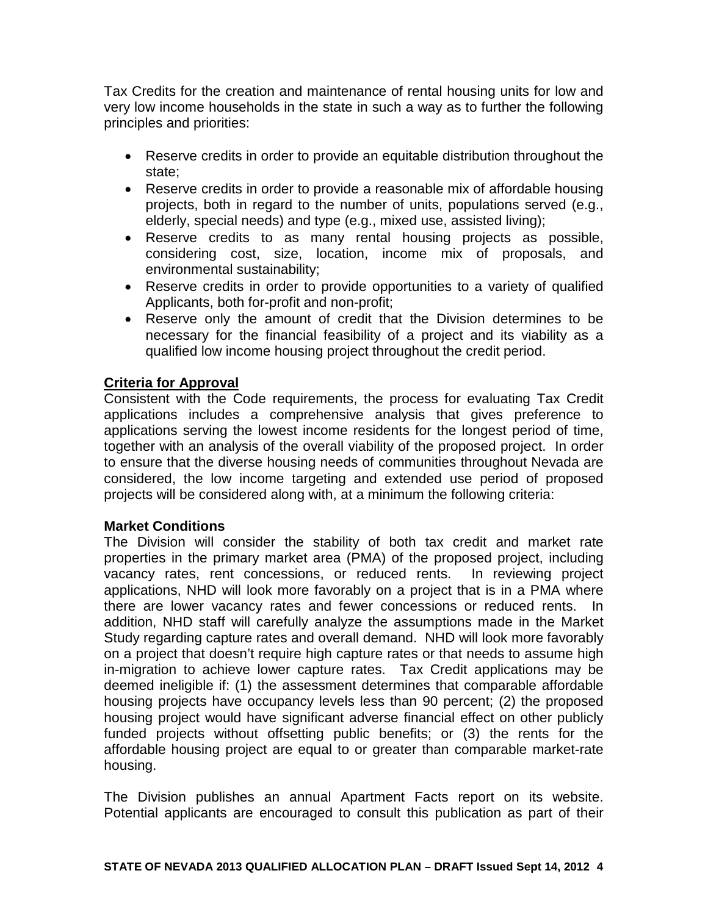Tax Credits for the creation and maintenance of rental housing units for low and very low income households in the state in such a way as to further the following principles and priorities:

- Reserve credits in order to provide an equitable distribution throughout the state;
- Reserve credits in order to provide a reasonable mix of affordable housing projects, both in regard to the number of units, populations served (e.g., elderly, special needs) and type (e.g., mixed use, assisted living);
- Reserve credits to as many rental housing projects as possible, considering cost, size, location, income mix of proposals, and environmental sustainability;
- Reserve credits in order to provide opportunities to a variety of qualified Applicants, both for-profit and non-profit;
- Reserve only the amount of credit that the Division determines to be necessary for the financial feasibility of a project and its viability as a qualified low income housing project throughout the credit period.

# **Criteria for Approval**

Consistent with the Code requirements, the process for evaluating Tax Credit applications includes a comprehensive analysis that gives preference to applications serving the lowest income residents for the longest period of time, together with an analysis of the overall viability of the proposed project. In order to ensure that the diverse housing needs of communities throughout Nevada are considered, the low income targeting and extended use period of proposed projects will be considered along with, at a minimum the following criteria:

# **Market Conditions**

The Division will consider the stability of both tax credit and market rate properties in the primary market area (PMA) of the proposed project, including vacancy rates, rent concessions, or reduced rents. In reviewing project applications, NHD will look more favorably on a project that is in a PMA where there are lower vacancy rates and fewer concessions or reduced rents. In addition, NHD staff will carefully analyze the assumptions made in the Market Study regarding capture rates and overall demand. NHD will look more favorably on a project that doesn't require high capture rates or that needs to assume high in-migration to achieve lower capture rates. Tax Credit applications may be deemed ineligible if: (1) the assessment determines that comparable affordable housing projects have occupancy levels less than 90 percent; (2) the proposed housing project would have significant adverse financial effect on other publicly funded projects without offsetting public benefits; or (3) the rents for the affordable housing project are equal to or greater than comparable market-rate housing.

The Division publishes an annual Apartment Facts report on its website. Potential applicants are encouraged to consult this publication as part of their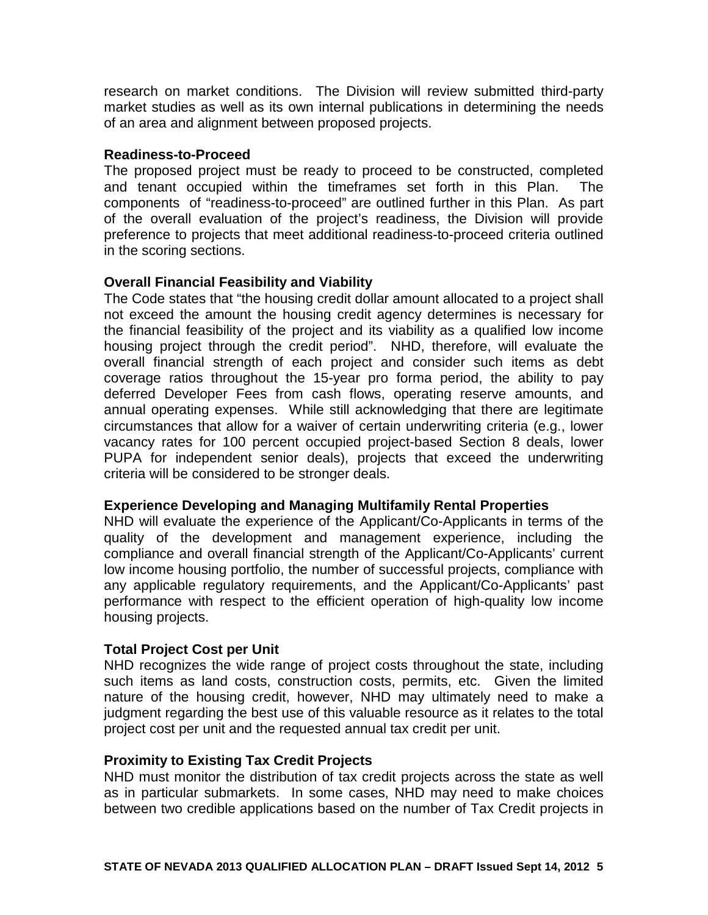research on market conditions. The Division will review submitted third-party market studies as well as its own internal publications in determining the needs of an area and alignment between proposed projects.

#### **Readiness-to-Proceed**

The proposed project must be ready to proceed to be constructed, completed and tenant occupied within the timeframes set forth in this Plan. The components of "readiness-to-proceed" are outlined further in this Plan. As part of the overall evaluation of the project's readiness, the Division will provide preference to projects that meet additional readiness-to-proceed criteria outlined in the scoring sections.

# **Overall Financial Feasibility and Viability**

The Code states that "the housing credit dollar amount allocated to a project shall not exceed the amount the housing credit agency determines is necessary for the financial feasibility of the project and its viability as a qualified low income housing project through the credit period". NHD, therefore, will evaluate the overall financial strength of each project and consider such items as debt coverage ratios throughout the 15-year pro forma period, the ability to pay deferred Developer Fees from cash flows, operating reserve amounts, and annual operating expenses. While still acknowledging that there are legitimate circumstances that allow for a waiver of certain underwriting criteria (e.g., lower vacancy rates for 100 percent occupied project-based Section 8 deals, lower PUPA for independent senior deals), projects that exceed the underwriting criteria will be considered to be stronger deals.

# **Experience Developing and Managing Multifamily Rental Properties**

NHD will evaluate the experience of the Applicant/Co-Applicants in terms of the quality of the development and management experience, including the compliance and overall financial strength of the Applicant/Co-Applicants' current low income housing portfolio, the number of successful projects, compliance with any applicable regulatory requirements, and the Applicant/Co-Applicants' past performance with respect to the efficient operation of high-quality low income housing projects.

# **Total Project Cost per Unit**

NHD recognizes the wide range of project costs throughout the state, including such items as land costs, construction costs, permits, etc. Given the limited nature of the housing credit, however, NHD may ultimately need to make a judgment regarding the best use of this valuable resource as it relates to the total project cost per unit and the requested annual tax credit per unit.

#### **Proximity to Existing Tax Credit Projects**

NHD must monitor the distribution of tax credit projects across the state as well as in particular submarkets. In some cases, NHD may need to make choices between two credible applications based on the number of Tax Credit projects in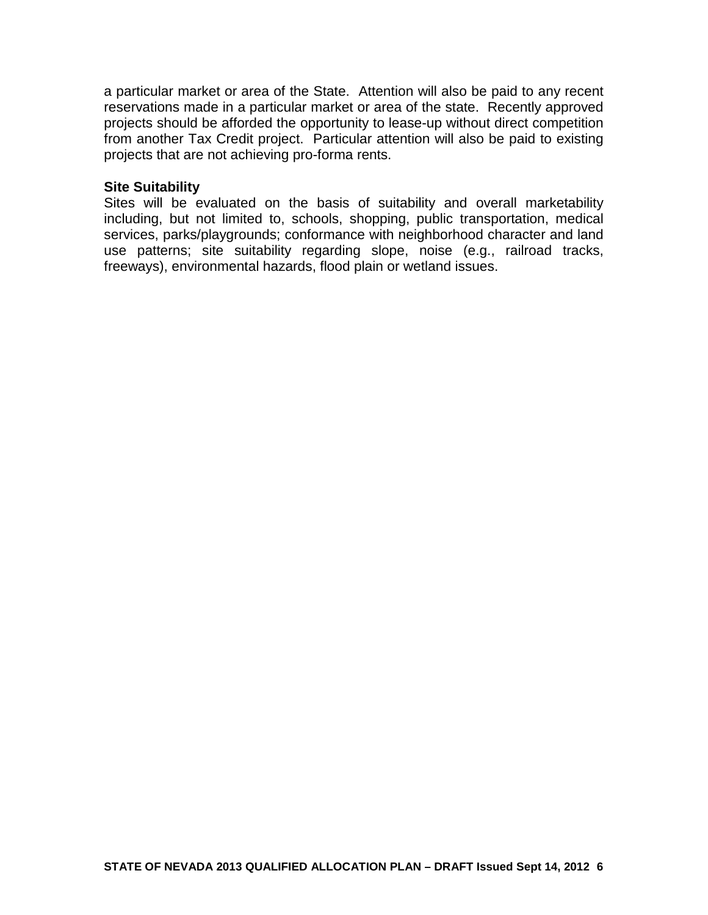a particular market or area of the State. Attention will also be paid to any recent reservations made in a particular market or area of the state. Recently approved projects should be afforded the opportunity to lease-up without direct competition from another Tax Credit project. Particular attention will also be paid to existing projects that are not achieving pro-forma rents.

#### **Site Suitability**

Sites will be evaluated on the basis of suitability and overall marketability including, but not limited to, schools, shopping, public transportation, medical services, parks/playgrounds; conformance with neighborhood character and land use patterns; site suitability regarding slope, noise (e.g., railroad tracks, freeways), environmental hazards, flood plain or wetland issues.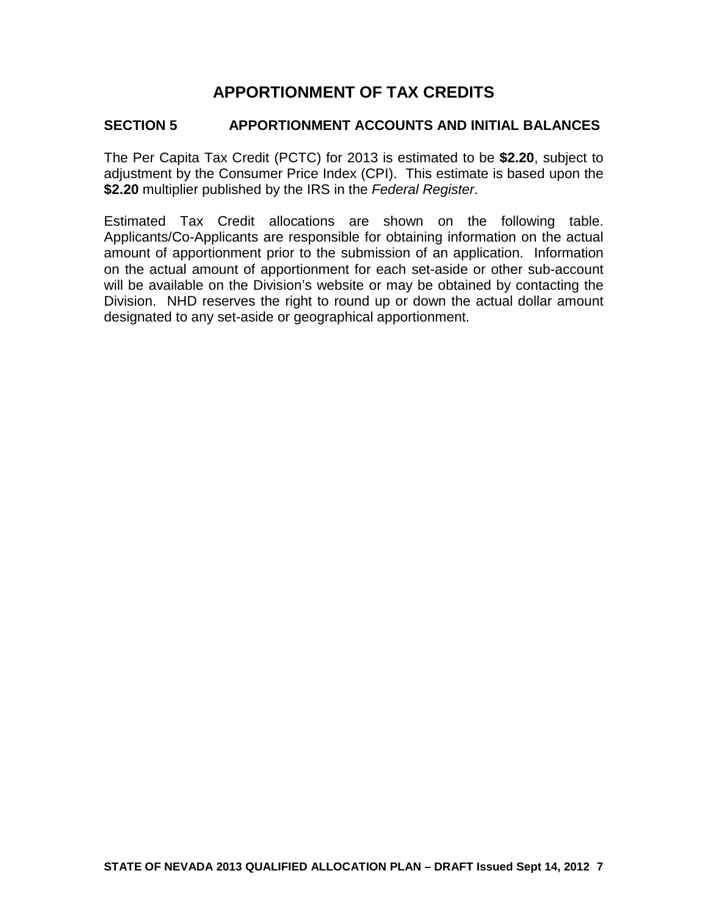# **APPORTIONMENT OF TAX CREDITS**

# **SECTION 5 APPORTIONMENT ACCOUNTS AND INITIAL BALANCES**

The Per Capita Tax Credit (PCTC) for 2013 is estimated to be **\$2.20**, subject to adjustment by the Consumer Price Index (CPI). This estimate is based upon the **\$2.20** multiplier published by the IRS in the *Federal Register*.

Estimated Tax Credit allocations are shown on the following table. Applicants/Co-Applicants are responsible for obtaining information on the actual amount of apportionment prior to the submission of an application. Information on the actual amount of apportionment for each set-aside or other sub-account will be available on the Division's website or may be obtained by contacting the Division. NHD reserves the right to round up or down the actual dollar amount designated to any set-aside or geographical apportionment.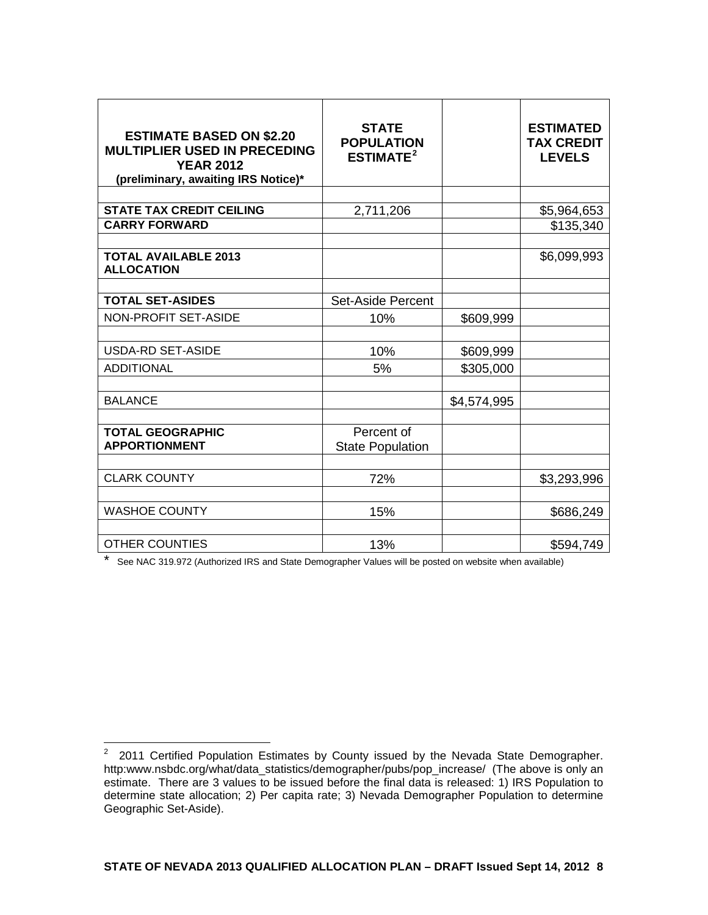| <b>ESTIMATE BASED ON \$2.20</b><br><b>MULTIPLIER USED IN PRECEDING</b><br><b>YEAR 2012</b><br>(preliminary, awaiting IRS Notice)* | <b>STATE</b><br><b>POPULATION</b><br>ESTIMATE <sup>2</sup> |             | <b>ESTIMATED</b><br><b>TAX CREDIT</b><br><b>LEVELS</b> |
|-----------------------------------------------------------------------------------------------------------------------------------|------------------------------------------------------------|-------------|--------------------------------------------------------|
|                                                                                                                                   |                                                            |             |                                                        |
| <b>STATE TAX CREDIT CEILING</b>                                                                                                   | 2,711,206                                                  |             | \$5,964,653                                            |
| <b>CARRY FORWARD</b>                                                                                                              |                                                            |             | \$135,340                                              |
| <b>TOTAL AVAILABLE 2013</b><br><b>ALLOCATION</b>                                                                                  |                                                            |             | \$6,099,993                                            |
| <b>TOTAL SET-ASIDES</b>                                                                                                           | <b>Set-Aside Percent</b>                                   |             |                                                        |
| NON-PROFIT SET-ASIDE                                                                                                              | 10%                                                        | \$609,999   |                                                        |
|                                                                                                                                   |                                                            |             |                                                        |
| <b>USDA-RD SET-ASIDE</b>                                                                                                          | 10%                                                        | \$609,999   |                                                        |
| <b>ADDITIONAL</b>                                                                                                                 | 5%                                                         | \$305,000   |                                                        |
|                                                                                                                                   |                                                            |             |                                                        |
| <b>BALANCE</b>                                                                                                                    |                                                            | \$4,574,995 |                                                        |
| <b>TOTAL GEOGRAPHIC</b><br><b>APPORTIONMENT</b>                                                                                   | Percent of<br><b>State Population</b>                      |             |                                                        |
| <b>CLARK COUNTY</b>                                                                                                               | 72%                                                        |             | \$3,293,996                                            |
| <b>WASHOE COUNTY</b>                                                                                                              | 15%                                                        |             | \$686,249                                              |
| <b>OTHER COUNTIES</b>                                                                                                             | 13%                                                        |             | \$594,749                                              |

\* See NAC 319.972 (Authorized IRS and State Demographer Values will be posted on website when available)

<span id="page-7-0"></span><sup>2&</sup>lt;br>2 2011 Certified Population Estimates by County issued by the Nevada State Demographer. http:www.nsbdc.org/what/data\_statistics/demographer/pubs/pop\_increase/ (The above is only an estimate. There are 3 values to be issued before the final data is released: 1) IRS Population to determine state allocation; 2) Per capita rate; 3) Nevada Demographer Population to determine Geographic Set-Aside).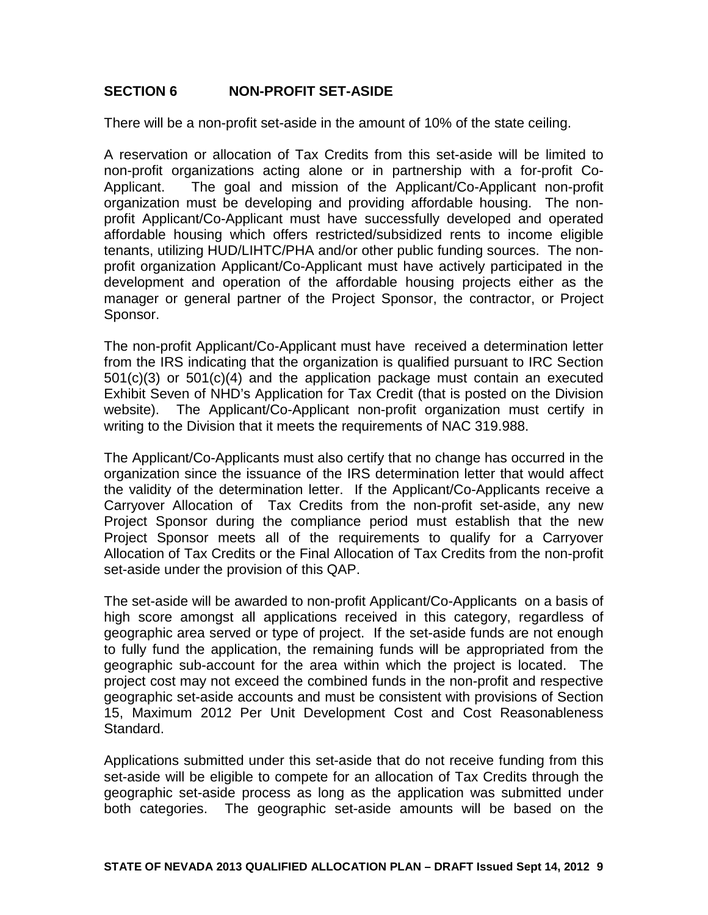# **SECTION 6 NON-PROFIT SET-ASIDE**

There will be a non-profit set-aside in the amount of 10% of the state ceiling.

A reservation or allocation of Tax Credits from this set-aside will be limited to non-profit organizations acting alone or in partnership with a for-profit Co-Applicant. The goal and mission of the Applicant/Co-Applicant non-profit organization must be developing and providing affordable housing. The nonprofit Applicant/Co-Applicant must have successfully developed and operated affordable housing which offers restricted/subsidized rents to income eligible tenants, utilizing HUD/LIHTC/PHA and/or other public funding sources. The nonprofit organization Applicant/Co-Applicant must have actively participated in the development and operation of the affordable housing projects either as the manager or general partner of the Project Sponsor, the contractor, or Project Sponsor.

The non-profit Applicant/Co-Applicant must have received a determination letter from the IRS indicating that the organization is qualified pursuant to IRC Section 501(c)(3) or 501(c)(4) and the application package must contain an executed Exhibit Seven of NHD's Application for Tax Credit (that is posted on the Division website). The Applicant/Co-Applicant non-profit organization must certify in writing to the Division that it meets the requirements of NAC 319.988.

The Applicant/Co-Applicants must also certify that no change has occurred in the organization since the issuance of the IRS determination letter that would affect the validity of the determination letter. If the Applicant/Co-Applicants receive a Carryover Allocation of Tax Credits from the non-profit set-aside, any new Project Sponsor during the compliance period must establish that the new Project Sponsor meets all of the requirements to qualify for a Carryover Allocation of Tax Credits or the Final Allocation of Tax Credits from the non-profit set-aside under the provision of this QAP.

The set-aside will be awarded to non-profit Applicant/Co-Applicants on a basis of high score amongst all applications received in this category, regardless of geographic area served or type of project. If the set-aside funds are not enough to fully fund the application, the remaining funds will be appropriated from the geographic sub-account for the area within which the project is located. The project cost may not exceed the combined funds in the non-profit and respective geographic set-aside accounts and must be consistent with provisions of Section 15, Maximum 2012 Per Unit Development Cost and Cost Reasonableness Standard.

Applications submitted under this set-aside that do not receive funding from this set-aside will be eligible to compete for an allocation of Tax Credits through the geographic set-aside process as long as the application was submitted under both categories. The geographic set-aside amounts will be based on the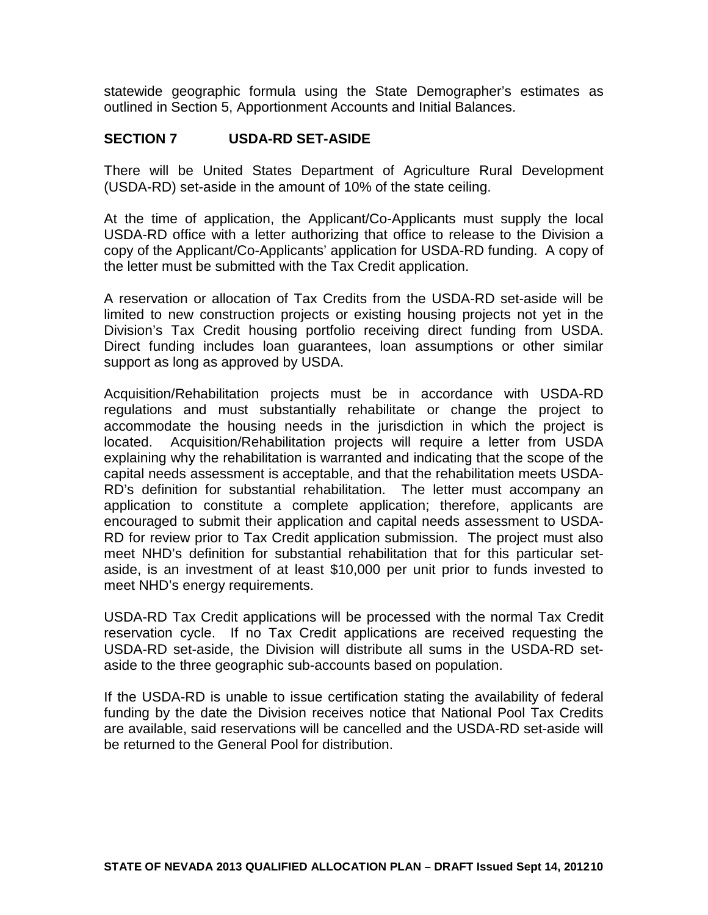statewide geographic formula using the State Demographer's estimates as outlined in Section 5, Apportionment Accounts and Initial Balances.

# **SECTION 7 USDA-RD SET-ASIDE**

There will be United States Department of Agriculture Rural Development (USDA-RD) set-aside in the amount of 10% of the state ceiling.

At the time of application, the Applicant/Co-Applicants must supply the local USDA-RD office with a letter authorizing that office to release to the Division a copy of the Applicant/Co-Applicants' application for USDA-RD funding. A copy of the letter must be submitted with the Tax Credit application.

A reservation or allocation of Tax Credits from the USDA-RD set-aside will be limited to new construction projects or existing housing projects not yet in the Division's Tax Credit housing portfolio receiving direct funding from USDA. Direct funding includes loan guarantees, loan assumptions or other similar support as long as approved by USDA.

Acquisition/Rehabilitation projects must be in accordance with USDA-RD regulations and must substantially rehabilitate or change the project to accommodate the housing needs in the jurisdiction in which the project is located. Acquisition/Rehabilitation projects will require a letter from USDA explaining why the rehabilitation is warranted and indicating that the scope of the capital needs assessment is acceptable, and that the rehabilitation meets USDA-RD's definition for substantial rehabilitation. The letter must accompany an application to constitute a complete application; therefore, applicants are encouraged to submit their application and capital needs assessment to USDA-RD for review prior to Tax Credit application submission. The project must also meet NHD's definition for substantial rehabilitation that for this particular setaside, is an investment of at least \$10,000 per unit prior to funds invested to meet NHD's energy requirements.

USDA-RD Tax Credit applications will be processed with the normal Tax Credit reservation cycle. If no Tax Credit applications are received requesting the USDA-RD set-aside, the Division will distribute all sums in the USDA-RD setaside to the three geographic sub-accounts based on population.

If the USDA-RD is unable to issue certification stating the availability of federal funding by the date the Division receives notice that National Pool Tax Credits are available, said reservations will be cancelled and the USDA-RD set-aside will be returned to the General Pool for distribution.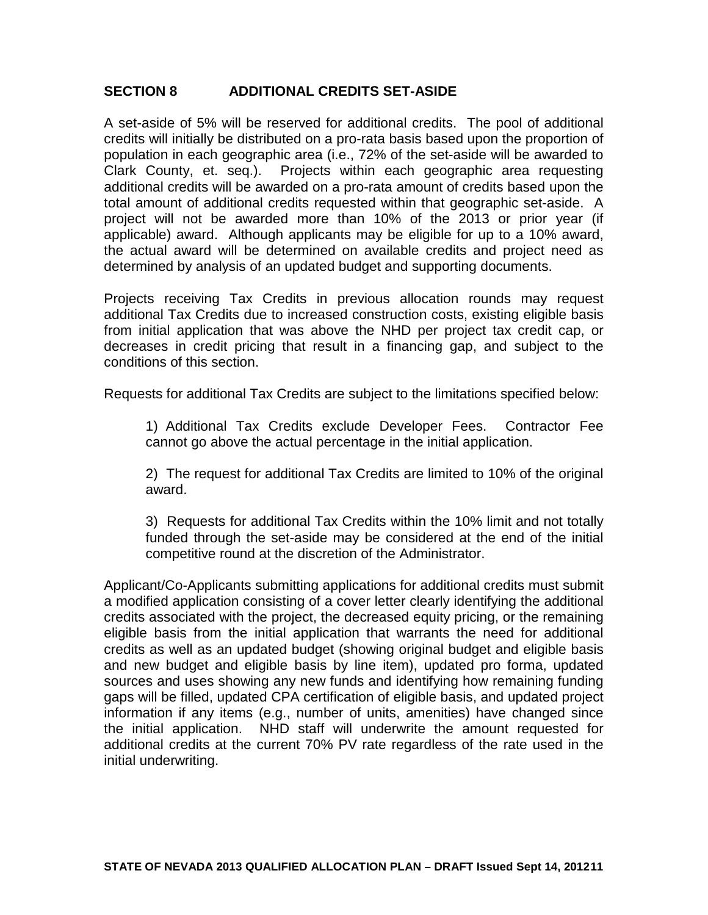# **SECTION 8 ADDITIONAL CREDITS SET-ASIDE**

A set-aside of 5% will be reserved for additional credits. The pool of additional credits will initially be distributed on a pro-rata basis based upon the proportion of population in each geographic area (i.e., 72% of the set-aside will be awarded to Clark County, et. seq.). Projects within each geographic area requesting additional credits will be awarded on a pro-rata amount of credits based upon the total amount of additional credits requested within that geographic set-aside. A project will not be awarded more than 10% of the 2013 or prior year (if applicable) award. Although applicants may be eligible for up to a 10% award, the actual award will be determined on available credits and project need as determined by analysis of an updated budget and supporting documents.

Projects receiving Tax Credits in previous allocation rounds may request additional Tax Credits due to increased construction costs, existing eligible basis from initial application that was above the NHD per project tax credit cap, or decreases in credit pricing that result in a financing gap, and subject to the conditions of this section.

Requests for additional Tax Credits are subject to the limitations specified below:

1) Additional Tax Credits exclude Developer Fees. Contractor Fee cannot go above the actual percentage in the initial application.

2) The request for additional Tax Credits are limited to 10% of the original award.

3) Requests for additional Tax Credits within the 10% limit and not totally funded through the set-aside may be considered at the end of the initial competitive round at the discretion of the Administrator.

Applicant/Co-Applicants submitting applications for additional credits must submit a modified application consisting of a cover letter clearly identifying the additional credits associated with the project, the decreased equity pricing, or the remaining eligible basis from the initial application that warrants the need for additional credits as well as an updated budget (showing original budget and eligible basis and new budget and eligible basis by line item), updated pro forma, updated sources and uses showing any new funds and identifying how remaining funding gaps will be filled, updated CPA certification of eligible basis, and updated project information if any items (e.g., number of units, amenities) have changed since the initial application. NHD staff will underwrite the amount requested for additional credits at the current 70% PV rate regardless of the rate used in the initial underwriting.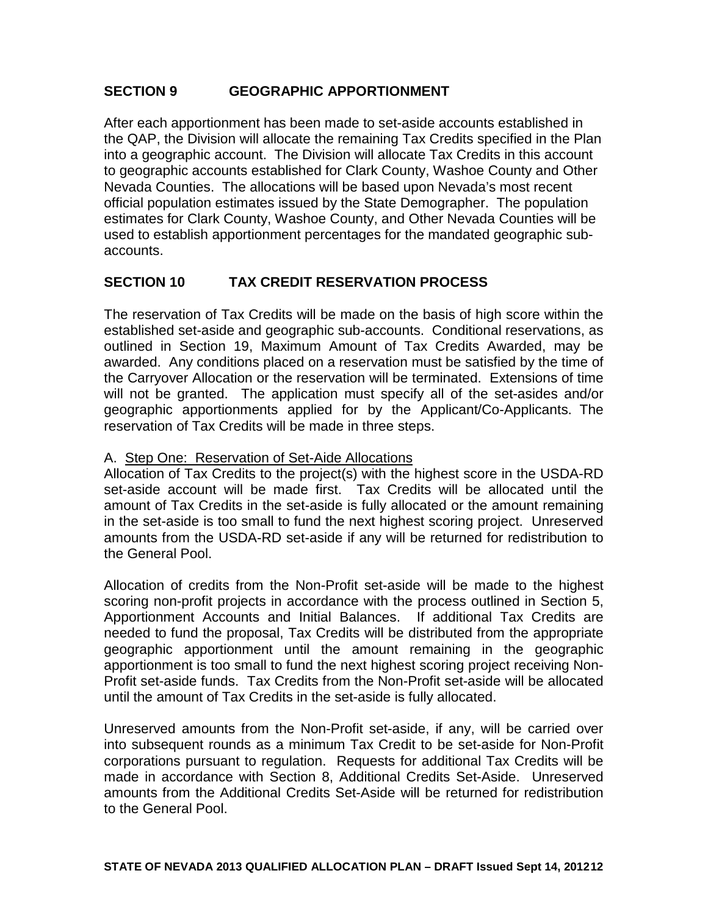# **SECTION 9 GEOGRAPHIC APPORTIONMENT**

After each apportionment has been made to set-aside accounts established in the QAP, the Division will allocate the remaining Tax Credits specified in the Plan into a geographic account. The Division will allocate Tax Credits in this account to geographic accounts established for Clark County, Washoe County and Other Nevada Counties. The allocations will be based upon Nevada's most recent official population estimates issued by the State Demographer. The population estimates for Clark County, Washoe County, and Other Nevada Counties will be used to establish apportionment percentages for the mandated geographic subaccounts.

# **SECTION 10 TAX CREDIT RESERVATION PROCESS**

The reservation of Tax Credits will be made on the basis of high score within the established set-aside and geographic sub-accounts. Conditional reservations, as outlined in Section 19, Maximum Amount of Tax Credits Awarded, may be awarded. Any conditions placed on a reservation must be satisfied by the time of the Carryover Allocation or the reservation will be terminated. Extensions of time will not be granted. The application must specify all of the set-asides and/or geographic apportionments applied for by the Applicant/Co-Applicants. The reservation of Tax Credits will be made in three steps.

#### A. Step One: Reservation of Set-Aide Allocations

Allocation of Tax Credits to the project(s) with the highest score in the USDA-RD set-aside account will be made first. Tax Credits will be allocated until the amount of Tax Credits in the set-aside is fully allocated or the amount remaining in the set-aside is too small to fund the next highest scoring project. Unreserved amounts from the USDA-RD set-aside if any will be returned for redistribution to the General Pool.

Allocation of credits from the Non-Profit set-aside will be made to the highest scoring non-profit projects in accordance with the process outlined in Section 5, Apportionment Accounts and Initial Balances. If additional Tax Credits are needed to fund the proposal, Tax Credits will be distributed from the appropriate geographic apportionment until the amount remaining in the geographic apportionment is too small to fund the next highest scoring project receiving Non-Profit set-aside funds. Tax Credits from the Non-Profit set-aside will be allocated until the amount of Tax Credits in the set-aside is fully allocated.

Unreserved amounts from the Non-Profit set-aside, if any, will be carried over into subsequent rounds as a minimum Tax Credit to be set-aside for Non-Profit corporations pursuant to regulation. Requests for additional Tax Credits will be made in accordance with Section 8, Additional Credits Set-Aside. Unreserved amounts from the Additional Credits Set-Aside will be returned for redistribution to the General Pool.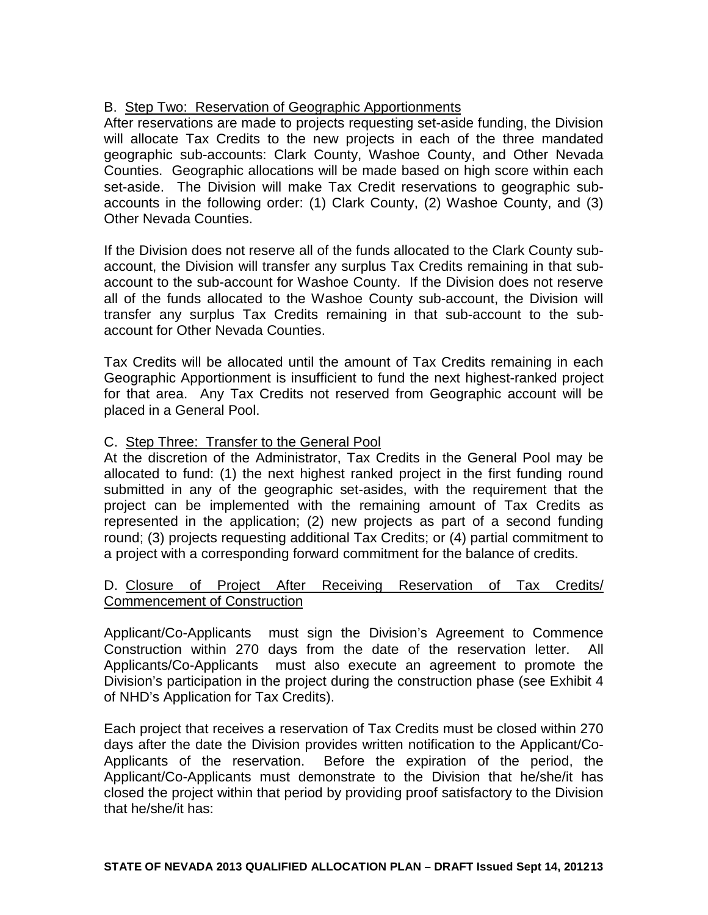# B. Step Two: Reservation of Geographic Apportionments

After reservations are made to projects requesting set-aside funding, the Division will allocate Tax Credits to the new projects in each of the three mandated geographic sub-accounts: Clark County, Washoe County, and Other Nevada Counties. Geographic allocations will be made based on high score within each set-aside. The Division will make Tax Credit reservations to geographic subaccounts in the following order: (1) Clark County, (2) Washoe County, and (3) Other Nevada Counties.

If the Division does not reserve all of the funds allocated to the Clark County subaccount, the Division will transfer any surplus Tax Credits remaining in that subaccount to the sub-account for Washoe County. If the Division does not reserve all of the funds allocated to the Washoe County sub-account, the Division will transfer any surplus Tax Credits remaining in that sub-account to the subaccount for Other Nevada Counties.

Tax Credits will be allocated until the amount of Tax Credits remaining in each Geographic Apportionment is insufficient to fund the next highest-ranked project for that area. Any Tax Credits not reserved from Geographic account will be placed in a General Pool.

# C. Step Three: Transfer to the General Pool

At the discretion of the Administrator, Tax Credits in the General Pool may be allocated to fund: (1) the next highest ranked project in the first funding round submitted in any of the geographic set-asides, with the requirement that the project can be implemented with the remaining amount of Tax Credits as represented in the application; (2) new projects as part of a second funding round; (3) projects requesting additional Tax Credits; or (4) partial commitment to a project with a corresponding forward commitment for the balance of credits.

# D. Closure of Project After Receiving Reservation of Tax Credits/ Commencement of Construction

Applicant/Co-Applicants must sign the Division's Agreement to Commence Construction within 270 days from the date of the reservation letter. All Applicants/Co-Applicants must also execute an agreement to promote the Division's participation in the project during the construction phase (see Exhibit 4 of NHD's Application for Tax Credits).

Each project that receives a reservation of Tax Credits must be closed within 270 days after the date the Division provides written notification to the Applicant/Co-Applicants of the reservation. Before the expiration of the period, the Applicant/Co-Applicants must demonstrate to the Division that he/she/it has closed the project within that period by providing proof satisfactory to the Division that he/she/it has: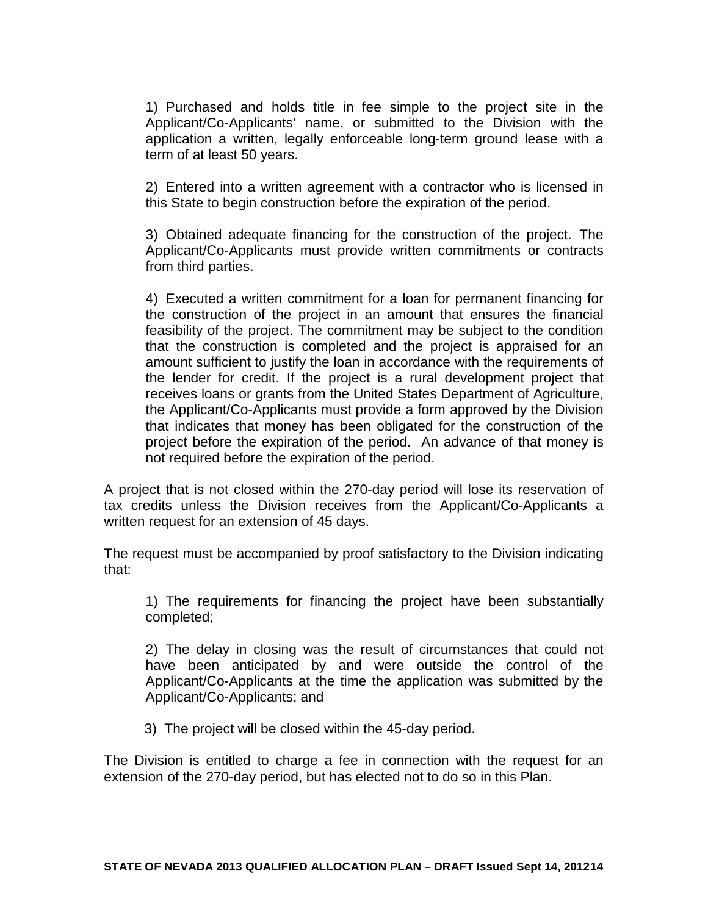1) Purchased and holds title in fee simple to the project site in the Applicant/Co-Applicants' name, or submitted to the Division with the application a written, legally enforceable long-term ground lease with a term of at least 50 years.

2) Entered into a written agreement with a contractor who is licensed in this State to begin construction before the expiration of the period.

3) Obtained adequate financing for the construction of the project. The Applicant/Co-Applicants must provide written commitments or contracts from third parties.

4) Executed a written commitment for a loan for permanent financing for the construction of the project in an amount that ensures the financial feasibility of the project. The commitment may be subject to the condition that the construction is completed and the project is appraised for an amount sufficient to justify the loan in accordance with the requirements of the lender for credit. If the project is a rural development project that receives loans or grants from the United States Department of Agriculture, the Applicant/Co-Applicants must provide a form approved by the Division that indicates that money has been obligated for the construction of the project before the expiration of the period. An advance of that money is not required before the expiration of the period.

A project that is not closed within the 270-day period will lose its reservation of tax credits unless the Division receives from the Applicant/Co-Applicants a written request for an extension of 45 days.

The request must be accompanied by proof satisfactory to the Division indicating that:

1) The requirements for financing the project have been substantially completed;

2) The delay in closing was the result of circumstances that could not have been anticipated by and were outside the control of the Applicant/Co-Applicants at the time the application was submitted by the Applicant/Co-Applicants; and

3) The project will be closed within the 45-day period.

The Division is entitled to charge a fee in connection with the request for an extension of the 270-day period, but has elected not to do so in this Plan.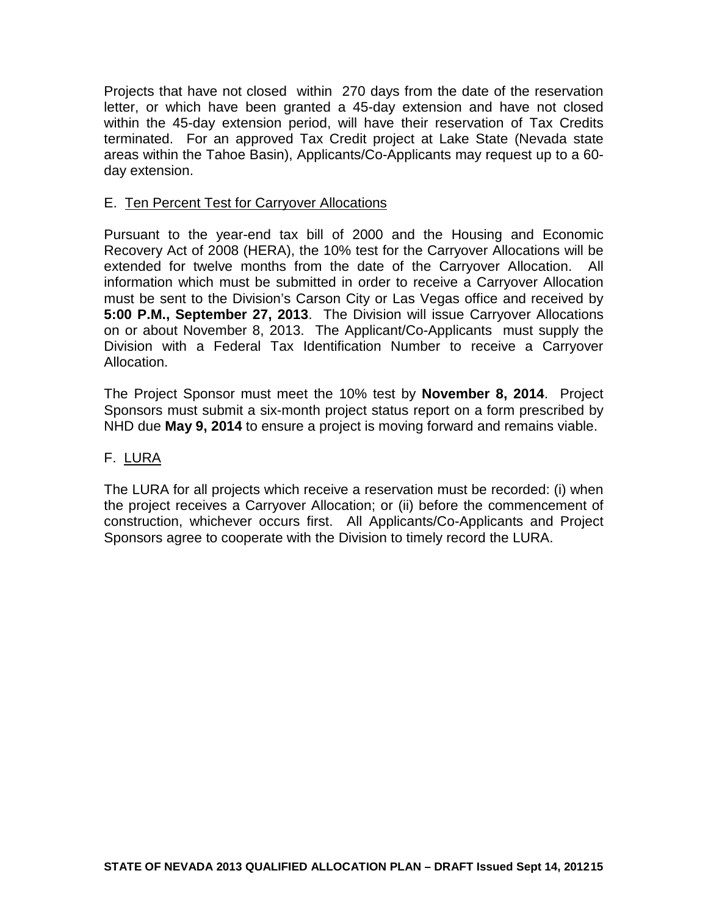Projects that have not closed within 270 days from the date of the reservation letter, or which have been granted a 45-day extension and have not closed within the 45-day extension period, will have their reservation of Tax Credits terminated. For an approved Tax Credit project at Lake State (Nevada state areas within the Tahoe Basin), Applicants/Co-Applicants may request up to a 60 day extension.

### E. Ten Percent Test for Carryover Allocations

Pursuant to the year-end tax bill of 2000 and the Housing and Economic Recovery Act of 2008 (HERA), the 10% test for the Carryover Allocations will be extended for twelve months from the date of the Carryover Allocation. All information which must be submitted in order to receive a Carryover Allocation must be sent to the Division's Carson City or Las Vegas office and received by **5:00 P.M., September 27, 2013**. The Division will issue Carryover Allocations on or about November 8, 2013. The Applicant/Co-Applicants must supply the Division with a Federal Tax Identification Number to receive a Carryover Allocation.

The Project Sponsor must meet the 10% test by **November 8, 2014**. Project Sponsors must submit a six-month project status report on a form prescribed by NHD due **May 9, 2014** to ensure a project is moving forward and remains viable.

# F. LURA

The LURA for all projects which receive a reservation must be recorded: (i) when the project receives a Carryover Allocation; or (ii) before the commencement of construction, whichever occurs first. All Applicants/Co-Applicants and Project Sponsors agree to cooperate with the Division to timely record the LURA.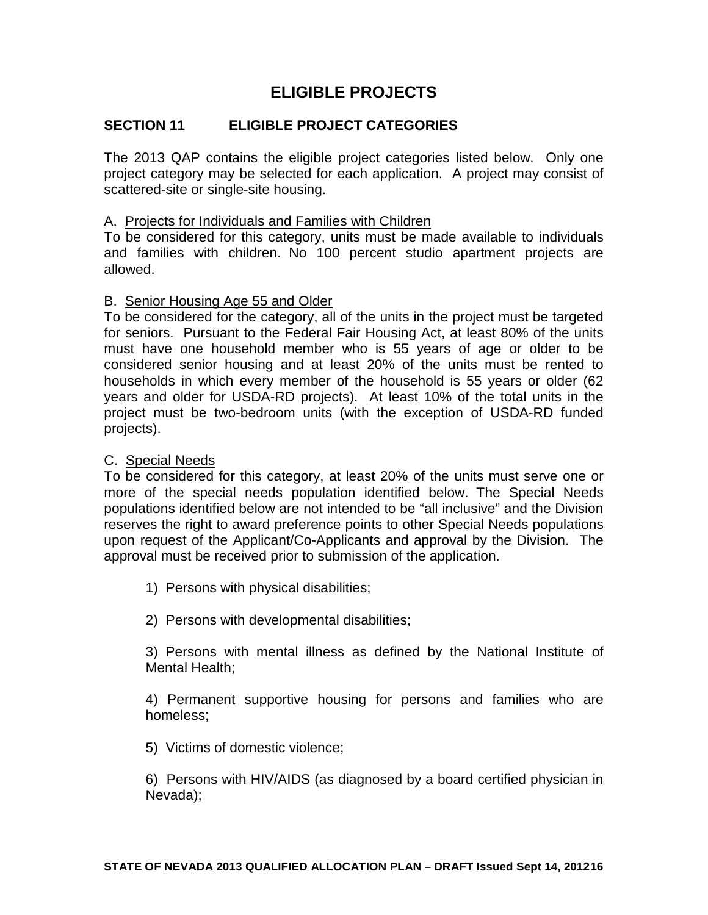# **ELIGIBLE PROJECTS**

# **SECTION 11 ELIGIBLE PROJECT CATEGORIES**

The 2013 QAP contains the eligible project categories listed below. Only one project category may be selected for each application. A project may consist of scattered-site or single-site housing.

#### A. Projects for Individuals and Families with Children

To be considered for this category, units must be made available to individuals and families with children. No 100 percent studio apartment projects are allowed.

#### B. Senior Housing Age 55 and Older

To be considered for the category, all of the units in the project must be targeted for seniors. Pursuant to the Federal Fair Housing Act, at least 80% of the units must have one household member who is 55 years of age or older to be considered senior housing and at least 20% of the units must be rented to households in which every member of the household is 55 years or older (62 years and older for USDA-RD projects). At least 10% of the total units in the project must be two-bedroom units (with the exception of USDA-RD funded projects).

### C. Special Needs

To be considered for this category, at least 20% of the units must serve one or more of the special needs population identified below. The Special Needs populations identified below are not intended to be "all inclusive" and the Division reserves the right to award preference points to other Special Needs populations upon request of the Applicant/Co-Applicants and approval by the Division. The approval must be received prior to submission of the application.

1) Persons with physical disabilities;

2) Persons with developmental disabilities;

3) Persons with mental illness as defined by the National Institute of Mental Health;

4) Permanent supportive housing for persons and families who are homeless;

5) Victims of domestic violence;

6) Persons with HIV/AIDS (as diagnosed by a board certified physician in Nevada);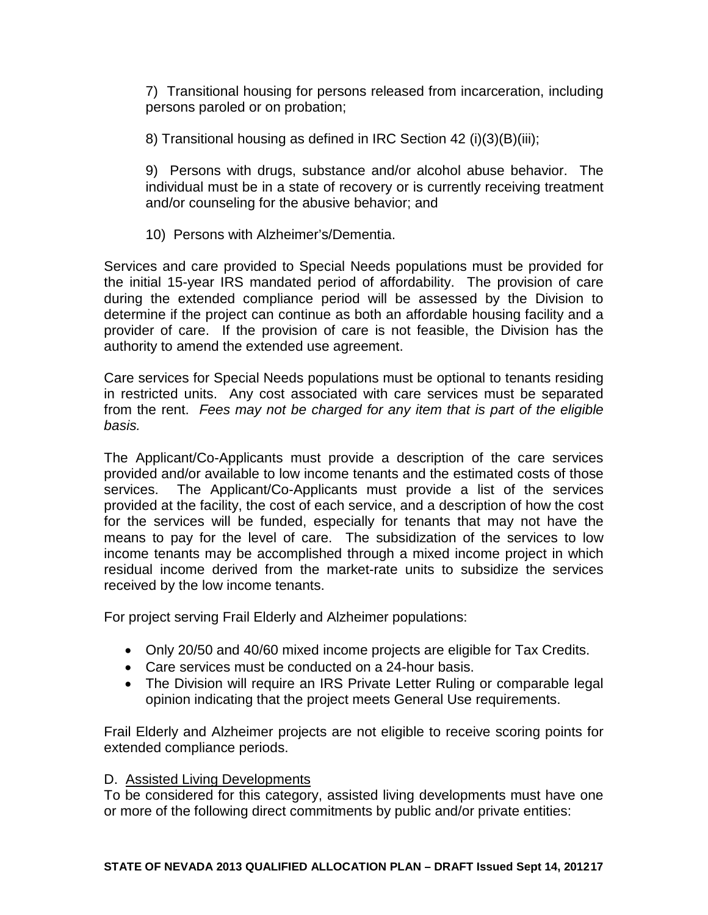7) Transitional housing for persons released from incarceration, including persons paroled or on probation;

8) Transitional housing as defined in IRC Section 42 (i)(3)(B)(iii);

9) Persons with drugs, substance and/or alcohol abuse behavior. The individual must be in a state of recovery or is currently receiving treatment and/or counseling for the abusive behavior; and

10) Persons with Alzheimer's/Dementia.

Services and care provided to Special Needs populations must be provided for the initial 15-year IRS mandated period of affordability. The provision of care during the extended compliance period will be assessed by the Division to determine if the project can continue as both an affordable housing facility and a provider of care. If the provision of care is not feasible, the Division has the authority to amend the extended use agreement.

Care services for Special Needs populations must be optional to tenants residing in restricted units. Any cost associated with care services must be separated from the rent. *Fees may not be charged for any item that is part of the eligible basis.*

The Applicant/Co-Applicants must provide a description of the care services provided and/or available to low income tenants and the estimated costs of those services. The Applicant/Co-Applicants must provide a list of the services provided at the facility, the cost of each service, and a description of how the cost for the services will be funded, especially for tenants that may not have the means to pay for the level of care. The subsidization of the services to low income tenants may be accomplished through a mixed income project in which residual income derived from the market-rate units to subsidize the services received by the low income tenants.

For project serving Frail Elderly and Alzheimer populations:

- Only 20/50 and 40/60 mixed income projects are eligible for Tax Credits.
- Care services must be conducted on a 24-hour basis.
- The Division will require an IRS Private Letter Ruling or comparable legal opinion indicating that the project meets General Use requirements.

Frail Elderly and Alzheimer projects are not eligible to receive scoring points for extended compliance periods.

# D. Assisted Living Developments

To be considered for this category, assisted living developments must have one or more of the following direct commitments by public and/or private entities: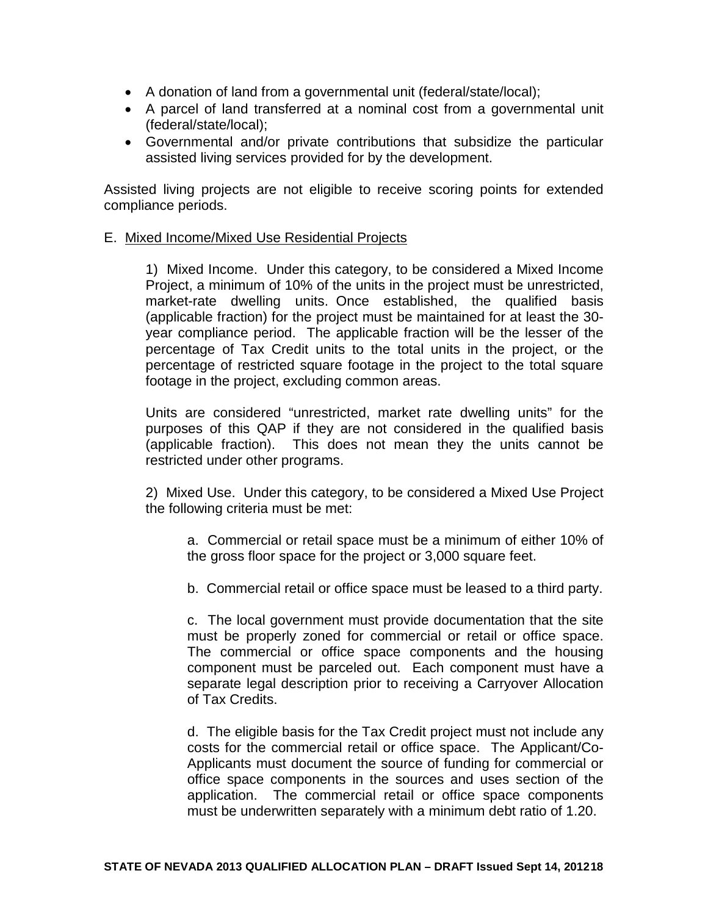- A donation of land from a governmental unit (federal/state/local);
- A parcel of land transferred at a nominal cost from a governmental unit (federal/state/local);
- Governmental and/or private contributions that subsidize the particular assisted living services provided for by the development.

Assisted living projects are not eligible to receive scoring points for extended compliance periods.

#### E. Mixed Income/Mixed Use Residential Projects

1) Mixed Income. Under this category, to be considered a Mixed Income Project, a minimum of 10% of the units in the project must be unrestricted, market-rate dwelling units. Once established, the qualified basis (applicable fraction) for the project must be maintained for at least the 30 year compliance period. The applicable fraction will be the lesser of the percentage of Tax Credit units to the total units in the project, or the percentage of restricted square footage in the project to the total square footage in the project, excluding common areas.

Units are considered "unrestricted, market rate dwelling units" for the purposes of this QAP if they are not considered in the qualified basis (applicable fraction). This does not mean they the units cannot be restricted under other programs.

2) Mixed Use. Under this category, to be considered a Mixed Use Project the following criteria must be met:

a. Commercial or retail space must be a minimum of either 10% of the gross floor space for the project or 3,000 square feet.

b. Commercial retail or office space must be leased to a third party.

c. The local government must provide documentation that the site must be properly zoned for commercial or retail or office space. The commercial or office space components and the housing component must be parceled out. Each component must have a separate legal description prior to receiving a Carryover Allocation of Tax Credits.

d. The eligible basis for the Tax Credit project must not include any costs for the commercial retail or office space. The Applicant/Co-Applicants must document the source of funding for commercial or office space components in the sources and uses section of the application. The commercial retail or office space components must be underwritten separately with a minimum debt ratio of 1.20.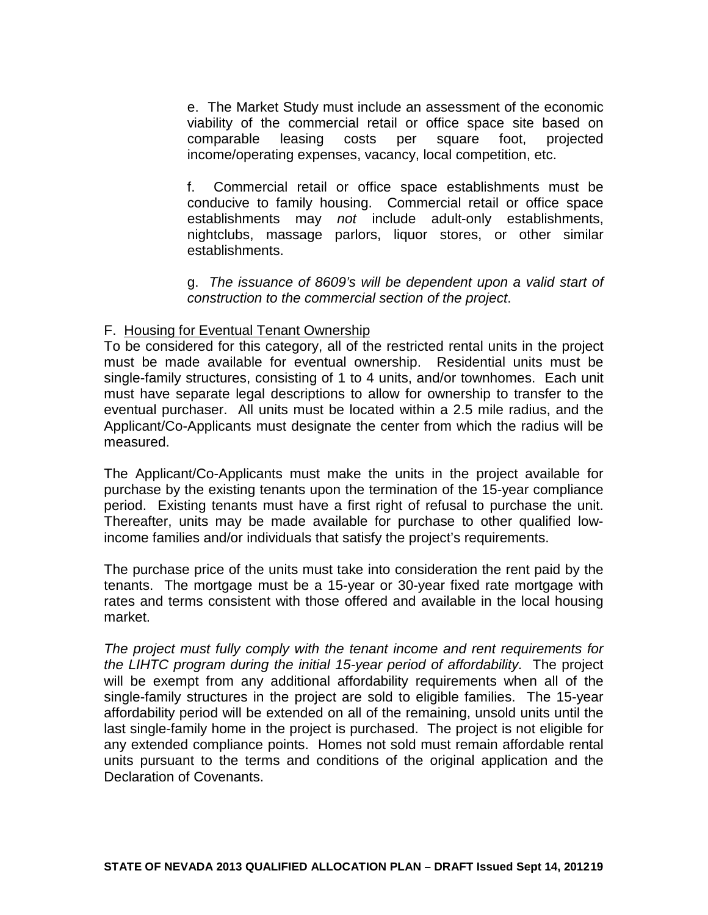e. The Market Study must include an assessment of the economic viability of the commercial retail or office space site based on comparable leasing costs per square foot, projected income/operating expenses, vacancy, local competition, etc.

f. Commercial retail or office space establishments must be conducive to family housing. Commercial retail or office space establishments may *not* include adult-only establishments, nightclubs, massage parlors, liquor stores, or other similar establishments.

g. *The issuance of 8609's will be dependent upon a valid start of construction to the commercial section of the project*.

# F. Housing for Eventual Tenant Ownership

To be considered for this category, all of the restricted rental units in the project must be made available for eventual ownership. Residential units must be single-family structures, consisting of 1 to 4 units, and/or townhomes. Each unit must have separate legal descriptions to allow for ownership to transfer to the eventual purchaser. All units must be located within a 2.5 mile radius, and the Applicant/Co-Applicants must designate the center from which the radius will be measured.

The Applicant/Co-Applicants must make the units in the project available for purchase by the existing tenants upon the termination of the 15-year compliance period. Existing tenants must have a first right of refusal to purchase the unit. Thereafter, units may be made available for purchase to other qualified lowincome families and/or individuals that satisfy the project's requirements.

The purchase price of the units must take into consideration the rent paid by the tenants. The mortgage must be a 15-year or 30-year fixed rate mortgage with rates and terms consistent with those offered and available in the local housing market.

*The project must fully comply with the tenant income and rent requirements for the LIHTC program during the initial 15-year period of affordability.* The project will be exempt from any additional affordability requirements when all of the single-family structures in the project are sold to eligible families. The 15-year affordability period will be extended on all of the remaining, unsold units until the last single-family home in the project is purchased. The project is not eligible for any extended compliance points. Homes not sold must remain affordable rental units pursuant to the terms and conditions of the original application and the Declaration of Covenants.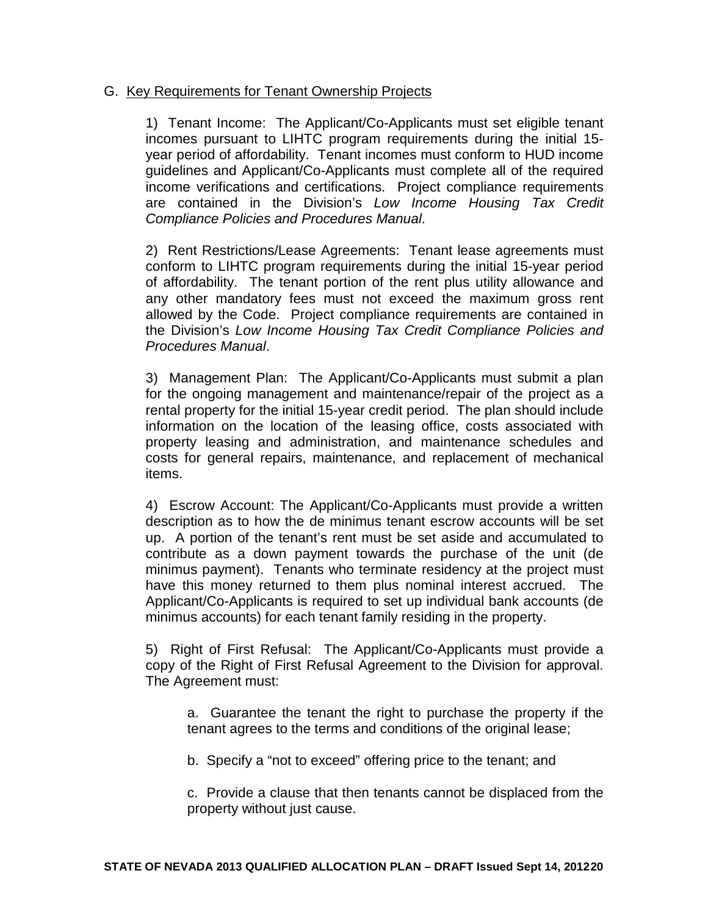#### G. Key Requirements for Tenant Ownership Projects

1) Tenant Income: The Applicant/Co-Applicants must set eligible tenant incomes pursuant to LIHTC program requirements during the initial 15 year period of affordability. Tenant incomes must conform to HUD income guidelines and Applicant/Co-Applicants must complete all of the required income verifications and certifications. Project compliance requirements are contained in the Division's *Low Income Housing Tax Credit Compliance Policies and Procedures Manual*.

2) Rent Restrictions/Lease Agreements: Tenant lease agreements must conform to LIHTC program requirements during the initial 15-year period of affordability. The tenant portion of the rent plus utility allowance and any other mandatory fees must not exceed the maximum gross rent allowed by the Code. Project compliance requirements are contained in the Division's *Low Income Housing Tax Credit Compliance Policies and Procedures Manual*.

3) Management Plan: The Applicant/Co-Applicants must submit a plan for the ongoing management and maintenance/repair of the project as a rental property for the initial 15-year credit period. The plan should include information on the location of the leasing office, costs associated with property leasing and administration, and maintenance schedules and costs for general repairs, maintenance, and replacement of mechanical items.

4) Escrow Account: The Applicant/Co-Applicants must provide a written description as to how the de minimus tenant escrow accounts will be set up. A portion of the tenant's rent must be set aside and accumulated to contribute as a down payment towards the purchase of the unit (de minimus payment). Tenants who terminate residency at the project must have this money returned to them plus nominal interest accrued. The Applicant/Co-Applicants is required to set up individual bank accounts (de minimus accounts) for each tenant family residing in the property.

5) Right of First Refusal: The Applicant/Co-Applicants must provide a copy of the Right of First Refusal Agreement to the Division for approval. The Agreement must:

a. Guarantee the tenant the right to purchase the property if the tenant agrees to the terms and conditions of the original lease;

b. Specify a "not to exceed" offering price to the tenant; and

c. Provide a clause that then tenants cannot be displaced from the property without just cause.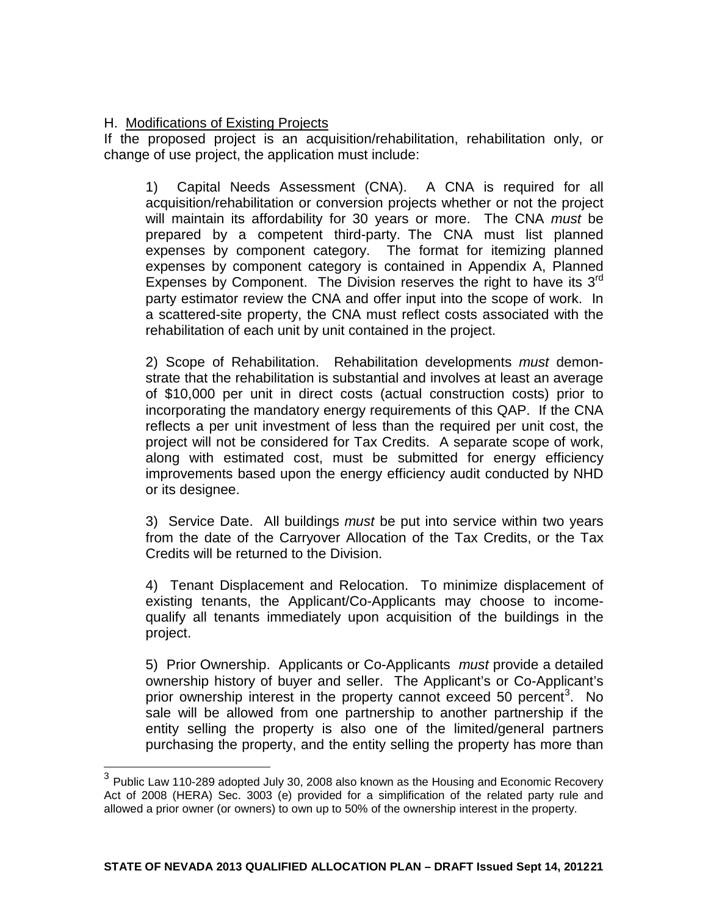# H. Modifications of Existing Projects

If the proposed project is an acquisition/rehabilitation, rehabilitation only, or change of use project, the application must include:

1) Capital Needs Assessment (CNA). A CNA is required for all acquisition/rehabilitation or conversion projects whether or not the project will maintain its affordability for 30 years or more. The CNA *must* be prepared by a competent third-party. The CNA must list planned expenses by component category. The format for itemizing planned expenses by component category is contained in Appendix A, Planned Expenses by Component. The Division reserves the right to have its  $3<sup>rd</sup>$ party estimator review the CNA and offer input into the scope of work. In a scattered-site property, the CNA must reflect costs associated with the rehabilitation of each unit by unit contained in the project.

2) Scope of Rehabilitation. Rehabilitation developments *must* demonstrate that the rehabilitation is substantial and involves at least an average of \$10,000 per unit in direct costs (actual construction costs) prior to incorporating the mandatory energy requirements of this QAP. If the CNA reflects a per unit investment of less than the required per unit cost, the project will not be considered for Tax Credits. A separate scope of work, along with estimated cost, must be submitted for energy efficiency improvements based upon the energy efficiency audit conducted by NHD or its designee.

3) Service Date. All buildings *must* be put into service within two years from the date of the Carryover Allocation of the Tax Credits, or the Tax Credits will be returned to the Division.

4) Tenant Displacement and Relocation. To minimize displacement of existing tenants, the Applicant/Co-Applicants may choose to incomequalify all tenants immediately upon acquisition of the buildings in the project.

5) Prior Ownership. Applicants or Co-Applicants *must* provide a detailed ownership history of buyer and seller. The Applicant's or Co-Applicant's prior ownership interest in the property cannot exceed 50 percent<sup>[3](#page-7-0)</sup>. No sale will be allowed from one partnership to another partnership if the entity selling the property is also one of the limited/general partners purchasing the property, and the entity selling the property has more than

<span id="page-20-0"></span> $3$  Public Law 110-289 adopted July 30, 2008 also known as the Housing and Economic Recovery Act of 2008 (HERA) Sec. 3003 (e) provided for a simplification of the related party rule and allowed a prior owner (or owners) to own up to 50% of the ownership interest in the property.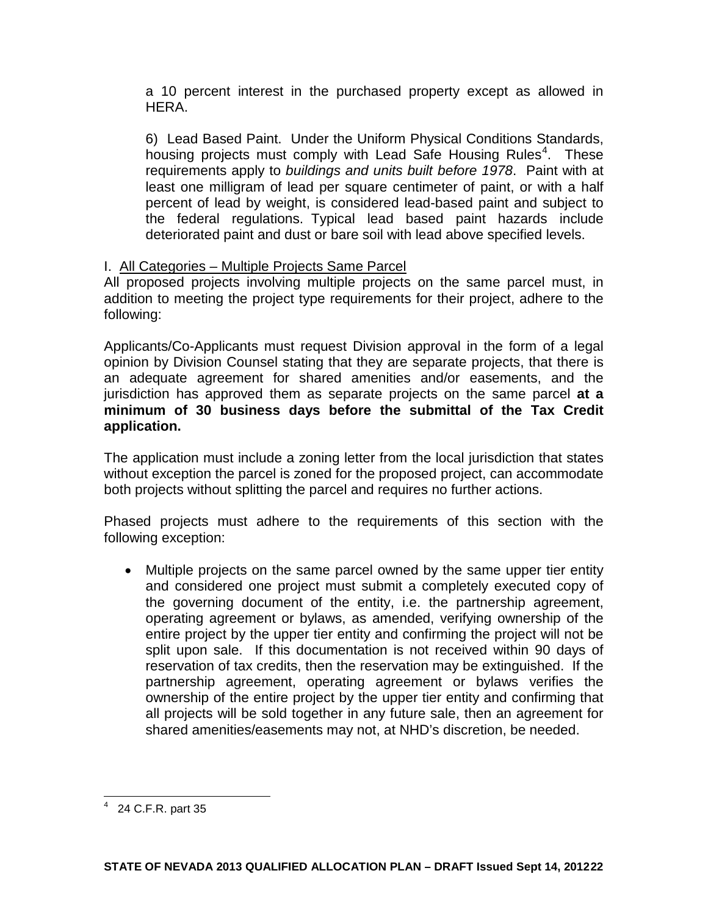a 10 percent interest in the purchased property except as allowed in HERA.

6) Lead Based Paint. Under the Uniform Physical Conditions Standards, housing projects must comply with Lead Safe Housing Rules<sup>[4](#page-20-0)</sup>. These requirements apply to *buildings and units built before 1978*. Paint with at least one milligram of lead per square centimeter of paint, or with a half percent of lead by weight, is considered lead-based paint and subject to the federal regulations. Typical lead based paint hazards include deteriorated paint and dust or bare soil with lead above specified levels.

#### I. All Categories – Multiple Projects Same Parcel

All proposed projects involving multiple projects on the same parcel must, in addition to meeting the project type requirements for their project, adhere to the following:

Applicants/Co-Applicants must request Division approval in the form of a legal opinion by Division Counsel stating that they are separate projects, that there is an adequate agreement for shared amenities and/or easements, and the jurisdiction has approved them as separate projects on the same parcel **at a minimum of 30 business days before the submittal of the Tax Credit application.**

The application must include a zoning letter from the local jurisdiction that states without exception the parcel is zoned for the proposed project, can accommodate both projects without splitting the parcel and requires no further actions.

Phased projects must adhere to the requirements of this section with the following exception:

• Multiple projects on the same parcel owned by the same upper tier entity and considered one project must submit a completely executed copy of the governing document of the entity, i.e. the partnership agreement, operating agreement or bylaws, as amended, verifying ownership of the entire project by the upper tier entity and confirming the project will not be split upon sale. If this documentation is not received within 90 days of reservation of tax credits, then the reservation may be extinguished. If the partnership agreement, operating agreement or bylaws verifies the ownership of the entire project by the upper tier entity and confirming that all projects will be sold together in any future sale, then an agreement for shared amenities/easements may not, at NHD's discretion, be needed.

4 24 C.F.R. part 35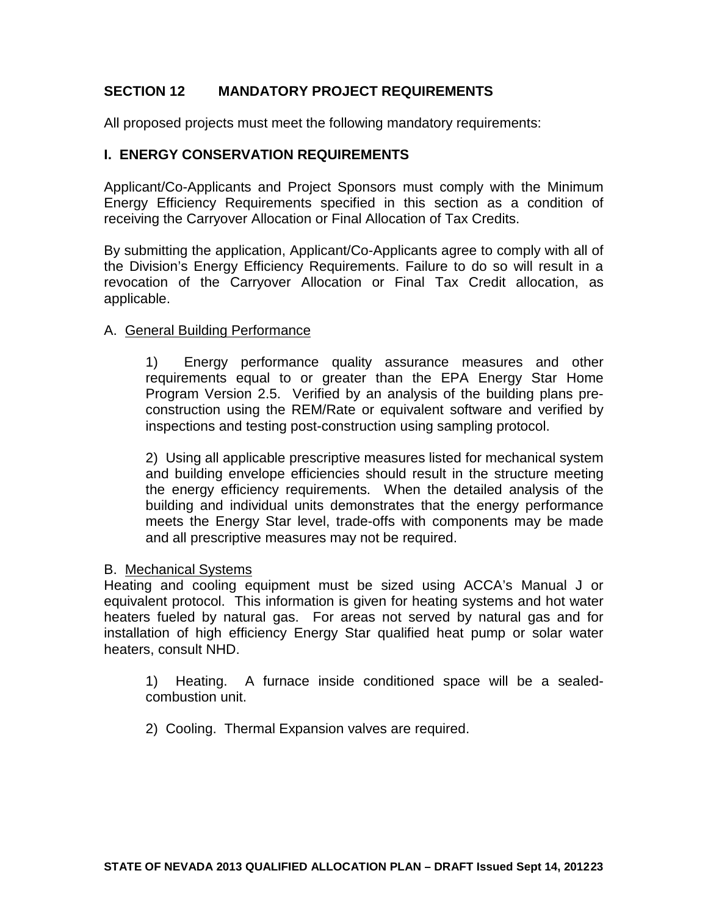# **SECTION 12 MANDATORY PROJECT REQUIREMENTS**

All proposed projects must meet the following mandatory requirements:

### **I. ENERGY CONSERVATION REQUIREMENTS**

Applicant/Co-Applicants and Project Sponsors must comply with the Minimum Energy Efficiency Requirements specified in this section as a condition of receiving the Carryover Allocation or Final Allocation of Tax Credits.

By submitting the application, Applicant/Co-Applicants agree to comply with all of the Division's Energy Efficiency Requirements. Failure to do so will result in a revocation of the Carryover Allocation or Final Tax Credit allocation, as applicable.

#### A. General Building Performance

1) Energy performance quality assurance measures and other requirements equal to or greater than the EPA Energy Star Home Program Version 2.5. Verified by an analysis of the building plans preconstruction using the REM/Rate or equivalent software and verified by inspections and testing post-construction using sampling protocol.

2) Using all applicable prescriptive measures listed for mechanical system and building envelope efficiencies should result in the structure meeting the energy efficiency requirements. When the detailed analysis of the building and individual units demonstrates that the energy performance meets the Energy Star level, trade-offs with components may be made and all prescriptive measures may not be required.

#### B. Mechanical Systems

Heating and cooling equipment must be sized using ACCA's Manual J or equivalent protocol. This information is given for heating systems and hot water heaters fueled by natural gas. For areas not served by natural gas and for installation of high efficiency Energy Star qualified heat pump or solar water heaters, consult NHD.

1) Heating. A furnace inside conditioned space will be a sealedcombustion unit.

2) Cooling. Thermal Expansion valves are required.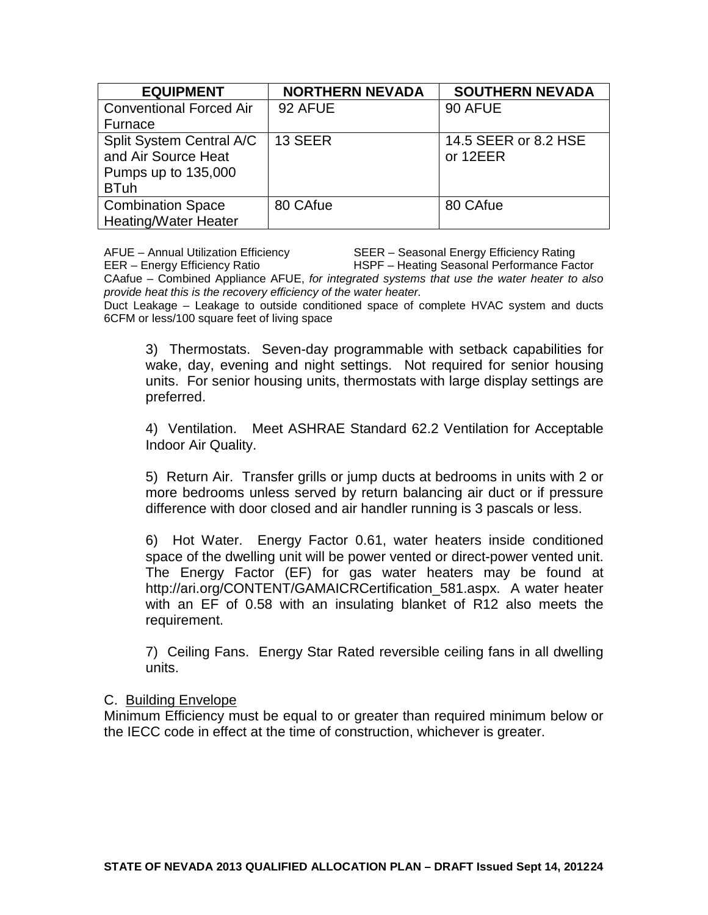| <b>EQUIPMENT</b>               | <b>NORTHERN NEVADA</b> | <b>SOUTHERN NEVADA</b> |
|--------------------------------|------------------------|------------------------|
| <b>Conventional Forced Air</b> | 92 AFUE                | 90 AFUE                |
| Furnace                        |                        |                        |
| Split System Central A/C       | 13 SEER                | 14.5 SEER or 8.2 HSE   |
| and Air Source Heat            |                        | or 12EER               |
| Pumps up to 135,000            |                        |                        |
| <b>BTuh</b>                    |                        |                        |
| <b>Combination Space</b>       | 80 CAfue               | 80 CAfue               |
| <b>Heating/Water Heater</b>    |                        |                        |

AFUE – Annual Utilization Efficiency SEER – Seasonal Energy Efficiency Rating EER – Energy Efficiency Ratio HSPF – Heating Seasonal Performance Factor CAafue – Combined Appliance AFUE, *for integrated systems that use the water heater to also provide heat this is the recovery efficiency of the water heater.*

Duct Leakage – Leakage to outside conditioned space of complete HVAC system and ducts 6CFM or less/100 square feet of living space

3) Thermostats. Seven-day programmable with setback capabilities for wake, day, evening and night settings. Not required for senior housing units. For senior housing units, thermostats with large display settings are preferred.

4) Ventilation. Meet ASHRAE Standard 62.2 Ventilation for Acceptable Indoor Air Quality.

5) Return Air. Transfer grills or jump ducts at bedrooms in units with 2 or more bedrooms unless served by return balancing air duct or if pressure difference with door closed and air handler running is 3 pascals or less.

6) Hot Water. Energy Factor 0.61, water heaters inside conditioned space of the dwelling unit will be power vented or direct-power vented unit. The Energy Factor (EF) for gas water heaters may be found at http://ari.org/CONTENT/GAMAICRCertification\_581.aspx. A water heater with an EF of 0.58 with an insulating blanket of R12 also meets the requirement.

7) Ceiling Fans. Energy Star Rated reversible ceiling fans in all dwelling units.

#### C. Building Envelope

Minimum Efficiency must be equal to or greater than required minimum below or the IECC code in effect at the time of construction, whichever is greater.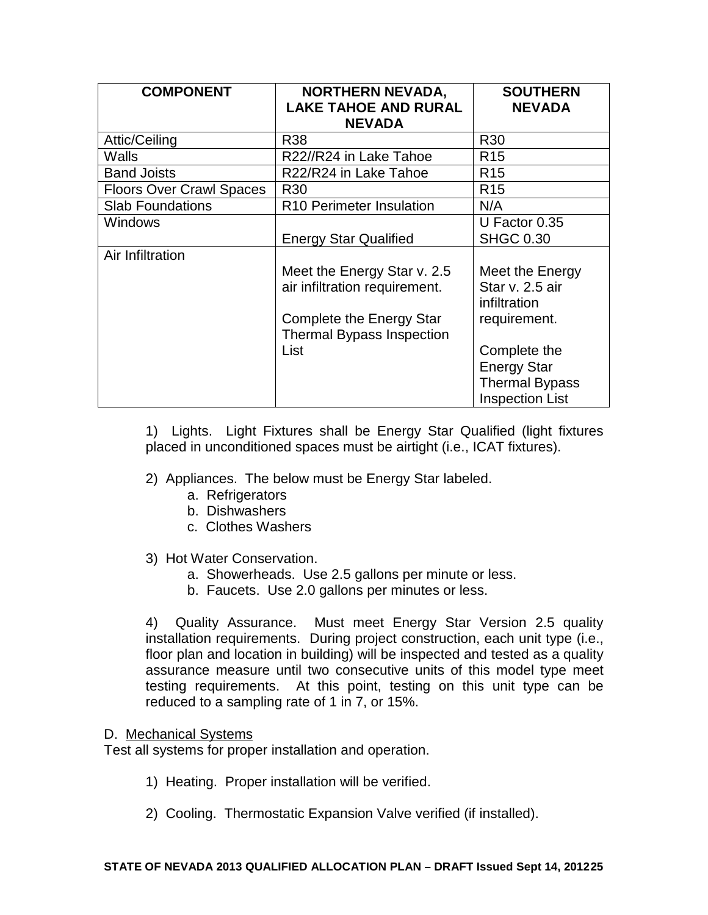| <b>COMPONENT</b>                | <b>NORTHERN NEVADA,</b><br><b>LAKE TAHOE AND RURAL</b><br><b>NEVADA</b>                                                              | <b>SOUTHERN</b><br><b>NEVADA</b>                                                                                                                            |
|---------------------------------|--------------------------------------------------------------------------------------------------------------------------------------|-------------------------------------------------------------------------------------------------------------------------------------------------------------|
| Attic/Ceiling                   | R38                                                                                                                                  | R <sub>30</sub>                                                                                                                                             |
| Walls                           | R22//R24 in Lake Tahoe                                                                                                               | R <sub>15</sub>                                                                                                                                             |
| <b>Band Joists</b>              | R22/R24 in Lake Tahoe                                                                                                                | R <sub>15</sub>                                                                                                                                             |
| <b>Floors Over Crawl Spaces</b> | R <sub>30</sub>                                                                                                                      | R <sub>15</sub>                                                                                                                                             |
| <b>Slab Foundations</b>         | R <sub>10</sub> Perimeter Insulation                                                                                                 | N/A                                                                                                                                                         |
| <b>Windows</b>                  | <b>Energy Star Qualified</b>                                                                                                         | U Factor 0.35<br><b>SHGC 0.30</b>                                                                                                                           |
| Air Infiltration                | Meet the Energy Star v. 2.5<br>air infiltration requirement.<br>Complete the Energy Star<br><b>Thermal Bypass Inspection</b><br>List | Meet the Energy<br>Star v. 2.5 air<br>infiltration<br>requirement.<br>Complete the<br><b>Energy Star</b><br><b>Thermal Bypass</b><br><b>Inspection List</b> |

1) Lights. Light Fixtures shall be Energy Star Qualified (light fixtures placed in unconditioned spaces must be airtight (i.e., ICAT fixtures).

- 2) Appliances. The below must be Energy Star labeled.
	- a. Refrigerators
	- b. Dishwashers
	- c. Clothes Washers
- 3) Hot Water Conservation.
	- a. Showerheads. Use 2.5 gallons per minute or less.
	- b. Faucets. Use 2.0 gallons per minutes or less.

4) Quality Assurance. Must meet Energy Star Version 2.5 quality installation requirements. During project construction, each unit type (i.e., floor plan and location in building) will be inspected and tested as a quality assurance measure until two consecutive units of this model type meet testing requirements. At this point, testing on this unit type can be reduced to a sampling rate of 1 in 7, or 15%.

#### D. Mechanical Systems

Test all systems for proper installation and operation.

- 1) Heating. Proper installation will be verified.
- 2) Cooling. Thermostatic Expansion Valve verified (if installed).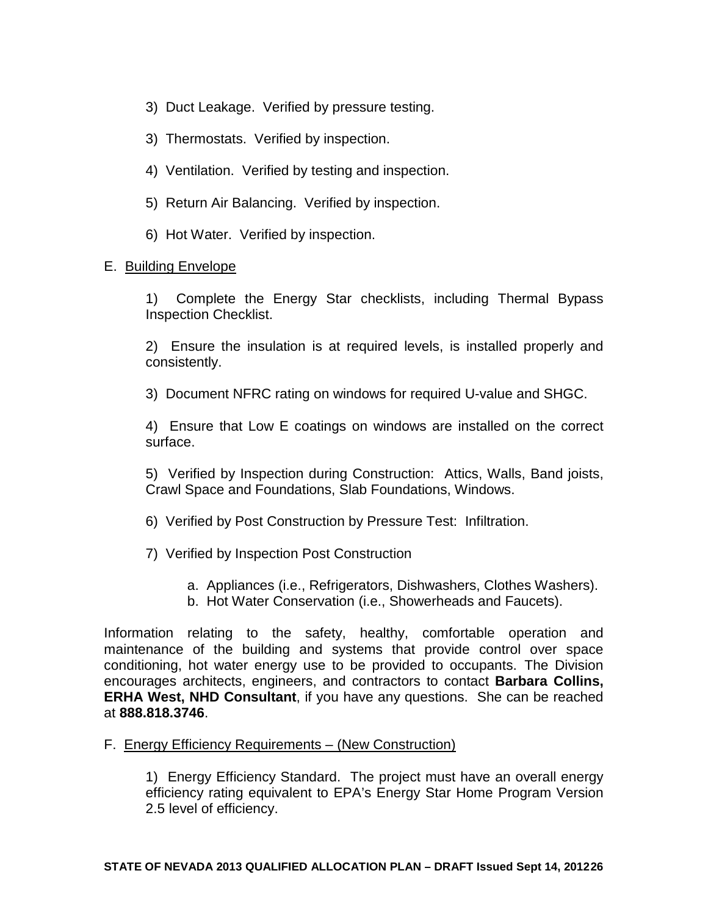- 3) Duct Leakage. Verified by pressure testing.
- 3) Thermostats. Verified by inspection.
- 4) Ventilation. Verified by testing and inspection.
- 5) Return Air Balancing. Verified by inspection.
- 6) Hot Water. Verified by inspection.

#### E. Building Envelope

1) Complete the Energy Star checklists, including Thermal Bypass Inspection Checklist.

2) Ensure the insulation is at required levels, is installed properly and consistently.

3) Document NFRC rating on windows for required U-value and SHGC.

4) Ensure that Low E coatings on windows are installed on the correct surface.

5) Verified by Inspection during Construction: Attics, Walls, Band joists, Crawl Space and Foundations, Slab Foundations, Windows.

6) Verified by Post Construction by Pressure Test: Infiltration.

- 7) Verified by Inspection Post Construction
	- a. Appliances (i.e., Refrigerators, Dishwashers, Clothes Washers).
	- b. Hot Water Conservation (i.e., Showerheads and Faucets).

Information relating to the safety, healthy, comfortable operation and maintenance of the building and systems that provide control over space conditioning, hot water energy use to be provided to occupants. The Division encourages architects, engineers, and contractors to contact **Barbara Collins, ERHA West, NHD Consultant**, if you have any questions. She can be reached at **888.818.3746**.

#### F. Energy Efficiency Requirements – (New Construction)

1) Energy Efficiency Standard. The project must have an overall energy efficiency rating equivalent to EPA's Energy Star Home Program Version 2.5 level of efficiency.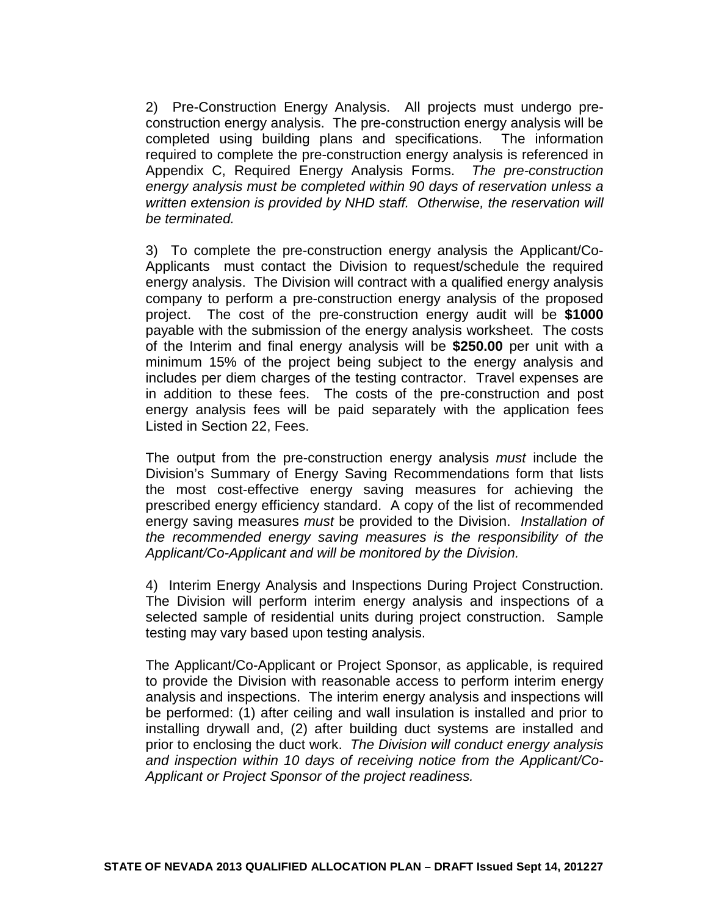2) Pre-Construction Energy Analysis. All projects must undergo preconstruction energy analysis. The pre-construction energy analysis will be completed using building plans and specifications. The information required to complete the pre-construction energy analysis is referenced in Appendix C, Required Energy Analysis Forms. *The pre-construction energy analysis must be completed within 90 days of reservation unless a written extension is provided by NHD staff. Otherwise, the reservation will be terminated.* 

3) To complete the pre-construction energy analysis the Applicant/Co-Applicants must contact the Division to request/schedule the required energy analysis. The Division will contract with a qualified energy analysis company to perform a pre-construction energy analysis of the proposed project. The cost of the pre-construction energy audit will be **\$1000**  payable with the submission of the energy analysis worksheet. The costs of the Interim and final energy analysis will be **\$250.00** per unit with a minimum 15% of the project being subject to the energy analysis and includes per diem charges of the testing contractor. Travel expenses are in addition to these fees. The costs of the pre-construction and post energy analysis fees will be paid separately with the application fees Listed in Section 22, Fees.

The output from the pre-construction energy analysis *must* include the Division's Summary of Energy Saving Recommendations form that lists the most cost-effective energy saving measures for achieving the prescribed energy efficiency standard. A copy of the list of recommended energy saving measures *must* be provided to the Division. *Installation of the recommended energy saving measures is the responsibility of the Applicant/Co-Applicant and will be monitored by the Division.* 

4) Interim Energy Analysis and Inspections During Project Construction. The Division will perform interim energy analysis and inspections of a selected sample of residential units during project construction. Sample testing may vary based upon testing analysis.

The Applicant/Co-Applicant or Project Sponsor, as applicable, is required to provide the Division with reasonable access to perform interim energy analysis and inspections. The interim energy analysis and inspections will be performed: (1) after ceiling and wall insulation is installed and prior to installing drywall and, (2) after building duct systems are installed and prior to enclosing the duct work. *The Division will conduct energy analysis and inspection within 10 days of receiving notice from the Applicant/Co-Applicant or Project Sponsor of the project readiness.*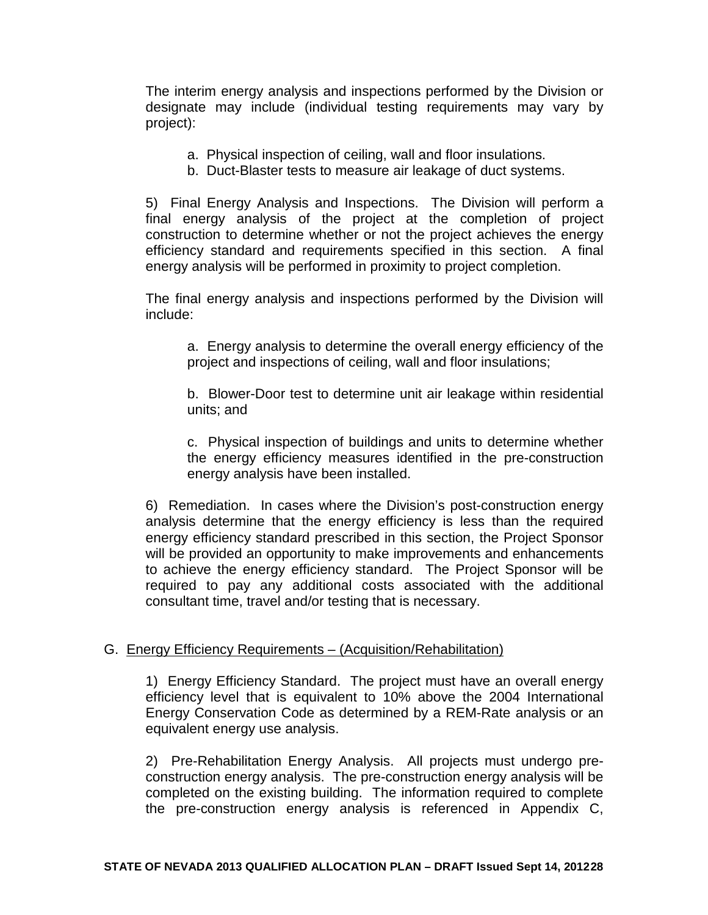The interim energy analysis and inspections performed by the Division or designate may include (individual testing requirements may vary by project):

- a. Physical inspection of ceiling, wall and floor insulations.
- b. Duct-Blaster tests to measure air leakage of duct systems.

5) Final Energy Analysis and Inspections. The Division will perform a final energy analysis of the project at the completion of project construction to determine whether or not the project achieves the energy efficiency standard and requirements specified in this section. A final energy analysis will be performed in proximity to project completion.

The final energy analysis and inspections performed by the Division will include:

a. Energy analysis to determine the overall energy efficiency of the project and inspections of ceiling, wall and floor insulations;

b. Blower-Door test to determine unit air leakage within residential units; and

c. Physical inspection of buildings and units to determine whether the energy efficiency measures identified in the pre-construction energy analysis have been installed.

6) Remediation. In cases where the Division's post-construction energy analysis determine that the energy efficiency is less than the required energy efficiency standard prescribed in this section, the Project Sponsor will be provided an opportunity to make improvements and enhancements to achieve the energy efficiency standard. The Project Sponsor will be required to pay any additional costs associated with the additional consultant time, travel and/or testing that is necessary.

#### G. Energy Efficiency Requirements – (Acquisition/Rehabilitation)

1) Energy Efficiency Standard. The project must have an overall energy efficiency level that is equivalent to 10% above the 2004 International Energy Conservation Code as determined by a REM-Rate analysis or an equivalent energy use analysis.

2) Pre-Rehabilitation Energy Analysis. All projects must undergo preconstruction energy analysis. The pre-construction energy analysis will be completed on the existing building. The information required to complete the pre-construction energy analysis is referenced in Appendix C,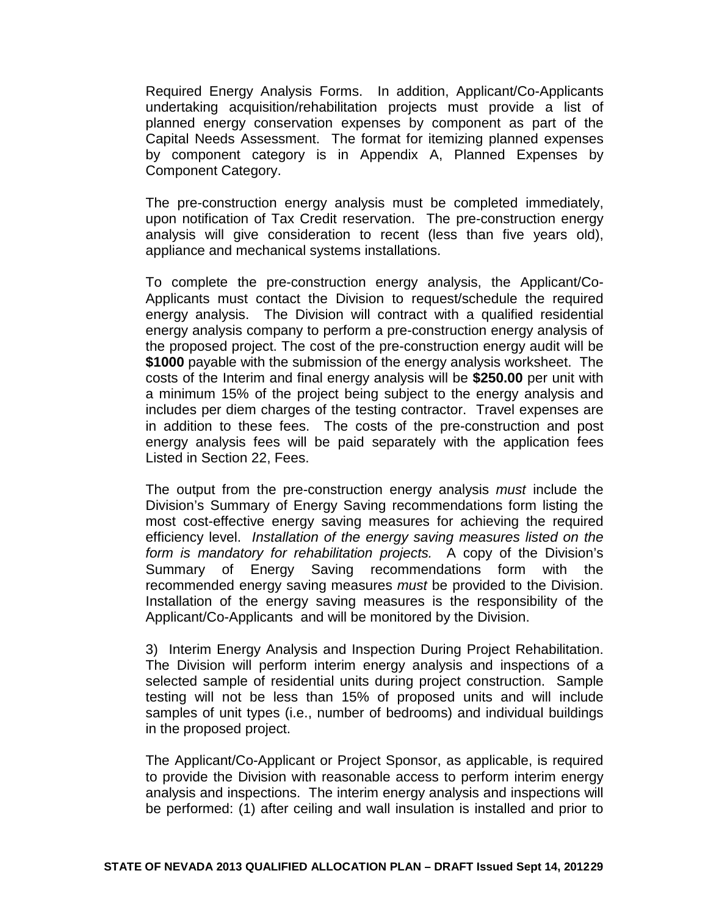Required Energy Analysis Forms. In addition, Applicant/Co-Applicants undertaking acquisition/rehabilitation projects must provide a list of planned energy conservation expenses by component as part of the Capital Needs Assessment. The format for itemizing planned expenses by component category is in Appendix A, Planned Expenses by Component Category.

The pre-construction energy analysis must be completed immediately, upon notification of Tax Credit reservation. The pre-construction energy analysis will give consideration to recent (less than five years old), appliance and mechanical systems installations.

To complete the pre-construction energy analysis, the Applicant/Co-Applicants must contact the Division to request/schedule the required energy analysis. The Division will contract with a qualified residential energy analysis company to perform a pre-construction energy analysis of the proposed project. The cost of the pre-construction energy audit will be **\$1000** payable with the submission of the energy analysis worksheet. The costs of the Interim and final energy analysis will be **\$250.00** per unit with a minimum 15% of the project being subject to the energy analysis and includes per diem charges of the testing contractor. Travel expenses are in addition to these fees. The costs of the pre-construction and post energy analysis fees will be paid separately with the application fees Listed in Section 22, Fees.

The output from the pre-construction energy analysis *must* include the Division's Summary of Energy Saving recommendations form listing the most cost-effective energy saving measures for achieving the required efficiency level. *Installation of the energy saving measures listed on the form is mandatory for rehabilitation projects.* A copy of the Division's Summary of Energy Saving recommendations form with the recommended energy saving measures *must* be provided to the Division. Installation of the energy saving measures is the responsibility of the Applicant/Co-Applicants and will be monitored by the Division.

3) Interim Energy Analysis and Inspection During Project Rehabilitation. The Division will perform interim energy analysis and inspections of a selected sample of residential units during project construction. Sample testing will not be less than 15% of proposed units and will include samples of unit types (i.e., number of bedrooms) and individual buildings in the proposed project.

The Applicant/Co-Applicant or Project Sponsor, as applicable, is required to provide the Division with reasonable access to perform interim energy analysis and inspections. The interim energy analysis and inspections will be performed: (1) after ceiling and wall insulation is installed and prior to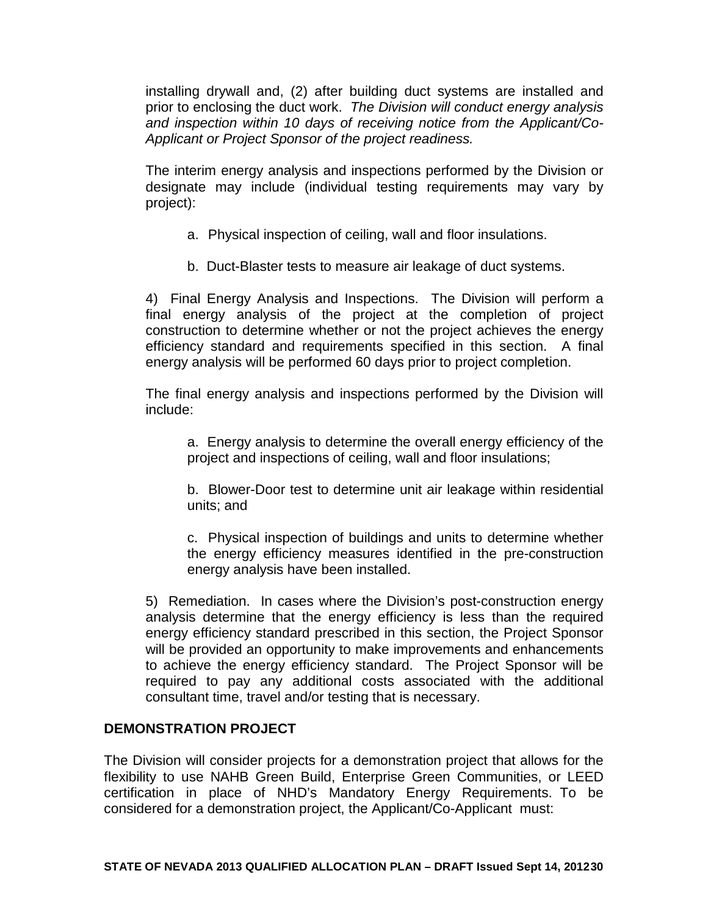installing drywall and, (2) after building duct systems are installed and prior to enclosing the duct work. *The Division will conduct energy analysis and inspection within 10 days of receiving notice from the Applicant/Co-Applicant or Project Sponsor of the project readiness.*

The interim energy analysis and inspections performed by the Division or designate may include (individual testing requirements may vary by project):

- a. Physical inspection of ceiling, wall and floor insulations.
- b. Duct-Blaster tests to measure air leakage of duct systems.

4) Final Energy Analysis and Inspections. The Division will perform a final energy analysis of the project at the completion of project construction to determine whether or not the project achieves the energy efficiency standard and requirements specified in this section. A final energy analysis will be performed 60 days prior to project completion.

The final energy analysis and inspections performed by the Division will include:

a. Energy analysis to determine the overall energy efficiency of the project and inspections of ceiling, wall and floor insulations;

b. Blower-Door test to determine unit air leakage within residential units; and

c. Physical inspection of buildings and units to determine whether the energy efficiency measures identified in the pre-construction energy analysis have been installed.

5) Remediation. In cases where the Division's post-construction energy analysis determine that the energy efficiency is less than the required energy efficiency standard prescribed in this section, the Project Sponsor will be provided an opportunity to make improvements and enhancements to achieve the energy efficiency standard. The Project Sponsor will be required to pay any additional costs associated with the additional consultant time, travel and/or testing that is necessary.

# **DEMONSTRATION PROJECT**

The Division will consider projects for a demonstration project that allows for the flexibility to use NAHB Green Build, Enterprise Green Communities, or LEED certification in place of NHD's Mandatory Energy Requirements. To be considered for a demonstration project, the Applicant/Co-Applicant must: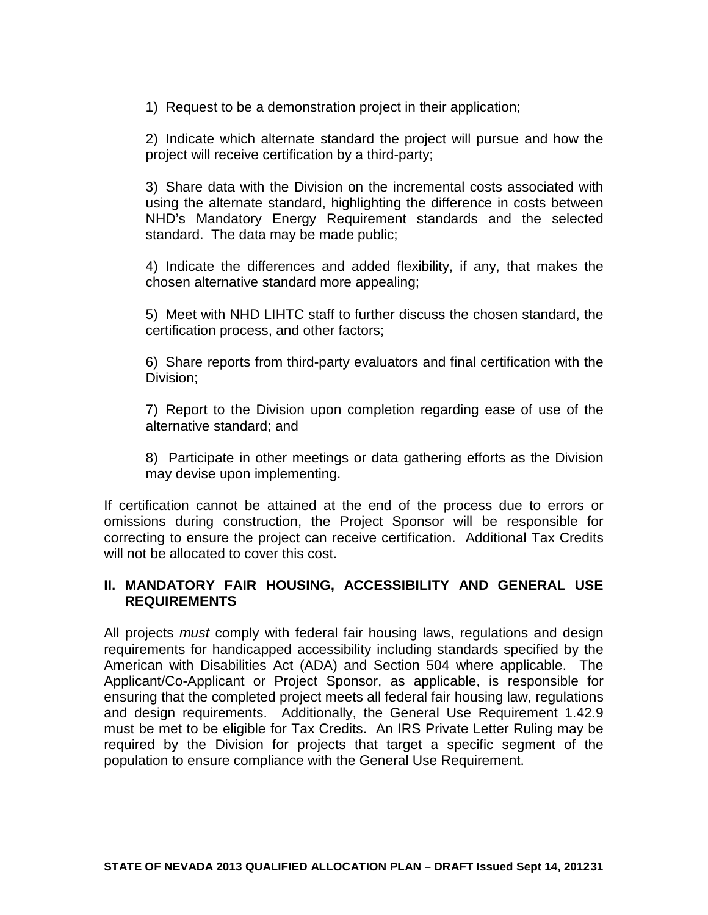1) Request to be a demonstration project in their application;

2) Indicate which alternate standard the project will pursue and how the project will receive certification by a third-party;

3) Share data with the Division on the incremental costs associated with using the alternate standard, highlighting the difference in costs between NHD's Mandatory Energy Requirement standards and the selected standard. The data may be made public;

4) Indicate the differences and added flexibility, if any, that makes the chosen alternative standard more appealing;

5) Meet with NHD LIHTC staff to further discuss the chosen standard, the certification process, and other factors;

6) Share reports from third-party evaluators and final certification with the Division;

7) Report to the Division upon completion regarding ease of use of the alternative standard; and

8) Participate in other meetings or data gathering efforts as the Division may devise upon implementing.

If certification cannot be attained at the end of the process due to errors or omissions during construction, the Project Sponsor will be responsible for correcting to ensure the project can receive certification. Additional Tax Credits will not be allocated to cover this cost.

# **II. MANDATORY FAIR HOUSING, ACCESSIBILITY AND GENERAL USE REQUIREMENTS**

All projects *must* comply with federal fair housing laws, regulations and design requirements for handicapped accessibility including standards specified by the American with Disabilities Act (ADA) and Section 504 where applicable. The Applicant/Co-Applicant or Project Sponsor, as applicable, is responsible for ensuring that the completed project meets all federal fair housing law, regulations and design requirements. Additionally, the General Use Requirement 1.42.9 must be met to be eligible for Tax Credits. An IRS Private Letter Ruling may be required by the Division for projects that target a specific segment of the population to ensure compliance with the General Use Requirement.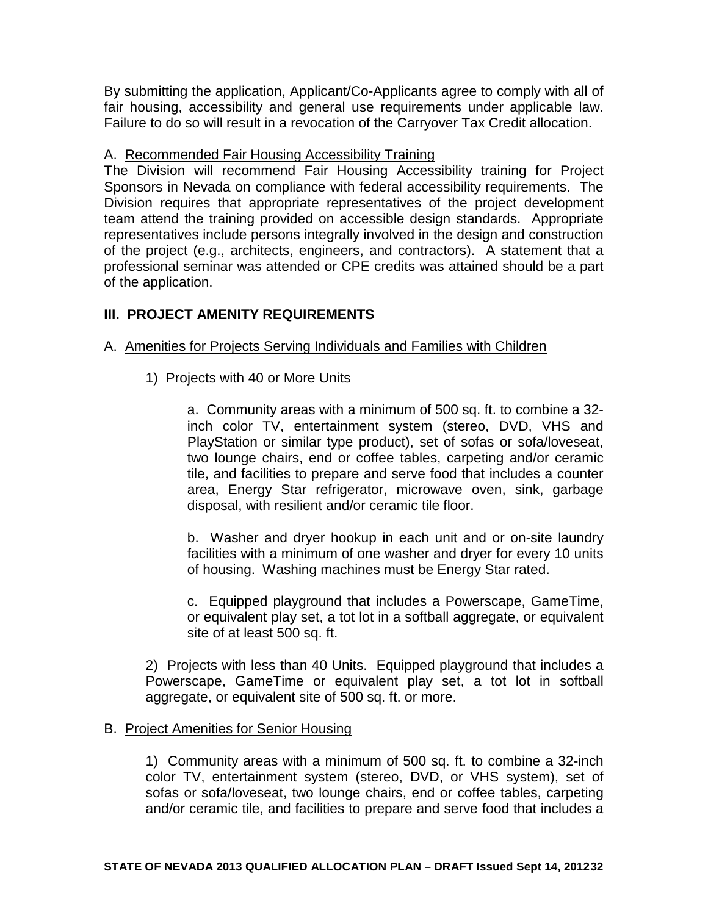By submitting the application, Applicant/Co-Applicants agree to comply with all of fair housing, accessibility and general use requirements under applicable law. Failure to do so will result in a revocation of the Carryover Tax Credit allocation.

# A. Recommended Fair Housing Accessibility Training

The Division will recommend Fair Housing Accessibility training for Project Sponsors in Nevada on compliance with federal accessibility requirements. The Division requires that appropriate representatives of the project development team attend the training provided on accessible design standards. Appropriate representatives include persons integrally involved in the design and construction of the project (e.g., architects, engineers, and contractors). A statement that a professional seminar was attended or CPE credits was attained should be a part of the application.

# **III. PROJECT AMENITY REQUIREMENTS**

# A. Amenities for Projects Serving Individuals and Families with Children

1) Projects with 40 or More Units

a. Community areas with a minimum of 500 sq. ft. to combine a 32 inch color TV, entertainment system (stereo, DVD, VHS and PlayStation or similar type product), set of sofas or sofa/loveseat, two lounge chairs, end or coffee tables, carpeting and/or ceramic tile, and facilities to prepare and serve food that includes a counter area, Energy Star refrigerator, microwave oven, sink, garbage disposal, with resilient and/or ceramic tile floor.

b. Washer and dryer hookup in each unit and or on-site laundry facilities with a minimum of one washer and dryer for every 10 units of housing. Washing machines must be Energy Star rated.

c. Equipped playground that includes a Powerscape, GameTime, or equivalent play set, a tot lot in a softball aggregate, or equivalent site of at least 500 sq. ft.

2) Projects with less than 40 Units. Equipped playground that includes a Powerscape, GameTime or equivalent play set, a tot lot in softball aggregate, or equivalent site of 500 sq. ft. or more.

# B. Project Amenities for Senior Housing

1) Community areas with a minimum of 500 sq. ft. to combine a 32-inch color TV, entertainment system (stereo, DVD, or VHS system), set of sofas or sofa/loveseat, two lounge chairs, end or coffee tables, carpeting and/or ceramic tile, and facilities to prepare and serve food that includes a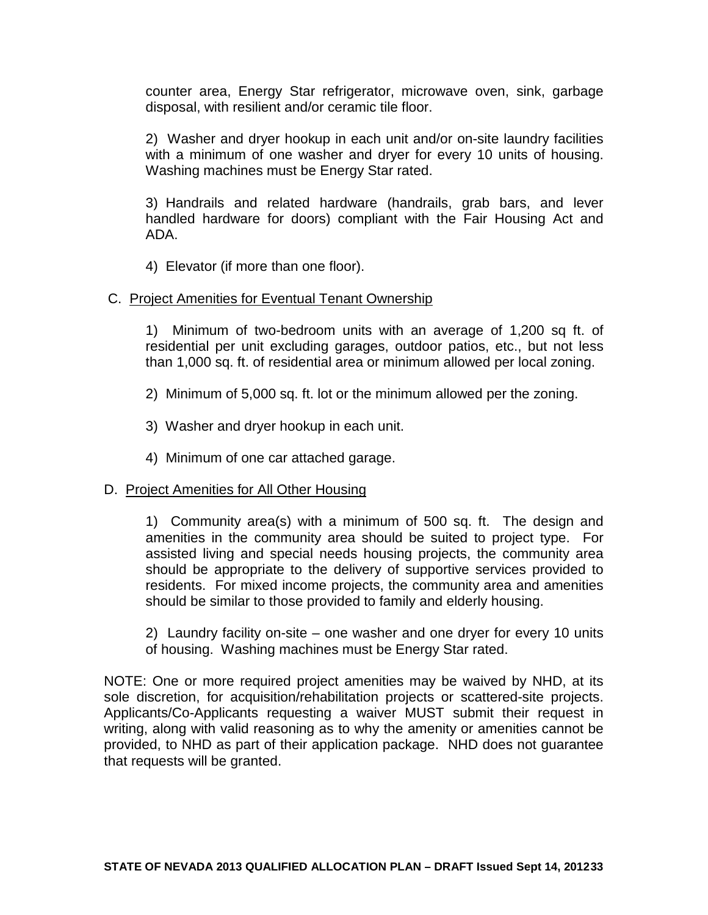counter area, Energy Star refrigerator, microwave oven, sink, garbage disposal, with resilient and/or ceramic tile floor.

2) Washer and dryer hookup in each unit and/or on-site laundry facilities with a minimum of one washer and dryer for every 10 units of housing. Washing machines must be Energy Star rated.

3) Handrails and related hardware (handrails, grab bars, and lever handled hardware for doors) compliant with the Fair Housing Act and ADA.

4) Elevator (if more than one floor).

#### C. Project Amenities for Eventual Tenant Ownership

1) Minimum of two-bedroom units with an average of 1,200 sq ft. of residential per unit excluding garages, outdoor patios, etc., but not less than 1,000 sq. ft. of residential area or minimum allowed per local zoning.

2) Minimum of 5,000 sq. ft. lot or the minimum allowed per the zoning.

3) Washer and dryer hookup in each unit.

4) Minimum of one car attached garage.

# D. Project Amenities for All Other Housing

1) Community area(s) with a minimum of 500 sq. ft. The design and amenities in the community area should be suited to project type. For assisted living and special needs housing projects, the community area should be appropriate to the delivery of supportive services provided to residents. For mixed income projects, the community area and amenities should be similar to those provided to family and elderly housing.

2) Laundry facility on-site – one washer and one dryer for every 10 units of housing. Washing machines must be Energy Star rated.

NOTE: One or more required project amenities may be waived by NHD, at its sole discretion, for acquisition/rehabilitation projects or scattered-site projects. Applicants/Co-Applicants requesting a waiver MUST submit their request in writing, along with valid reasoning as to why the amenity or amenities cannot be provided, to NHD as part of their application package. NHD does not guarantee that requests will be granted.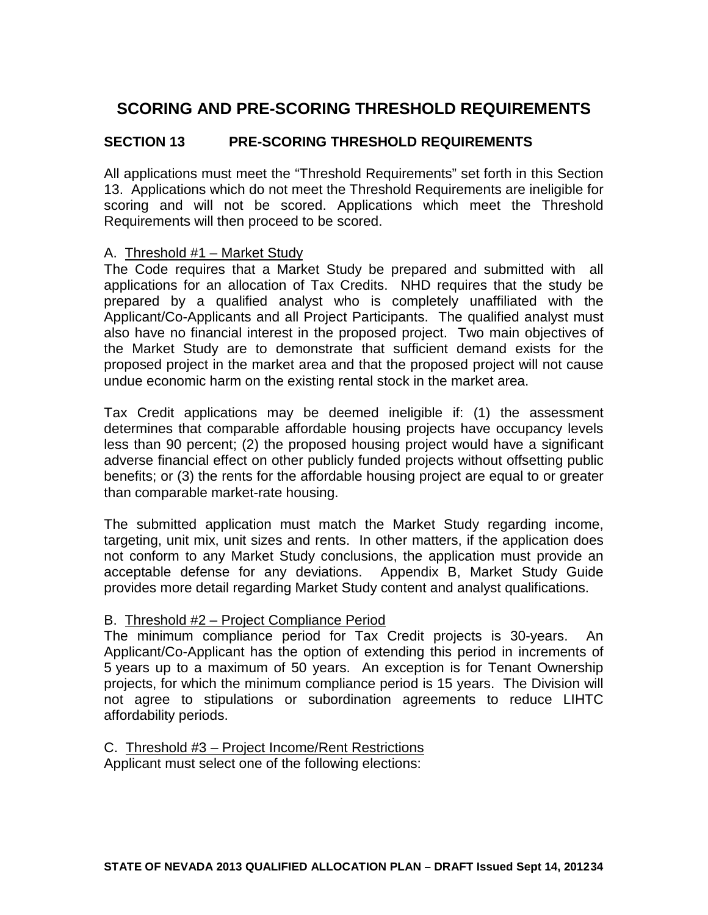# **SCORING AND PRE-SCORING THRESHOLD REQUIREMENTS**

# **SECTION 13 PRE-SCORING THRESHOLD REQUIREMENTS**

All applications must meet the "Threshold Requirements" set forth in this Section 13. Applications which do not meet the Threshold Requirements are ineligible for scoring and will not be scored. Applications which meet the Threshold Requirements will then proceed to be scored.

#### A. Threshold #1 – Market Study

The Code requires that a Market Study be prepared and submitted with all applications for an allocation of Tax Credits. NHD requires that the study be prepared by a qualified analyst who is completely unaffiliated with the Applicant/Co-Applicants and all Project Participants. The qualified analyst must also have no financial interest in the proposed project. Two main objectives of the Market Study are to demonstrate that sufficient demand exists for the proposed project in the market area and that the proposed project will not cause undue economic harm on the existing rental stock in the market area.

Tax Credit applications may be deemed ineligible if: (1) the assessment determines that comparable affordable housing projects have occupancy levels less than 90 percent; (2) the proposed housing project would have a significant adverse financial effect on other publicly funded projects without offsetting public benefits; or (3) the rents for the affordable housing project are equal to or greater than comparable market-rate housing.

The submitted application must match the Market Study regarding income, targeting, unit mix, unit sizes and rents. In other matters, if the application does not conform to any Market Study conclusions, the application must provide an acceptable defense for any deviations. Appendix B, Market Study Guide provides more detail regarding Market Study content and analyst qualifications.

# B. Threshold #2 – Project Compliance Period

The minimum compliance period for Tax Credit projects is 30-years. An Applicant/Co-Applicant has the option of extending this period in increments of 5 years up to a maximum of 50 years. An exception is for Tenant Ownership projects, for which the minimum compliance period is 15 years. The Division will not agree to stipulations or subordination agreements to reduce LIHTC affordability periods.

C. Threshold #3 – Project Income/Rent Restrictions

Applicant must select one of the following elections: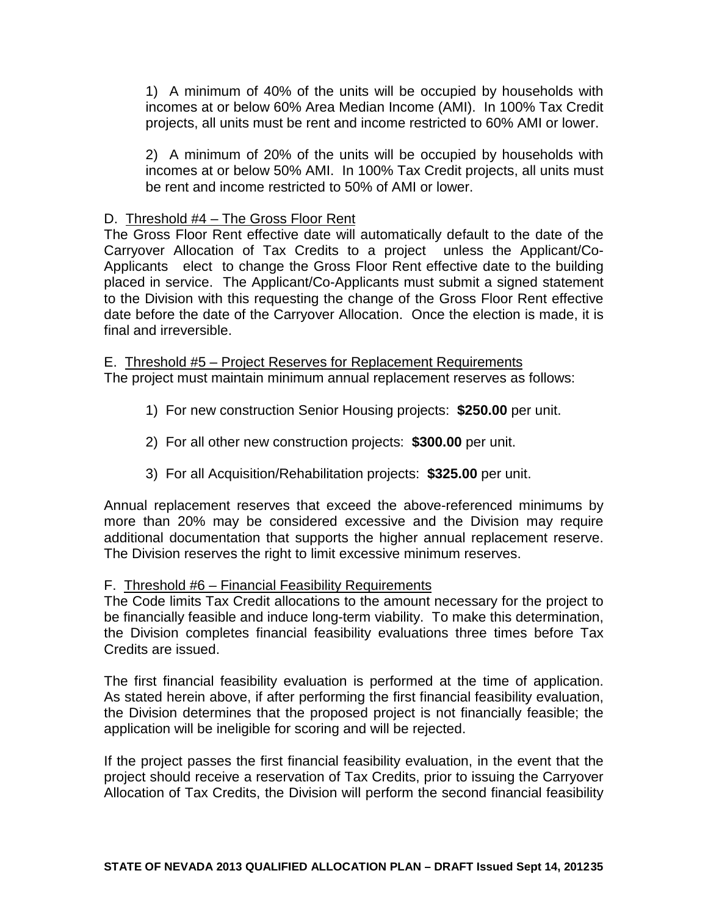1) A minimum of 40% of the units will be occupied by households with incomes at or below 60% Area Median Income (AMI). In 100% Tax Credit projects, all units must be rent and income restricted to 60% AMI or lower.

2) A minimum of 20% of the units will be occupied by households with incomes at or below 50% AMI. In 100% Tax Credit projects, all units must be rent and income restricted to 50% of AMI or lower.

#### D. Threshold #4 – The Gross Floor Rent

The Gross Floor Rent effective date will automatically default to the date of the Carryover Allocation of Tax Credits to a project unless the Applicant/Co-Applicants elect to change the Gross Floor Rent effective date to the building placed in service. The Applicant/Co-Applicants must submit a signed statement to the Division with this requesting the change of the Gross Floor Rent effective date before the date of the Carryover Allocation. Once the election is made, it is final and irreversible.

E. Threshold #5 – Project Reserves for Replacement Requirements The project must maintain minimum annual replacement reserves as follows:

- 1) For new construction Senior Housing projects: **\$250.00** per unit.
- 2) For all other new construction projects: **\$300.00** per unit.
- 3) For all Acquisition/Rehabilitation projects: **\$325.00** per unit.

Annual replacement reserves that exceed the above-referenced minimums by more than 20% may be considered excessive and the Division may require additional documentation that supports the higher annual replacement reserve. The Division reserves the right to limit excessive minimum reserves.

# F. Threshold #6 – Financial Feasibility Requirements

The Code limits Tax Credit allocations to the amount necessary for the project to be financially feasible and induce long-term viability. To make this determination, the Division completes financial feasibility evaluations three times before Tax Credits are issued.

The first financial feasibility evaluation is performed at the time of application. As stated herein above, if after performing the first financial feasibility evaluation, the Division determines that the proposed project is not financially feasible; the application will be ineligible for scoring and will be rejected.

If the project passes the first financial feasibility evaluation, in the event that the project should receive a reservation of Tax Credits, prior to issuing the Carryover Allocation of Tax Credits, the Division will perform the second financial feasibility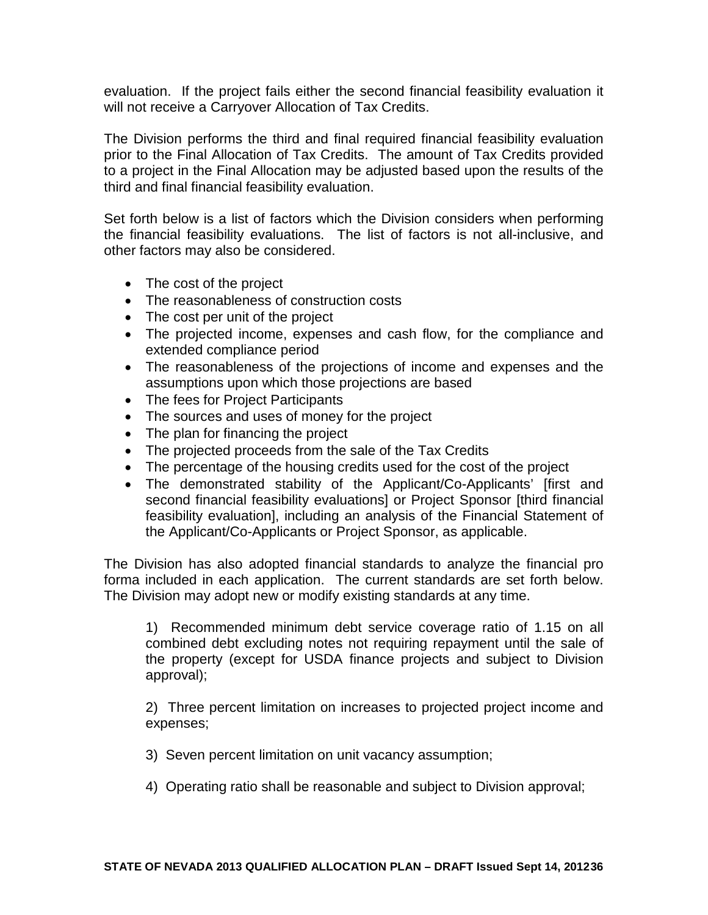evaluation. If the project fails either the second financial feasibility evaluation it will not receive a Carryover Allocation of Tax Credits.

The Division performs the third and final required financial feasibility evaluation prior to the Final Allocation of Tax Credits. The amount of Tax Credits provided to a project in the Final Allocation may be adjusted based upon the results of the third and final financial feasibility evaluation.

Set forth below is a list of factors which the Division considers when performing the financial feasibility evaluations. The list of factors is not all-inclusive, and other factors may also be considered.

- The cost of the project
- The reasonableness of construction costs
- The cost per unit of the project
- The projected income, expenses and cash flow, for the compliance and extended compliance period
- The reasonableness of the projections of income and expenses and the assumptions upon which those projections are based
- The fees for Project Participants
- The sources and uses of money for the project
- The plan for financing the project
- The projected proceeds from the sale of the Tax Credits
- The percentage of the housing credits used for the cost of the project
- The demonstrated stability of the Applicant/Co-Applicants' [first and second financial feasibility evaluations] or Project Sponsor [third financial feasibility evaluation], including an analysis of the Financial Statement of the Applicant/Co-Applicants or Project Sponsor, as applicable.

The Division has also adopted financial standards to analyze the financial pro forma included in each application. The current standards are set forth below. The Division may adopt new or modify existing standards at any time.

1) Recommended minimum debt service coverage ratio of 1.15 on all combined debt excluding notes not requiring repayment until the sale of the property (except for USDA finance projects and subject to Division approval);

2) Three percent limitation on increases to projected project income and expenses;

- 3) Seven percent limitation on unit vacancy assumption;
- 4) Operating ratio shall be reasonable and subject to Division approval;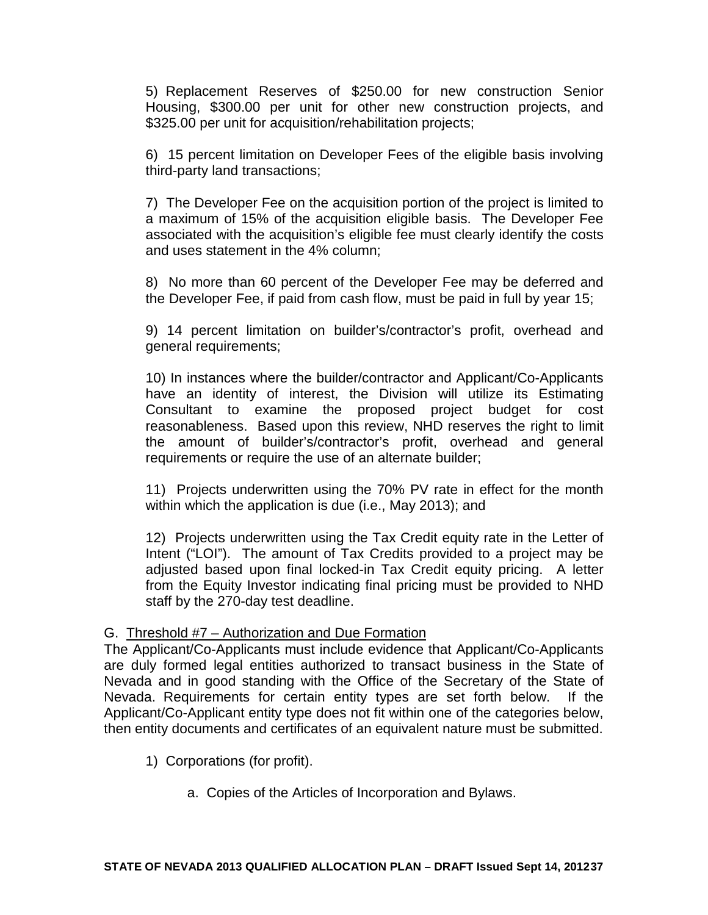5) Replacement Reserves of \$250.00 for new construction Senior Housing, \$300.00 per unit for other new construction projects, and \$325.00 per unit for acquisition/rehabilitation projects;

6) 15 percent limitation on Developer Fees of the eligible basis involving third-party land transactions;

7) The Developer Fee on the acquisition portion of the project is limited to a maximum of 15% of the acquisition eligible basis. The Developer Fee associated with the acquisition's eligible fee must clearly identify the costs and uses statement in the 4% column;

8) No more than 60 percent of the Developer Fee may be deferred and the Developer Fee, if paid from cash flow, must be paid in full by year 15;

9) 14 percent limitation on builder's/contractor's profit, overhead and general requirements;

10) In instances where the builder/contractor and Applicant/Co-Applicants have an identity of interest, the Division will utilize its Estimating Consultant to examine the proposed project budget for cost reasonableness. Based upon this review, NHD reserves the right to limit the amount of builder's/contractor's profit, overhead and general requirements or require the use of an alternate builder;

11) Projects underwritten using the 70% PV rate in effect for the month within which the application is due (i.e., May 2013); and

12) Projects underwritten using the Tax Credit equity rate in the Letter of Intent ("LOI"). The amount of Tax Credits provided to a project may be adjusted based upon final locked-in Tax Credit equity pricing. A letter from the Equity Investor indicating final pricing must be provided to NHD staff by the 270-day test deadline.

### G. Threshold #7 – Authorization and Due Formation

The Applicant/Co-Applicants must include evidence that Applicant/Co-Applicants are duly formed legal entities authorized to transact business in the State of Nevada and in good standing with the Office of the Secretary of the State of Nevada. Requirements for certain entity types are set forth below. If the Applicant/Co-Applicant entity type does not fit within one of the categories below, then entity documents and certificates of an equivalent nature must be submitted.

- 1) Corporations (for profit).
	- a. Copies of the Articles of Incorporation and Bylaws.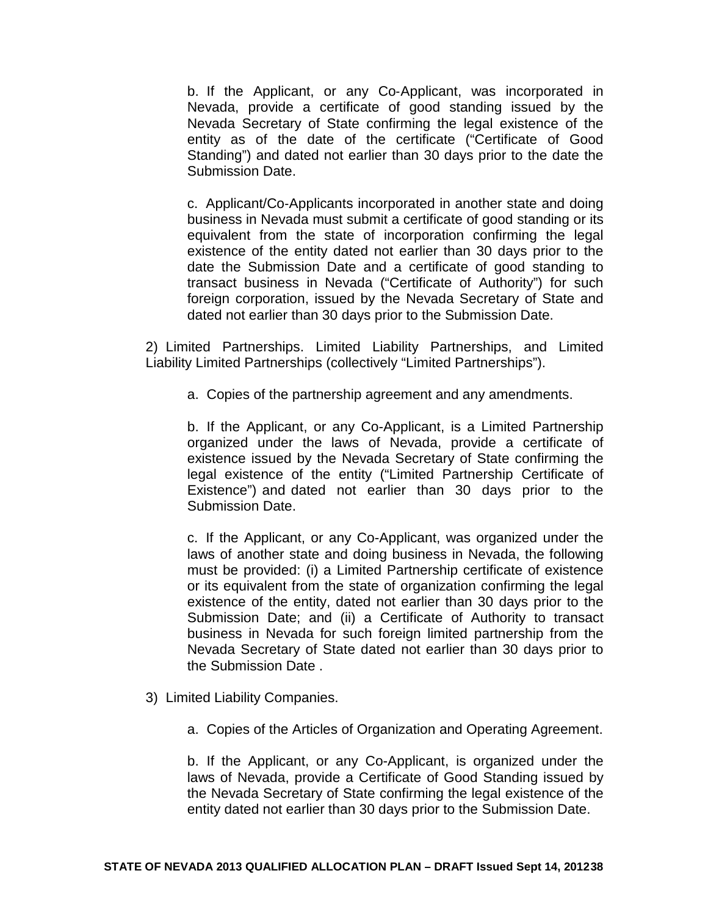b. If the Applicant, or any Co‐Applicant, was incorporated in Nevada, provide a certificate of good standing issued by the Nevada Secretary of State confirming the legal existence of the entity as of the date of the certificate ("Certificate of Good Standing") and dated not earlier than 30 days prior to the date the Submission Date.

c. Applicant/Co‐Applicants incorporated in another state and doing business in Nevada must submit a certificate of good standing or its equivalent from the state of incorporation confirming the legal existence of the entity dated not earlier than 30 days prior to the date the Submission Date and a certificate of good standing to transact business in Nevada ("Certificate of Authority") for such foreign corporation, issued by the Nevada Secretary of State and dated not earlier than 30 days prior to the Submission Date.

2) Limited Partnerships. Limited Liability Partnerships, and Limited Liability Limited Partnerships (collectively "Limited Partnerships").

a. Copies of the partnership agreement and any amendments.

b. If the Applicant, or any Co-Applicant, is a Limited Partnership organized under the laws of Nevada, provide a certificate of existence issued by the Nevada Secretary of State confirming the legal existence of the entity ("Limited Partnership Certificate of Existence") and dated not earlier than 30 days prior to the Submission Date.

c. If the Applicant, or any Co-Applicant, was organized under the laws of another state and doing business in Nevada, the following must be provided: (i) a Limited Partnership certificate of existence or its equivalent from the state of organization confirming the legal existence of the entity, dated not earlier than 30 days prior to the Submission Date; and (ii) a Certificate of Authority to transact business in Nevada for such foreign limited partnership from the Nevada Secretary of State dated not earlier than 30 days prior to the Submission Date .

- 3) Limited Liability Companies.
	- a. Copies of the Articles of Organization and Operating Agreement.

b. If the Applicant, or any Co-Applicant, is organized under the laws of Nevada, provide a Certificate of Good Standing issued by the Nevada Secretary of State confirming the legal existence of the entity dated not earlier than 30 days prior to the Submission Date.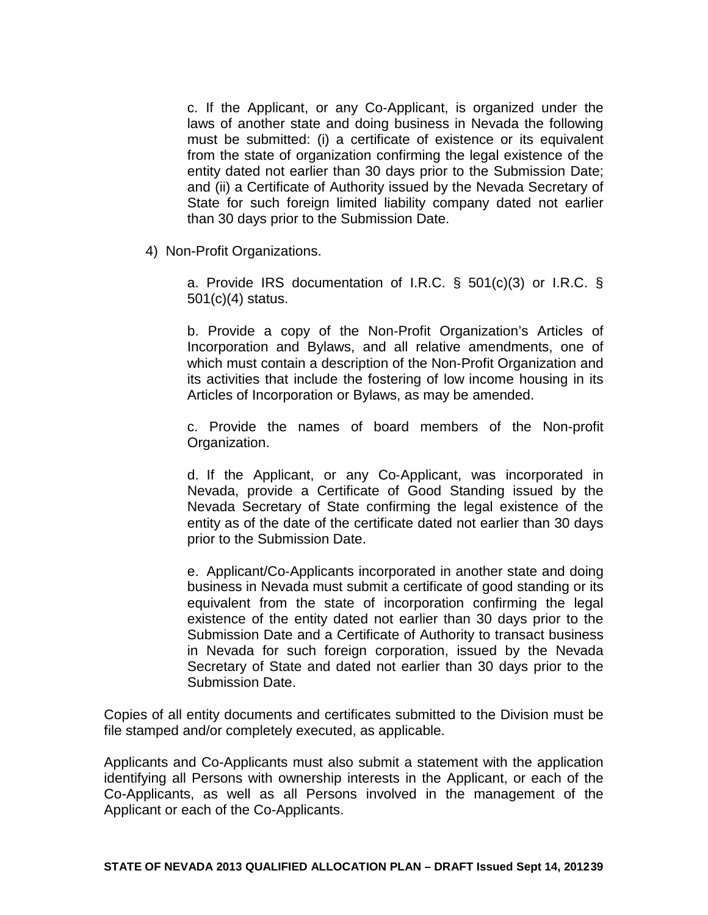c. If the Applicant, or any Co‐Applicant, is organized under the laws of another state and doing business in Nevada the following must be submitted: (i) a certificate of existence or its equivalent from the state of organization confirming the legal existence of the entity dated not earlier than 30 days prior to the Submission Date; and (ii) a Certificate of Authority issued by the Nevada Secretary of State for such foreign limited liability company dated not earlier than 30 days prior to the Submission Date.

4) Non-Profit Organizations.

a. Provide IRS documentation of I.R.C. § 501(c)(3) or I.R.C. § 501(c)(4) status.

b. Provide a copy of the Non‐Profit Organization's Articles of Incorporation and Bylaws, and all relative amendments, one of which must contain a description of the Non-Profit Organization and its activities that include the fostering of low income housing in its Articles of Incorporation or Bylaws, as may be amended.

c. Provide the names of board members of the Non-profit Organization.

d. If the Applicant, or any Co‐Applicant, was incorporated in Nevada, provide a Certificate of Good Standing issued by the Nevada Secretary of State confirming the legal existence of the entity as of the date of the certificate dated not earlier than 30 days prior to the Submission Date.

e. Applicant/Co‐Applicants incorporated in another state and doing business in Nevada must submit a certificate of good standing or its equivalent from the state of incorporation confirming the legal existence of the entity dated not earlier than 30 days prior to the Submission Date and a Certificate of Authority to transact business in Nevada for such foreign corporation, issued by the Nevada Secretary of State and dated not earlier than 30 days prior to the Submission Date.

Copies of all entity documents and certificates submitted to the Division must be file stamped and/or completely executed, as applicable.

Applicants and Co-Applicants must also submit a statement with the application identifying all Persons with ownership interests in the Applicant, or each of the Co-Applicants, as well as all Persons involved in the management of the Applicant or each of the Co-Applicants.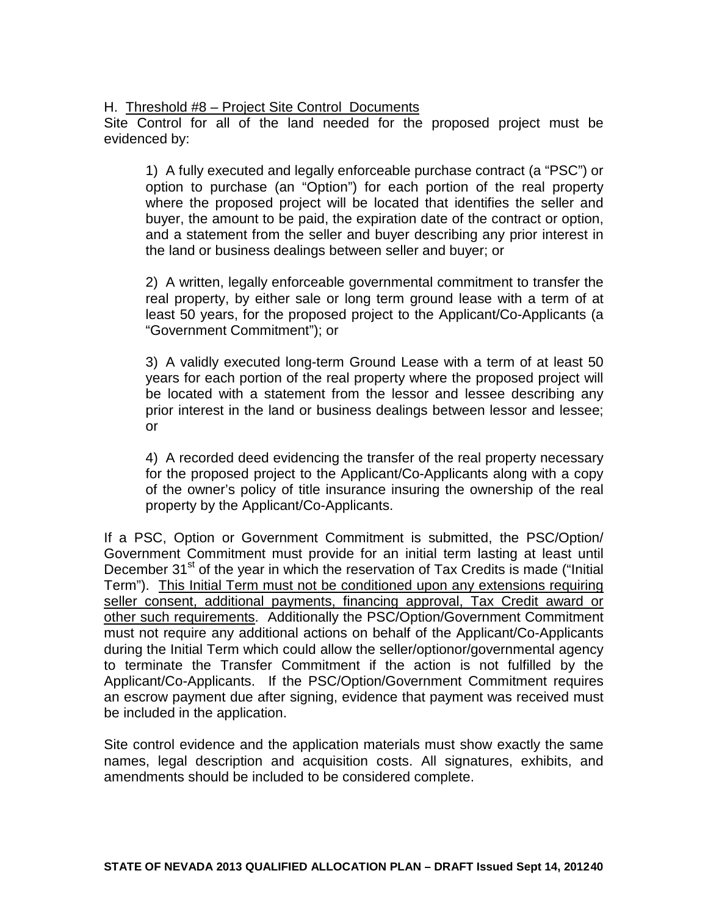#### H. Threshold #8 – Project Site Control Documents

Site Control for all of the land needed for the proposed project must be evidenced by:

1) A fully executed and legally enforceable purchase contract (a "PSC") or option to purchase (an "Option") for each portion of the real property where the proposed project will be located that identifies the seller and buyer, the amount to be paid, the expiration date of the contract or option, and a statement from the seller and buyer describing any prior interest in the land or business dealings between seller and buyer; or

2) A written, legally enforceable governmental commitment to transfer the real property, by either sale or long term ground lease with a term of at least 50 years, for the proposed project to the Applicant/Co-Applicants (a "Government Commitment"); or

3) A validly executed long-term Ground Lease with a term of at least 50 years for each portion of the real property where the proposed project will be located with a statement from the lessor and lessee describing any prior interest in the land or business dealings between lessor and lessee; or

4) A recorded deed evidencing the transfer of the real property necessary for the proposed project to the Applicant/Co-Applicants along with a copy of the owner's policy of title insurance insuring the ownership of the real property by the Applicant/Co-Applicants.

If a PSC, Option or Government Commitment is submitted, the PSC/Option/ Government Commitment must provide for an initial term lasting at least until December 31<sup>st</sup> of the year in which the reservation of Tax Credits is made ("Initial Term"). This Initial Term must not be conditioned upon any extensions requiring seller consent, additional payments, financing approval, Tax Credit award or other such requirements. Additionally the PSC/Option/Government Commitment must not require any additional actions on behalf of the Applicant/Co-Applicants during the Initial Term which could allow the seller/optionor/governmental agency to terminate the Transfer Commitment if the action is not fulfilled by the Applicant/Co-Applicants. If the PSC/Option/Government Commitment requires an escrow payment due after signing, evidence that payment was received must be included in the application.

Site control evidence and the application materials must show exactly the same names, legal description and acquisition costs. All signatures, exhibits, and amendments should be included to be considered complete.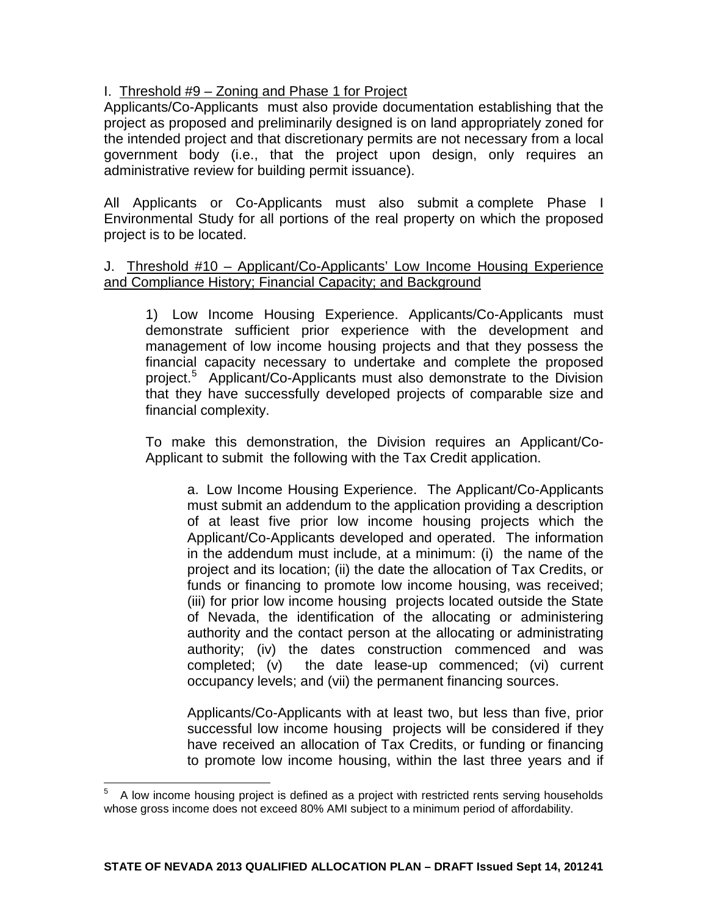### I. Threshold #9 – Zoning and Phase 1 for Project

Applicants/Co-Applicants must also provide documentation establishing that the project as proposed and preliminarily designed is on land appropriately zoned for the intended project and that discretionary permits are not necessary from a local government body (i.e., that the project upon design, only requires an administrative review for building permit issuance).

All Applicants or Co-Applicants must also submit a complete Phase I Environmental Study for all portions of the real property on which the proposed project is to be located.

### J. Threshold #10 – Applicant/Co-Applicants' Low Income Housing Experience and Compliance History; Financial Capacity; and Background

1) Low Income Housing Experience. Applicants/Co-Applicants must demonstrate sufficient prior experience with the development and management of low income housing projects and that they possess the financial capacity necessary to undertake and complete the proposed project. [5](#page-21-0) Applicant/Co-Applicants must also demonstrate to the Division that they have successfully developed projects of comparable size and financial complexity.

To make this demonstration, the Division requires an Applicant/Co-Applicant to submit the following with the Tax Credit application.

a. Low Income Housing Experience. The Applicant/Co-Applicants must submit an addendum to the application providing a description of at least five prior low income housing projects which the Applicant/Co-Applicants developed and operated. The information in the addendum must include, at a minimum: (i) the name of the project and its location; (ii) the date the allocation of Tax Credits, or funds or financing to promote low income housing, was received; (iii) for prior low income housing projects located outside the State of Nevada, the identification of the allocating or administering authority and the contact person at the allocating or administrating authority; (iv) the dates construction commenced and was completed; (v) the date lease-up commenced; (vi) current the date lease-up commenced; (vi) current occupancy levels; and (vii) the permanent financing sources.

Applicants/Co-Applicants with at least two, but less than five, prior successful low income housing projects will be considered if they have received an allocation of Tax Credits, or funding or financing to promote low income housing, within the last three years and if

<span id="page-40-0"></span>5 A low income housing project is defined as a project with restricted rents serving households whose gross income does not exceed 80% AMI subject to a minimum period of affordability.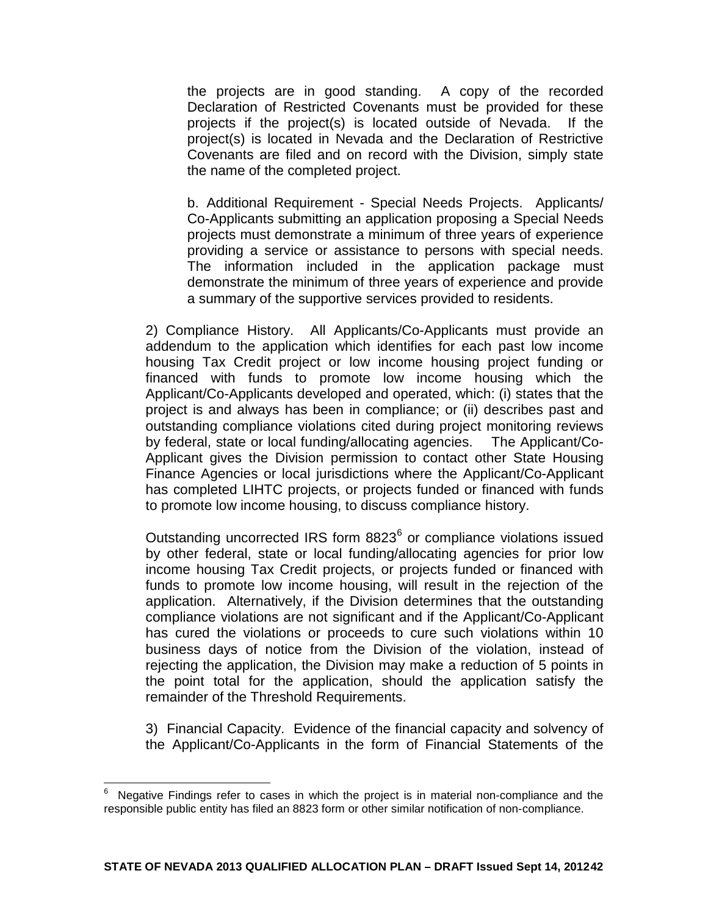the projects are in good standing. A copy of the recorded Declaration of Restricted Covenants must be provided for these projects if the project(s) is located outside of Nevada. If the project(s) is located in Nevada and the Declaration of Restrictive Covenants are filed and on record with the Division, simply state the name of the completed project.

b. Additional Requirement - Special Needs Projects. Applicants/ Co-Applicants submitting an application proposing a Special Needs projects must demonstrate a minimum of three years of experience providing a service or assistance to persons with special needs. The information included in the application package must demonstrate the minimum of three years of experience and provide a summary of the supportive services provided to residents.

2) Compliance History. All Applicants/Co-Applicants must provide an addendum to the application which identifies for each past low income housing Tax Credit project or low income housing project funding or financed with funds to promote low income housing which the Applicant/Co-Applicants developed and operated, which: (i) states that the project is and always has been in compliance; or (ii) describes past and outstanding compliance violations cited during project monitoring reviews by federal, state or local funding/allocating agencies. The Applicant/Co-Applicant gives the Division permission to contact other State Housing Finance Agencies or local jurisdictions where the Applicant/Co-Applicant has completed LIHTC projects, or projects funded or financed with funds to promote low income housing, to discuss compliance history.

Outstanding uncorrected IRS form 8823<sup>[6](#page-40-0)</sup> or compliance violations issued by other federal, state or local funding/allocating agencies for prior low income housing Tax Credit projects, or projects funded or financed with funds to promote low income housing, will result in the rejection of the application. Alternatively, if the Division determines that the outstanding compliance violations are not significant and if the Applicant/Co-Applicant has cured the violations or proceeds to cure such violations within 10 business days of notice from the Division of the violation, instead of rejecting the application, the Division may make a reduction of 5 points in the point total for the application, should the application satisfy the remainder of the Threshold Requirements.

3) Financial Capacity. Evidence of the financial capacity and solvency of the Applicant/Co-Applicants in the form of Financial Statements of the

<span id="page-41-0"></span>6 Negative Findings refer to cases in which the project is in material non-compliance and the responsible public entity has filed an 8823 form or other similar notification of non-compliance.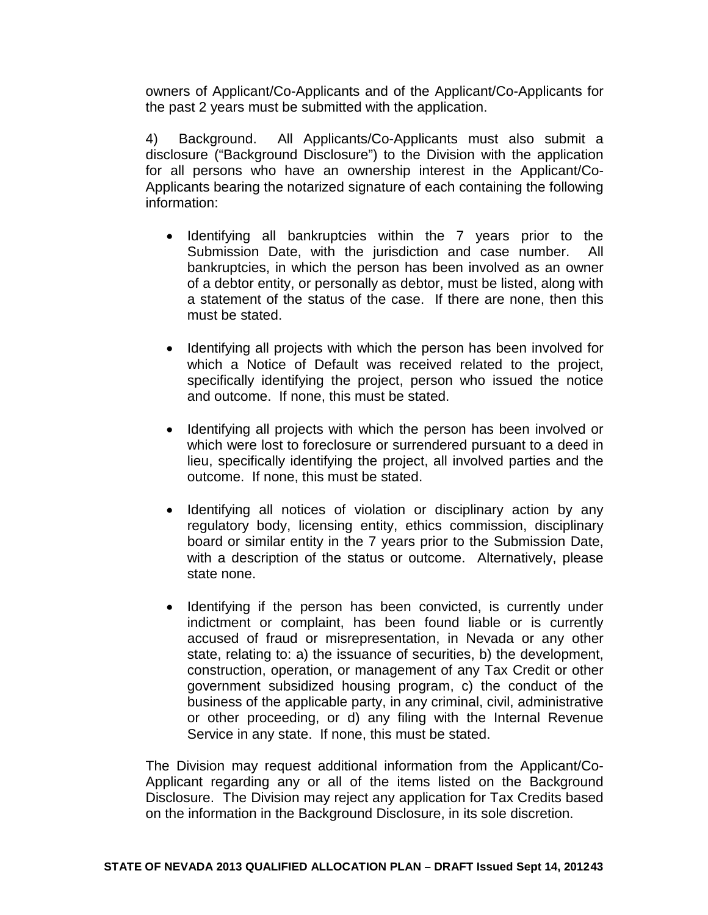owners of Applicant/Co-Applicants and of the Applicant/Co-Applicants for the past 2 years must be submitted with the application.

4) Background. All Applicants/Co-Applicants must also submit a disclosure ("Background Disclosure") to the Division with the application for all persons who have an ownership interest in the Applicant/Co-Applicants bearing the notarized signature of each containing the following information:

- Identifying all bankruptcies within the 7 years prior to the Submission Date, with the jurisdiction and case number. All bankruptcies, in which the person has been involved as an owner of a debtor entity, or personally as debtor, must be listed, along with a statement of the status of the case. If there are none, then this must be stated.
- Identifying all projects with which the person has been involved for which a Notice of Default was received related to the project, specifically identifying the project, person who issued the notice and outcome. If none, this must be stated.
- Identifying all projects with which the person has been involved or which were lost to foreclosure or surrendered pursuant to a deed in lieu, specifically identifying the project, all involved parties and the outcome. If none, this must be stated.
- Identifying all notices of violation or disciplinary action by any regulatory body, licensing entity, ethics commission, disciplinary board or similar entity in the 7 years prior to the Submission Date, with a description of the status or outcome. Alternatively, please state none.
- Identifying if the person has been convicted, is currently under indictment or complaint, has been found liable or is currently accused of fraud or misrepresentation, in Nevada or any other state, relating to: a) the issuance of securities, b) the development, construction, operation, or management of any Tax Credit or other government subsidized housing program, c) the conduct of the business of the applicable party, in any criminal, civil, administrative or other proceeding, or d) any filing with the Internal Revenue Service in any state. If none, this must be stated.

The Division may request additional information from the Applicant/Co-Applicant regarding any or all of the items listed on the Background Disclosure. The Division may reject any application for Tax Credits based on the information in the Background Disclosure, in its sole discretion.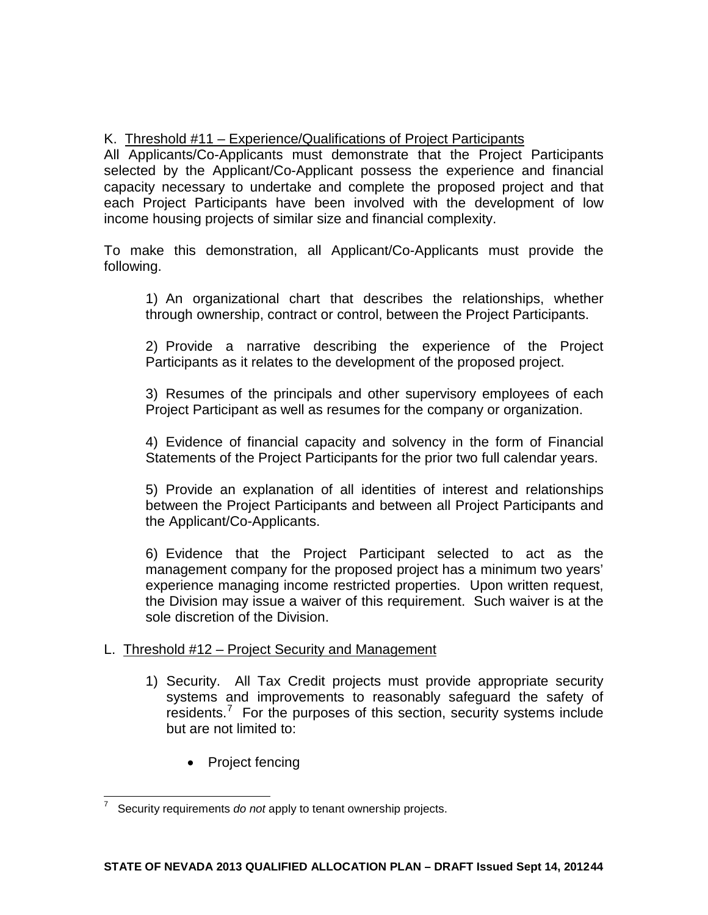## K. Threshold #11 – Experience/Qualifications of Project Participants

All Applicants/Co-Applicants must demonstrate that the Project Participants selected by the Applicant/Co-Applicant possess the experience and financial capacity necessary to undertake and complete the proposed project and that each Project Participants have been involved with the development of low income housing projects of similar size and financial complexity.

To make this demonstration, all Applicant/Co-Applicants must provide the following.

1) An organizational chart that describes the relationships, whether through ownership, contract or control, between the Project Participants.

2) Provide a narrative describing the experience of the Project Participants as it relates to the development of the proposed project.

3) Resumes of the principals and other supervisory employees of each Project Participant as well as resumes for the company or organization.

4) Evidence of financial capacity and solvency in the form of Financial Statements of the Project Participants for the prior two full calendar years.

5) Provide an explanation of all identities of interest and relationships between the Project Participants and between all Project Participants and the Applicant/Co-Applicants.

6) Evidence that the Project Participant selected to act as the management company for the proposed project has a minimum two years' experience managing income restricted properties. Upon written request, the Division may issue a waiver of this requirement. Such waiver is at the sole discretion of the Division.

## L. Threshold #12 – Project Security and Management

- 1) Security. All Tax Credit projects must provide appropriate security systems and improvements to reasonably safeguard the safety of residents.<sup>[7](#page-41-0)</sup> For the purposes of this section, security systems include but are not limited to:
	- Project fencing

<span id="page-43-0"></span>7 Security requirements *do not* apply to tenant ownership projects.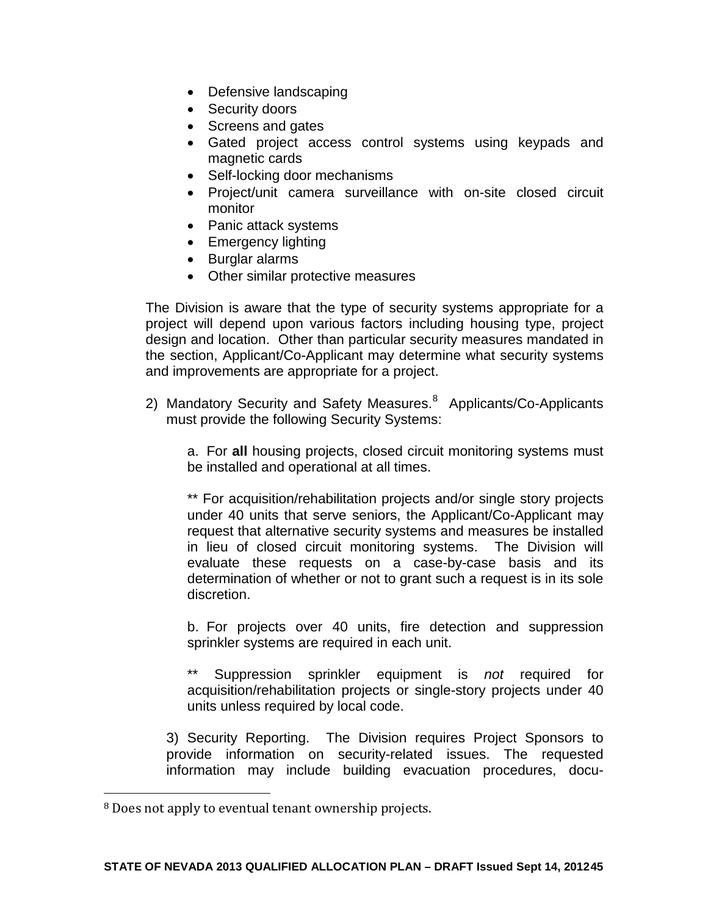- Defensive landscaping
- Security doors
- Screens and gates
- Gated project access control systems using keypads and magnetic cards
- Self-locking door mechanisms
- Project/unit camera surveillance with on-site closed circuit monitor
- Panic attack systems
- Emergency lighting
- Burglar alarms
- Other similar protective measures

The Division is aware that the type of security systems appropriate for a project will depend upon various factors including housing type, project design and location. Other than particular security measures mandated in the section, Applicant/Co-Applicant may determine what security systems and improvements are appropriate for a project.

2) Mandatory Security and Safety Measures.<sup>[8](#page-43-0)</sup> Applicants/Co-Applicants must provide the following Security Systems:

a. For **all** housing projects, closed circuit monitoring systems must be installed and operational at all times.

\*\* For acquisition/rehabilitation projects and/or single story projects under 40 units that serve seniors, the Applicant/Co-Applicant may request that alternative security systems and measures be installed in lieu of closed circuit monitoring systems. The Division will evaluate these requests on a case-by-case basis and its determination of whether or not to grant such a request is in its sole discretion.

b. For projects over 40 units, fire detection and suppression sprinkler systems are required in each unit.

\*\* Suppression sprinkler equipment is *not* required for acquisition/rehabilitation projects or single-story projects under 40 units unless required by local code.

3) Security Reporting. The Division requires Project Sponsors to provide information on security-related issues. The requested information may include building evacuation procedures, docu-

<span id="page-44-0"></span> <sup>8</sup> Does not apply to eventual tenant ownership projects.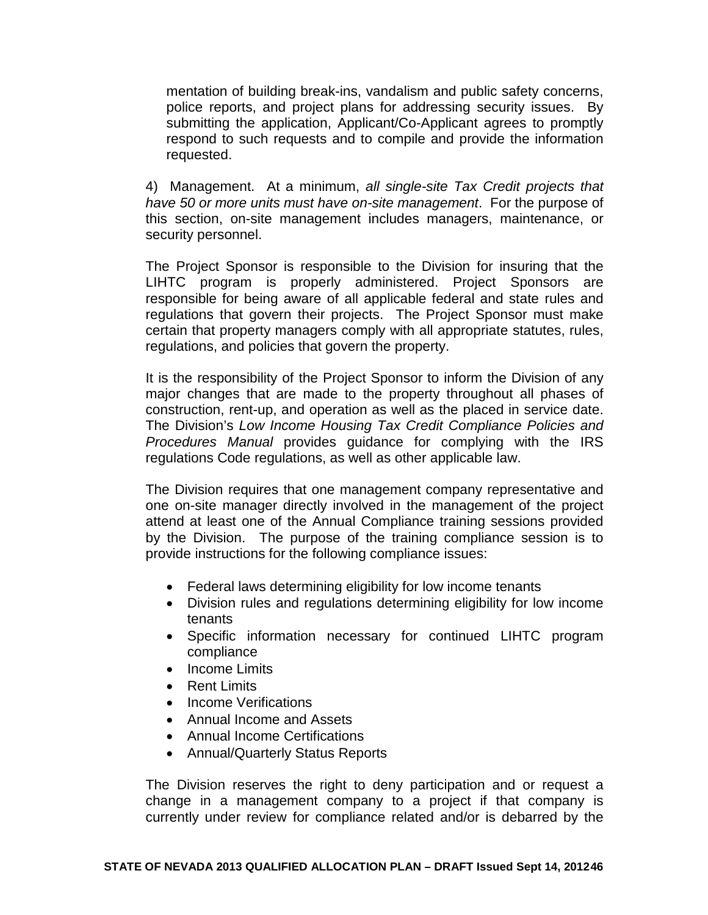mentation of building break-ins, vandalism and public safety concerns, police reports, and project plans for addressing security issues. By submitting the application, Applicant/Co-Applicant agrees to promptly respond to such requests and to compile and provide the information requested.

4) Management. At a minimum, *all single-site Tax Credit projects that have 50 or more units must have on-site management*. For the purpose of this section, on-site management includes managers, maintenance, or security personnel.

The Project Sponsor is responsible to the Division for insuring that the LIHTC program is properly administered. Project Sponsors are responsible for being aware of all applicable federal and state rules and regulations that govern their projects. The Project Sponsor must make certain that property managers comply with all appropriate statutes, rules, regulations, and policies that govern the property.

It is the responsibility of the Project Sponsor to inform the Division of any major changes that are made to the property throughout all phases of construction, rent-up, and operation as well as the placed in service date. The Division's *Low Income Housing Tax Credit Compliance Policies and Procedures Manual* provides guidance for complying with the IRS regulations Code regulations, as well as other applicable law.

The Division requires that one management company representative and one on-site manager directly involved in the management of the project attend at least one of the Annual Compliance training sessions provided by the Division. The purpose of the training compliance session is to provide instructions for the following compliance issues:

- Federal laws determining eligibility for low income tenants
- Division rules and regulations determining eligibility for low income tenants
- Specific information necessary for continued LIHTC program compliance
- Income Limits
- Rent Limits
- Income Verifications
- Annual Income and Assets
- Annual Income Certifications
- Annual/Quarterly Status Reports

The Division reserves the right to deny participation and or request a change in a management company to a project if that company is currently under review for compliance related and/or is debarred by the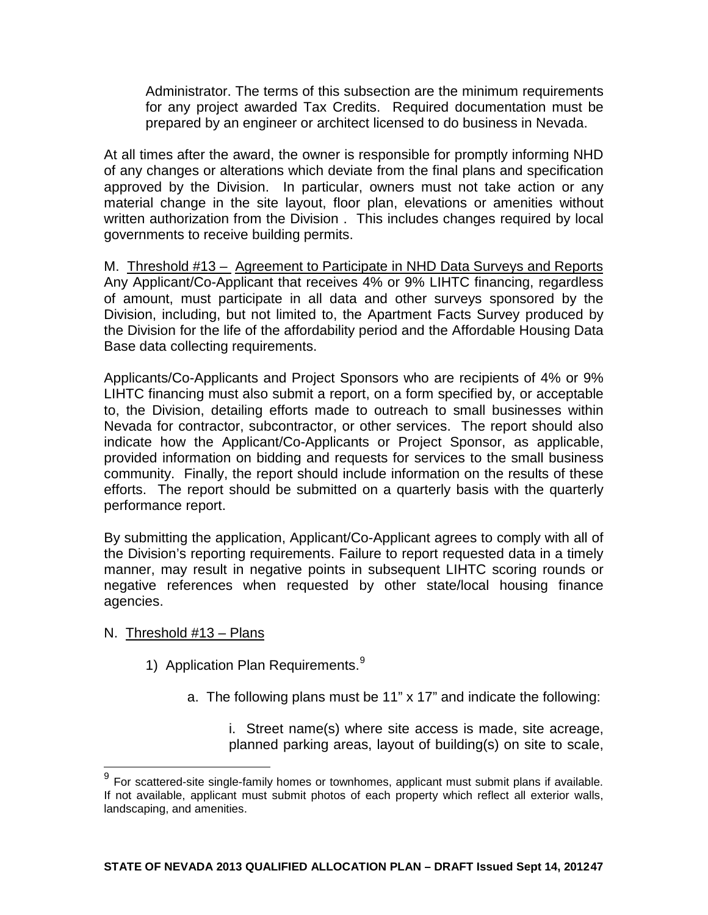Administrator. The terms of this subsection are the minimum requirements for any project awarded Tax Credits. Required documentation must be prepared by an engineer or architect licensed to do business in Nevada.

At all times after the award, the owner is responsible for promptly informing NHD of any changes or alterations which deviate from the final plans and specification approved by the Division. In particular, owners must not take action or any material change in the site layout, floor plan, elevations or amenities without written authorization from the Division . This includes changes required by local governments to receive building permits.

M. Threshold #13 – Agreement to Participate in NHD Data Surveys and Reports Any Applicant/Co-Applicant that receives 4% or 9% LIHTC financing, regardless of amount, must participate in all data and other surveys sponsored by the Division, including, but not limited to, the Apartment Facts Survey produced by the Division for the life of the affordability period and the Affordable Housing Data Base data collecting requirements.

Applicants/Co-Applicants and Project Sponsors who are recipients of 4% or 9% LIHTC financing must also submit a report, on a form specified by, or acceptable to, the Division, detailing efforts made to outreach to small businesses within Nevada for contractor, subcontractor, or other services. The report should also indicate how the Applicant/Co-Applicants or Project Sponsor, as applicable, provided information on bidding and requests for services to the small business community. Finally, the report should include information on the results of these efforts. The report should be submitted on a quarterly basis with the quarterly performance report.

By submitting the application, Applicant/Co-Applicant agrees to comply with all of the Division's reporting requirements. Failure to report requested data in a timely manner, may result in negative points in subsequent LIHTC scoring rounds or negative references when requested by other state/local housing finance agencies.

### N. Threshold #13 – Plans

- 1) Application Plan Requirements.<sup>[9](#page-44-0)</sup>
	- a. The following plans must be 11" x 17" and indicate the following:

i. Street name(s) where site access is made, site acreage, planned parking areas, layout of building(s) on site to scale,

<span id="page-46-0"></span> $9$  For scattered-site single-family homes or townhomes, applicant must submit plans if available. If not available, applicant must submit photos of each property which reflect all exterior walls, landscaping, and amenities.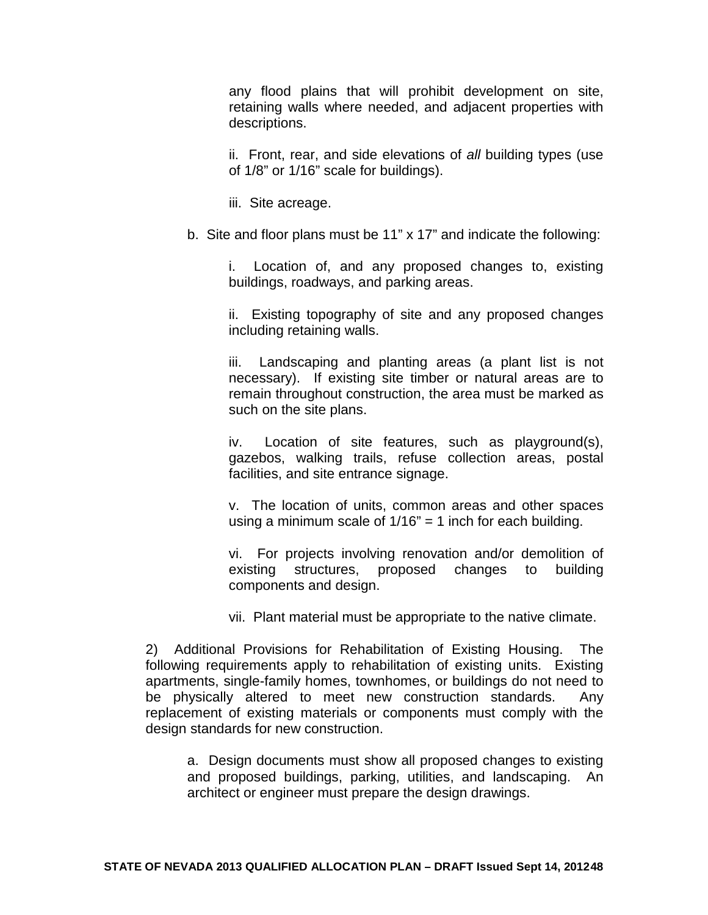any flood plains that will prohibit development on site, retaining walls where needed, and adjacent properties with descriptions.

ii. Front, rear, and side elevations of *all* building types (use of 1/8" or 1/16" scale for buildings).

iii. Site acreage.

b. Site and floor plans must be 11" x 17" and indicate the following:

i. Location of, and any proposed changes to, existing buildings, roadways, and parking areas.

ii. Existing topography of site and any proposed changes including retaining walls.

iii. Landscaping and planting areas (a plant list is not necessary). If existing site timber or natural areas are to remain throughout construction, the area must be marked as such on the site plans.

iv. Location of site features, such as playground(s), gazebos, walking trails, refuse collection areas, postal facilities, and site entrance signage.

v. The location of units, common areas and other spaces using a minimum scale of  $1/16" = 1$  inch for each building.

vi. For projects involving renovation and/or demolition of existing structures, proposed changes to building components and design.

vii. Plant material must be appropriate to the native climate.

2) Additional Provisions for Rehabilitation of Existing Housing. The following requirements apply to rehabilitation of existing units. Existing apartments, single-family homes, townhomes, or buildings do not need to be physically altered to meet new construction standards. Any replacement of existing materials or components must comply with the design standards for new construction.

a. Design documents must show all proposed changes to existing and proposed buildings, parking, utilities, and landscaping. An architect or engineer must prepare the design drawings.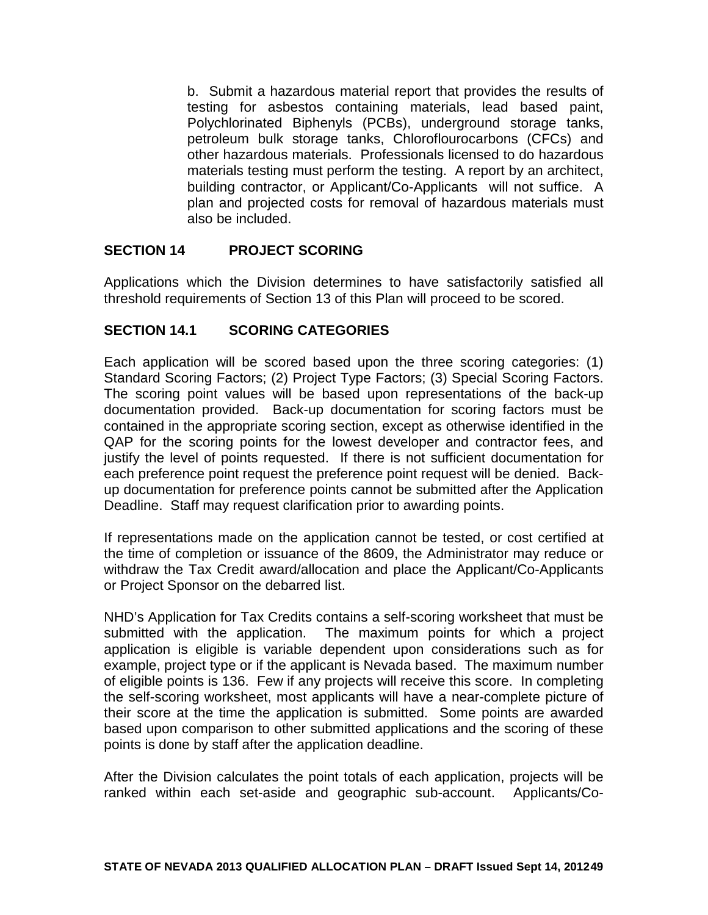b. Submit a hazardous material report that provides the results of testing for asbestos containing materials, lead based paint, Polychlorinated Biphenyls (PCBs), underground storage tanks, petroleum bulk storage tanks, Chloroflourocarbons (CFCs) and other hazardous materials. Professionals licensed to do hazardous materials testing must perform the testing. A report by an architect, building contractor, or Applicant/Co-Applicants will not suffice. A plan and projected costs for removal of hazardous materials must also be included.

### **SECTION 14 PROJECT SCORING**

Applications which the Division determines to have satisfactorily satisfied all threshold requirements of Section 13 of this Plan will proceed to be scored.

## **SECTION 14.1 SCORING CATEGORIES**

Each application will be scored based upon the three scoring categories: (1) Standard Scoring Factors; (2) Project Type Factors; (3) Special Scoring Factors. The scoring point values will be based upon representations of the back-up documentation provided. Back-up documentation for scoring factors must be contained in the appropriate scoring section, except as otherwise identified in the QAP for the scoring points for the lowest developer and contractor fees, and justify the level of points requested. If there is not sufficient documentation for each preference point request the preference point request will be denied. Backup documentation for preference points cannot be submitted after the Application Deadline. Staff may request clarification prior to awarding points.

If representations made on the application cannot be tested, or cost certified at the time of completion or issuance of the 8609, the Administrator may reduce or withdraw the Tax Credit award/allocation and place the Applicant/Co-Applicants or Project Sponsor on the debarred list.

NHD's Application for Tax Credits contains a self-scoring worksheet that must be submitted with the application. The maximum points for which a project application is eligible is variable dependent upon considerations such as for example, project type or if the applicant is Nevada based. The maximum number of eligible points is 136. Few if any projects will receive this score. In completing the self-scoring worksheet, most applicants will have a near-complete picture of their score at the time the application is submitted. Some points are awarded based upon comparison to other submitted applications and the scoring of these points is done by staff after the application deadline.

After the Division calculates the point totals of each application, projects will be ranked within each set-aside and geographic sub-account. Applicants/Co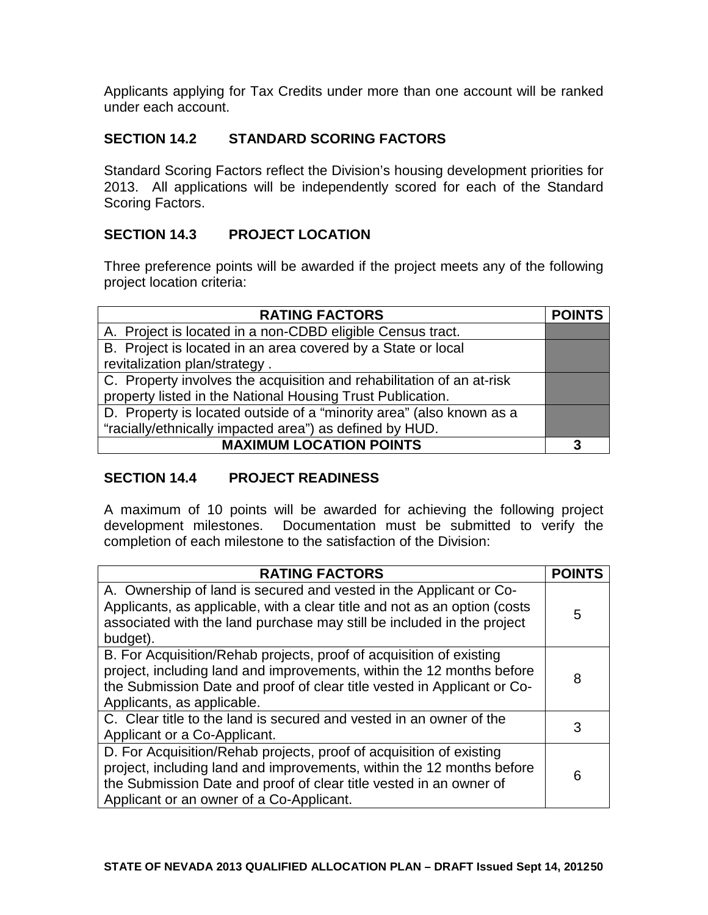Applicants applying for Tax Credits under more than one account will be ranked under each account.

# **SECTION 14.2 STANDARD SCORING FACTORS**

Standard Scoring Factors reflect the Division's housing development priorities for 2013. All applications will be independently scored for each of the Standard Scoring Factors.

## **SECTION 14.3 PROJECT LOCATION**

Three preference points will be awarded if the project meets any of the following project location criteria:

| <b>RATING FACTORS</b>                                                 | <b>POINTS</b> |
|-----------------------------------------------------------------------|---------------|
| A. Project is located in a non-CDBD eligible Census tract.            |               |
| B. Project is located in an area covered by a State or local          |               |
| revitalization plan/strategy.                                         |               |
| C. Property involves the acquisition and rehabilitation of an at-risk |               |
| property listed in the National Housing Trust Publication.            |               |
| D. Property is located outside of a "minority area" (also known as a  |               |
| "racially/ethnically impacted area") as defined by HUD.               |               |
| <b>MAXIMUM LOCATION POINTS</b>                                        | З             |

### **SECTION 14.4 PROJECT READINESS**

A maximum of 10 points will be awarded for achieving the following project development milestones. Documentation must be submitted to verify the completion of each milestone to the satisfaction of the Division:

| <b>RATING FACTORS</b>                                                                                                                                                                                                                                          |   |
|----------------------------------------------------------------------------------------------------------------------------------------------------------------------------------------------------------------------------------------------------------------|---|
| A. Ownership of land is secured and vested in the Applicant or Co-<br>Applicants, as applicable, with a clear title and not as an option (costs<br>associated with the land purchase may still be included in the project<br>budget).                          | 5 |
| B. For Acquisition/Rehab projects, proof of acquisition of existing<br>project, including land and improvements, within the 12 months before<br>the Submission Date and proof of clear title vested in Applicant or Co-<br>Applicants, as applicable.          | 8 |
| C. Clear title to the land is secured and vested in an owner of the<br>Applicant or a Co-Applicant.                                                                                                                                                            | 3 |
| D. For Acquisition/Rehab projects, proof of acquisition of existing<br>project, including land and improvements, within the 12 months before<br>the Submission Date and proof of clear title vested in an owner of<br>Applicant or an owner of a Co-Applicant. | 6 |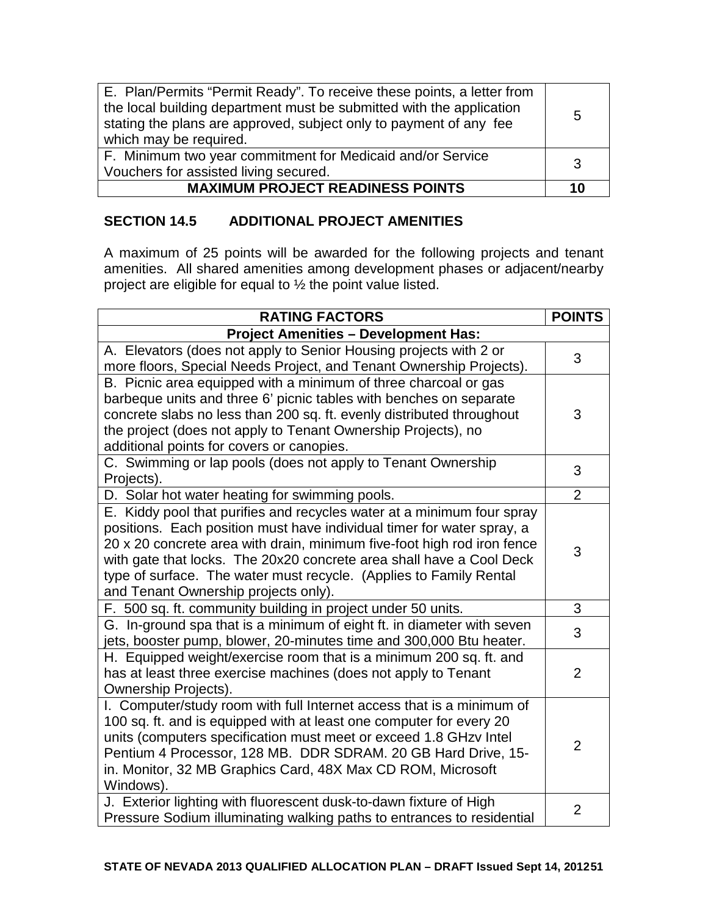| E. Plan/Permits "Permit Ready". To receive these points, a letter from<br>the local building department must be submitted with the application<br>stating the plans are approved, subject only to payment of any fee<br>which may be required. | 5  |
|------------------------------------------------------------------------------------------------------------------------------------------------------------------------------------------------------------------------------------------------|----|
| F. Minimum two year commitment for Medicaid and/or Service<br>Vouchers for assisted living secured.                                                                                                                                            | 3  |
| <b>MAXIMUM PROJECT READINESS POINTS</b>                                                                                                                                                                                                        | 10 |

# **SECTION 14.5 ADDITIONAL PROJECT AMENITIES**

A maximum of 25 points will be awarded for the following projects and tenant amenities. All shared amenities among development phases or adjacent/nearby project are eligible for equal to ½ the point value listed.

| <b>RATING FACTORS</b>                                                   | <b>POINTS</b>  |
|-------------------------------------------------------------------------|----------------|
| <b>Project Amenities - Development Has:</b>                             |                |
| A. Elevators (does not apply to Senior Housing projects with 2 or       | 3              |
| more floors, Special Needs Project, and Tenant Ownership Projects).     |                |
| B. Picnic area equipped with a minimum of three charcoal or gas         |                |
| barbeque units and three 6' picnic tables with benches on separate      |                |
| concrete slabs no less than 200 sq. ft. evenly distributed throughout   | 3              |
| the project (does not apply to Tenant Ownership Projects), no           |                |
| additional points for covers or canopies.                               |                |
| C. Swimming or lap pools (does not apply to Tenant Ownership            | 3              |
| Projects).                                                              |                |
| D. Solar hot water heating for swimming pools.                          | $\overline{2}$ |
| E. Kiddy pool that purifies and recycles water at a minimum four spray  |                |
| positions. Each position must have individual timer for water spray, a  |                |
| 20 x 20 concrete area with drain, minimum five-foot high rod iron fence | 3              |
| with gate that locks. The 20x20 concrete area shall have a Cool Deck    |                |
| type of surface. The water must recycle. (Applies to Family Rental      |                |
| and Tenant Ownership projects only).                                    |                |
| F. 500 sq. ft. community building in project under 50 units.            | 3              |
| G. In-ground spa that is a minimum of eight ft. in diameter with seven  | 3              |
| jets, booster pump, blower, 20-minutes time and 300,000 Btu heater.     |                |
| H. Equipped weight/exercise room that is a minimum 200 sq. ft. and      |                |
| has at least three exercise machines (does not apply to Tenant          | $\overline{2}$ |
| Ownership Projects).                                                    |                |
| I. Computer/study room with full Internet access that is a minimum of   |                |
| 100 sq. ft. and is equipped with at least one computer for every 20     |                |
| units (computers specification must meet or exceed 1.8 GHzv Intel       | $\overline{2}$ |
| Pentium 4 Processor, 128 MB. DDR SDRAM. 20 GB Hard Drive, 15-           |                |
| in. Monitor, 32 MB Graphics Card, 48X Max CD ROM, Microsoft             |                |
| Windows).                                                               |                |
| J. Exterior lighting with fluorescent dusk-to-dawn fixture of High      | $\overline{2}$ |
| Pressure Sodium illuminating walking paths to entrances to residential  |                |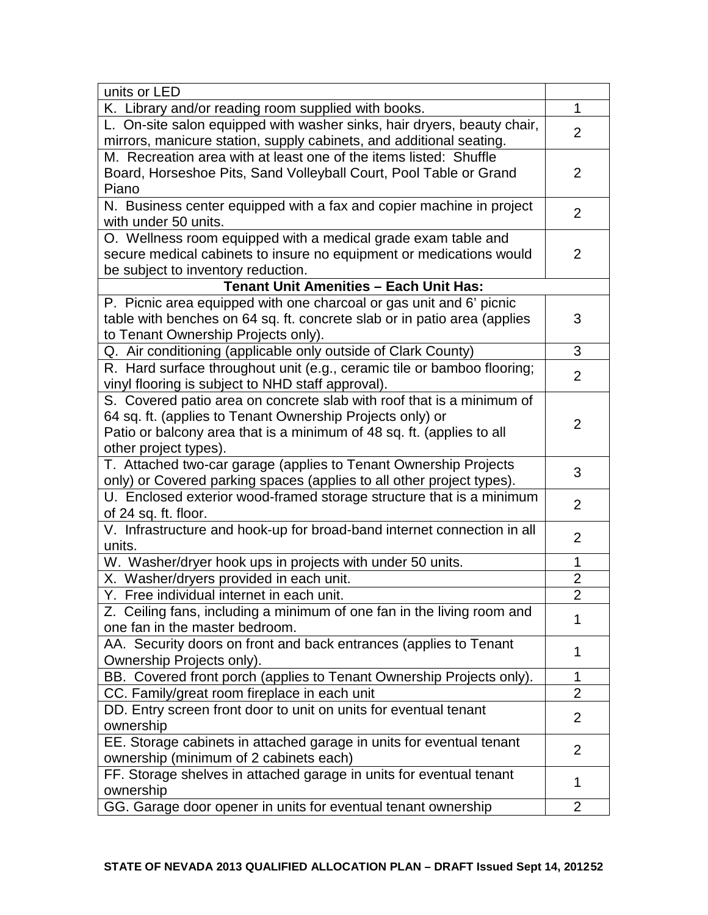| units or LED                                                             |                |
|--------------------------------------------------------------------------|----------------|
| K. Library and/or reading room supplied with books.                      | 1              |
| L. On-site salon equipped with washer sinks, hair dryers, beauty chair,  | $\overline{2}$ |
| mirrors, manicure station, supply cabinets, and additional seating.      |                |
| M. Recreation area with at least one of the items listed: Shuffle        |                |
| Board, Horseshoe Pits, Sand Volleyball Court, Pool Table or Grand        | $\overline{2}$ |
| Piano                                                                    |                |
| N. Business center equipped with a fax and copier machine in project     |                |
| with under 50 units.                                                     | 2              |
| O. Wellness room equipped with a medical grade exam table and            |                |
| secure medical cabinets to insure no equipment or medications would      | 2              |
| be subject to inventory reduction.                                       |                |
| <b>Tenant Unit Amenities - Each Unit Has:</b>                            |                |
| P. Picnic area equipped with one charcoal or gas unit and 6' picnic      |                |
| table with benches on 64 sq. ft. concrete slab or in patio area (applies | 3              |
| to Tenant Ownership Projects only).                                      |                |
| Q. Air conditioning (applicable only outside of Clark County)            | 3              |
| R. Hard surface throughout unit (e.g., ceramic tile or bamboo flooring;  |                |
| vinyl flooring is subject to NHD staff approval).                        | $\overline{2}$ |
| S. Covered patio area on concrete slab with roof that is a minimum of    |                |
| 64 sq. ft. (applies to Tenant Ownership Projects only) or                |                |
| Patio or balcony area that is a minimum of 48 sq. ft. (applies to all    | $\overline{2}$ |
| other project types).                                                    |                |
| T. Attached two-car garage (applies to Tenant Ownership Projects         |                |
| only) or Covered parking spaces (applies to all other project types).    | 3              |
| U. Enclosed exterior wood-framed storage structure that is a minimum     |                |
| of 24 sq. ft. floor.                                                     | $\overline{2}$ |
| V. Infrastructure and hook-up for broad-band internet connection in all  |                |
| units.                                                                   | $\overline{2}$ |
| W. Washer/dryer hook ups in projects with under 50 units.                | $\mathbf{1}$   |
| X. Washer/dryers provided in each unit.                                  | $\overline{2}$ |
| Y. Free individual internet in each unit.                                | $\overline{2}$ |
| Z. Ceiling fans, including a minimum of one fan in the living room and   |                |
| one fan in the master bedroom.                                           | 1              |
| AA. Security doors on front and back entrances (applies to Tenant        |                |
| Ownership Projects only).                                                | 1              |
| BB. Covered front porch (applies to Tenant Ownership Projects only).     | 1              |
| CC. Family/great room fireplace in each unit                             | 2              |
| DD. Entry screen front door to unit on units for eventual tenant         |                |
| ownership                                                                | 2              |
| EE. Storage cabinets in attached garage in units for eventual tenant     |                |
| ownership (minimum of 2 cabinets each)                                   | $\overline{2}$ |
| FF. Storage shelves in attached garage in units for eventual tenant      |                |
| ownership                                                                | 1              |
| GG. Garage door opener in units for eventual tenant ownership            | $\overline{2}$ |
|                                                                          |                |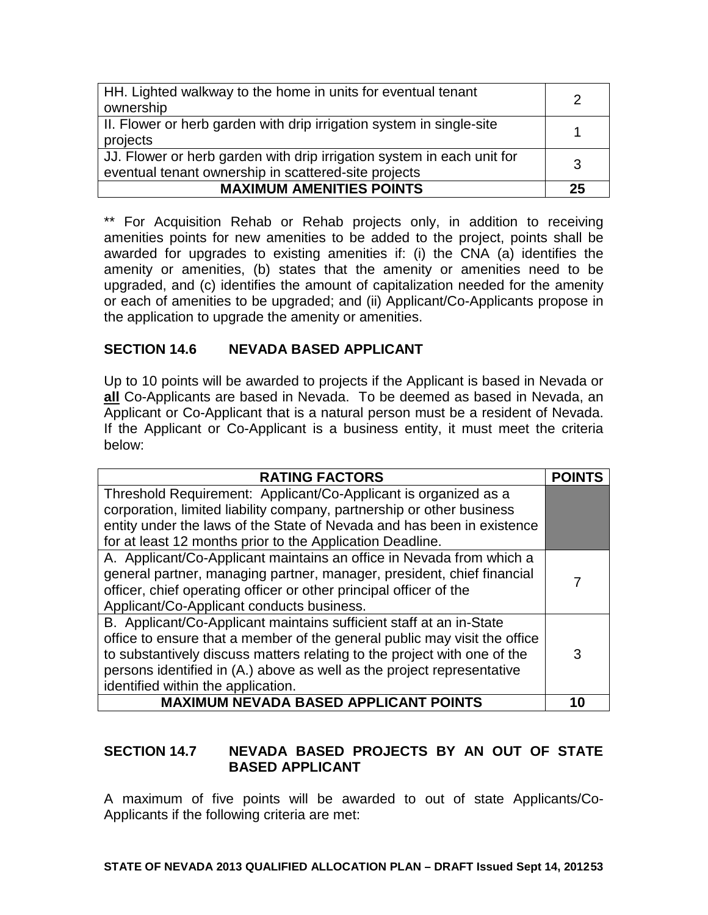| HH. Lighted walkway to the home in units for eventual tenant<br>ownership | 2  |
|---------------------------------------------------------------------------|----|
|                                                                           |    |
| II. Flower or herb garden with drip irrigation system in single-site      |    |
| projects                                                                  |    |
| JJ. Flower or herb garden with drip irrigation system in each unit for    | 3  |
| eventual tenant ownership in scattered-site projects                      |    |
| <b>MAXIMUM AMENITIES POINTS</b>                                           | 25 |

\*\* For Acquisition Rehab or Rehab projects only, in addition to receiving amenities points for new amenities to be added to the project, points shall be awarded for upgrades to existing amenities if: (i) the CNA (a) identifies the amenity or amenities, (b) states that the amenity or amenities need to be upgraded, and (c) identifies the amount of capitalization needed for the amenity or each of amenities to be upgraded; and (ii) Applicant/Co-Applicants propose in the application to upgrade the amenity or amenities.

### **SECTION 14.6 NEVADA BASED APPLICANT**

Up to 10 points will be awarded to projects if the Applicant is based in Nevada or **all** Co-Applicants are based in Nevada. To be deemed as based in Nevada, an Applicant or Co-Applicant that is a natural person must be a resident of Nevada. If the Applicant or Co-Applicant is a business entity, it must meet the criteria below:

| <b>RATING FACTORS</b>                                                     |    |
|---------------------------------------------------------------------------|----|
| Threshold Requirement: Applicant/Co-Applicant is organized as a           |    |
| corporation, limited liability company, partnership or other business     |    |
| entity under the laws of the State of Nevada and has been in existence    |    |
| for at least 12 months prior to the Application Deadline.                 |    |
| A. Applicant/Co-Applicant maintains an office in Nevada from which a      |    |
| general partner, managing partner, manager, president, chief financial    |    |
| officer, chief operating officer or other principal officer of the        |    |
| Applicant/Co-Applicant conducts business.                                 |    |
| B. Applicant/Co-Applicant maintains sufficient staff at an in-State       |    |
| office to ensure that a member of the general public may visit the office |    |
| to substantively discuss matters relating to the project with one of the  | 3  |
| persons identified in (A.) above as well as the project representative    |    |
| identified within the application.                                        |    |
| <b>MAXIMUM NEVADA BASED APPLICANT POINTS</b>                              | 10 |

## **SECTION 14.7 NEVADA BASED PROJECTS BY AN OUT OF STATE BASED APPLICANT**

A maximum of five points will be awarded to out of state Applicants/Co-Applicants if the following criteria are met: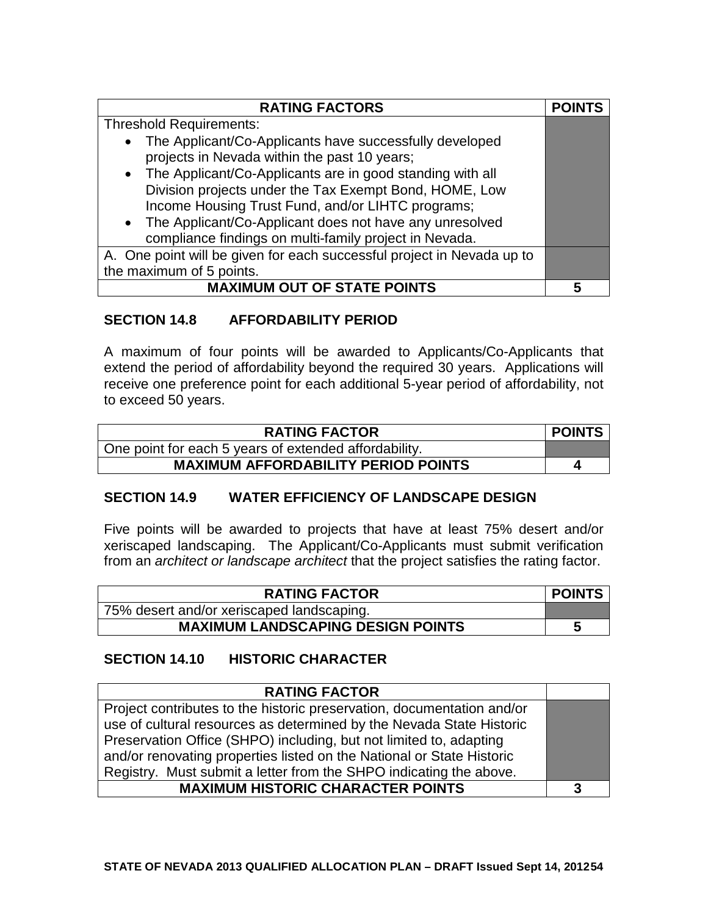| <b>RATING FACTORS</b>                                                                                   | <b>POINTS</b> |
|---------------------------------------------------------------------------------------------------------|---------------|
| <b>Threshold Requirements:</b>                                                                          |               |
| The Applicant/Co-Applicants have successfully developed<br>projects in Nevada within the past 10 years; |               |
| • The Applicant/Co-Applicants are in good standing with all                                             |               |
| Division projects under the Tax Exempt Bond, HOME, Low                                                  |               |
| Income Housing Trust Fund, and/or LIHTC programs;                                                       |               |
| • The Applicant/Co-Applicant does not have any unresolved                                               |               |
| compliance findings on multi-family project in Nevada.                                                  |               |
| A. One point will be given for each successful project in Nevada up to                                  |               |
| the maximum of 5 points.                                                                                |               |
| <b>MAXIMUM OUT OF STATE POINTS</b>                                                                      |               |

## **SECTION 14.8 AFFORDABILITY PERIOD**

A maximum of four points will be awarded to Applicants/Co-Applicants that extend the period of affordability beyond the required 30 years. Applications will receive one preference point for each additional 5-year period of affordability, not to exceed 50 years.

| <b>RATING FACTOR</b>                                  | <b>POINTS</b> |
|-------------------------------------------------------|---------------|
| One point for each 5 years of extended affordability. |               |
| <b>MAXIMUM AFFORDABILITY PERIOD POINTS</b>            | 4             |

## **SECTION 14.9 WATER EFFICIENCY OF LANDSCAPE DESIGN**

Five points will be awarded to projects that have at least 75% desert and/or xeriscaped landscaping. The Applicant/Co-Applicants must submit verification from an *architect or landscape architect* that the project satisfies the rating factor.

| <b>RATING FACTOR</b>                      | <b>POINTS</b> |
|-------------------------------------------|---------------|
| 75% desert and/or xeriscaped landscaping. |               |
| <b>MAXIMUM LANDSCAPING DESIGN POINTS</b>  | 5             |

### **SECTION 14.10 HISTORIC CHARACTER**

| <b>RATING FACTOR</b>                                                                                                                                                                                                                                                                          |   |
|-----------------------------------------------------------------------------------------------------------------------------------------------------------------------------------------------------------------------------------------------------------------------------------------------|---|
| Project contributes to the historic preservation, documentation and/or<br>use of cultural resources as determined by the Nevada State Historic<br>Preservation Office (SHPO) including, but not limited to, adapting<br>and/or renovating properties listed on the National or State Historic |   |
| Registry. Must submit a letter from the SHPO indicating the above.                                                                                                                                                                                                                            |   |
| <b>MAXIMUM HISTORIC CHARACTER POINTS</b>                                                                                                                                                                                                                                                      | 3 |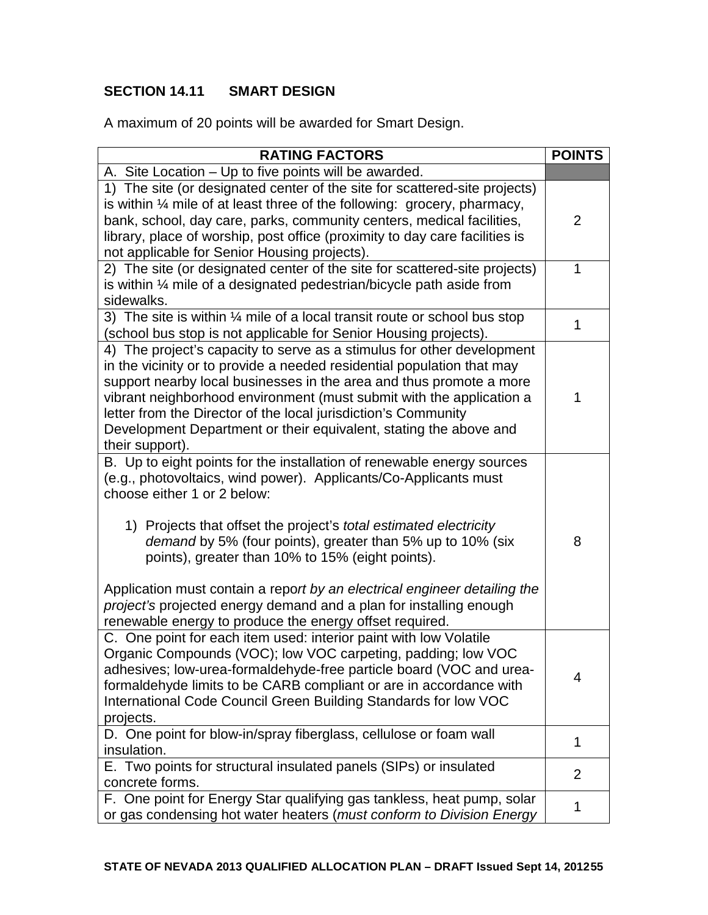# **SECTION 14.11 SMART DESIGN**

A maximum of 20 points will be awarded for Smart Design.

| <b>RATING FACTORS</b>                                                                | <b>POINTS</b>  |
|--------------------------------------------------------------------------------------|----------------|
| A. Site Location – Up to five points will be awarded.                                |                |
| 1) The site (or designated center of the site for scattered-site projects)           |                |
| is within $\frac{1}{4}$ mile of at least three of the following: grocery, pharmacy,  |                |
| bank, school, day care, parks, community centers, medical facilities,                | 2              |
| library, place of worship, post office (proximity to day care facilities is          |                |
| not applicable for Senior Housing projects).                                         |                |
| 2) The site (or designated center of the site for scattered-site projects)           | 1              |
| is within 1/4 mile of a designated pedestrian/bicycle path aside from                |                |
| sidewalks.                                                                           |                |
| 3) The site is within $\frac{1}{4}$ mile of a local transit route or school bus stop | 1              |
| (school bus stop is not applicable for Senior Housing projects).                     |                |
| 4) The project's capacity to serve as a stimulus for other development               |                |
| in the vicinity or to provide a needed residential population that may               |                |
| support nearby local businesses in the area and thus promote a more                  |                |
| vibrant neighborhood environment (must submit with the application a                 | 1              |
| letter from the Director of the local jurisdiction's Community                       |                |
| Development Department or their equivalent, stating the above and                    |                |
| their support).                                                                      |                |
| B. Up to eight points for the installation of renewable energy sources               |                |
| (e.g., photovoltaics, wind power). Applicants/Co-Applicants must                     |                |
| choose either 1 or 2 below:                                                          |                |
|                                                                                      |                |
| 1) Projects that offset the project's total estimated electricity                    |                |
| demand by 5% (four points), greater than 5% up to 10% (six                           | 8              |
| points), greater than 10% to 15% (eight points).                                     |                |
| Application must contain a report by an electrical engineer detailing the            |                |
| project's projected energy demand and a plan for installing enough                   |                |
| renewable energy to produce the energy offset required.                              |                |
| C. One point for each item used: interior paint with low Volatile                    |                |
| Organic Compounds (VOC); low VOC carpeting, padding; low VOC                         |                |
| adhesives; low-urea-formaldehyde-free particle board (VOC and urea-                  |                |
| formaldehyde limits to be CARB compliant or are in accordance with                   | 4              |
| International Code Council Green Building Standards for low VOC                      |                |
| projects.                                                                            |                |
| D. One point for blow-in/spray fiberglass, cellulose or foam wall                    |                |
| insulation.                                                                          | 1              |
| E. Two points for structural insulated panels (SIPs) or insulated                    |                |
| concrete forms.                                                                      | $\overline{2}$ |
| F. One point for Energy Star qualifying gas tankless, heat pump, solar               |                |
| or gas condensing hot water heaters (must conform to Division Energy                 | 1              |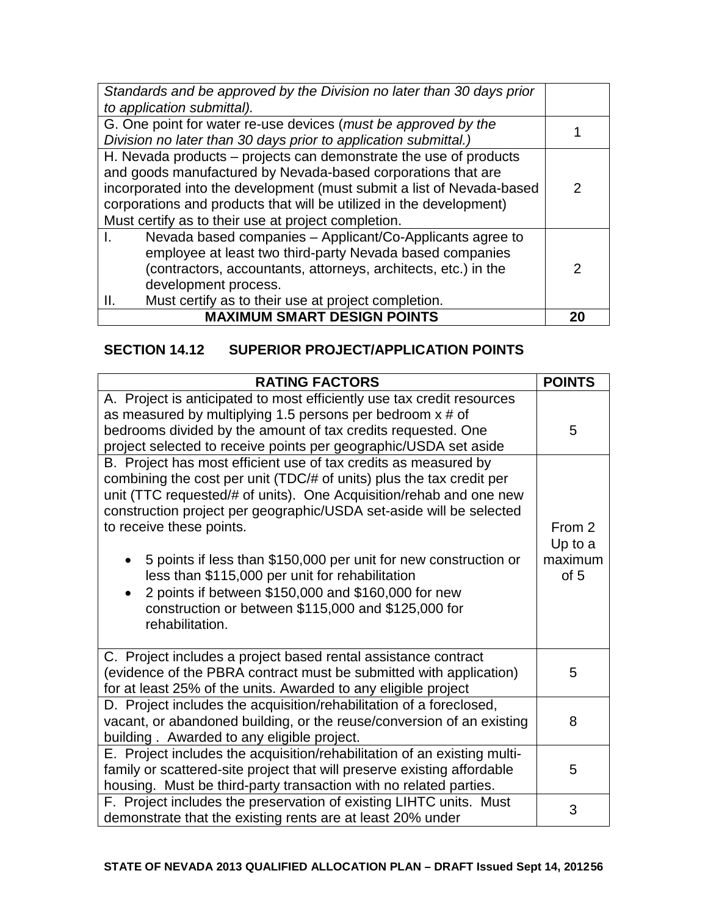| Standards and be approved by the Division no later than 30 days prior |    |  |
|-----------------------------------------------------------------------|----|--|
| to application submittal).                                            |    |  |
| G. One point for water re-use devices (must be approved by the        |    |  |
| Division no later than 30 days prior to application submittal.)       |    |  |
| H. Nevada products – projects can demonstrate the use of products     |    |  |
| and goods manufactured by Nevada-based corporations that are          |    |  |
| incorporated into the development (must submit a list of Nevada-based | 2  |  |
| corporations and products that will be utilized in the development)   |    |  |
| Must certify as to their use at project completion.                   |    |  |
| Nevada based companies – Applicant/Co-Applicants agree to             |    |  |
| employee at least two third-party Nevada based companies              |    |  |
| (contractors, accountants, attorneys, architects, etc.) in the        |    |  |
| development process.                                                  |    |  |
| Must certify as to their use at project completion.<br>Ш.             |    |  |
| <b>MAXIMUM SMART DESIGN POINTS</b>                                    | 20 |  |

## **SECTION 14.12 SUPERIOR PROJECT/APPLICATION POINTS**

| <b>RATING FACTORS</b>                                                                                                                                                                                                                                                                                                                                                                                                                                                                                                                                                    | <b>POINTS</b>                        |
|--------------------------------------------------------------------------------------------------------------------------------------------------------------------------------------------------------------------------------------------------------------------------------------------------------------------------------------------------------------------------------------------------------------------------------------------------------------------------------------------------------------------------------------------------------------------------|--------------------------------------|
| A. Project is anticipated to most efficiently use tax credit resources<br>as measured by multiplying 1.5 persons per bedroom $x \ne 0$<br>bedrooms divided by the amount of tax credits requested. One<br>project selected to receive points per geographic/USDA set aside                                                                                                                                                                                                                                                                                               | 5                                    |
| B. Project has most efficient use of tax credits as measured by<br>combining the cost per unit (TDC/# of units) plus the tax credit per<br>unit (TTC requested/# of units). One Acquisition/rehab and one new<br>construction project per geographic/USDA set-aside will be selected<br>to receive these points.<br>5 points if less than \$150,000 per unit for new construction or<br>less than \$115,000 per unit for rehabilitation<br>2 points if between \$150,000 and \$160,000 for new<br>construction or between \$115,000 and \$125,000 for<br>rehabilitation. | From 2<br>Up to a<br>maximum<br>of 5 |
| C. Project includes a project based rental assistance contract<br>(evidence of the PBRA contract must be submitted with application)<br>for at least 25% of the units. Awarded to any eligible project                                                                                                                                                                                                                                                                                                                                                                   | 5                                    |
| D. Project includes the acquisition/rehabilitation of a foreclosed,<br>vacant, or abandoned building, or the reuse/conversion of an existing<br>building. Awarded to any eligible project.                                                                                                                                                                                                                                                                                                                                                                               |                                      |
| E. Project includes the acquisition/rehabilitation of an existing multi-<br>family or scattered-site project that will preserve existing affordable<br>housing. Must be third-party transaction with no related parties.                                                                                                                                                                                                                                                                                                                                                 | 5                                    |
| F. Project includes the preservation of existing LIHTC units. Must<br>demonstrate that the existing rents are at least 20% under                                                                                                                                                                                                                                                                                                                                                                                                                                         | 3                                    |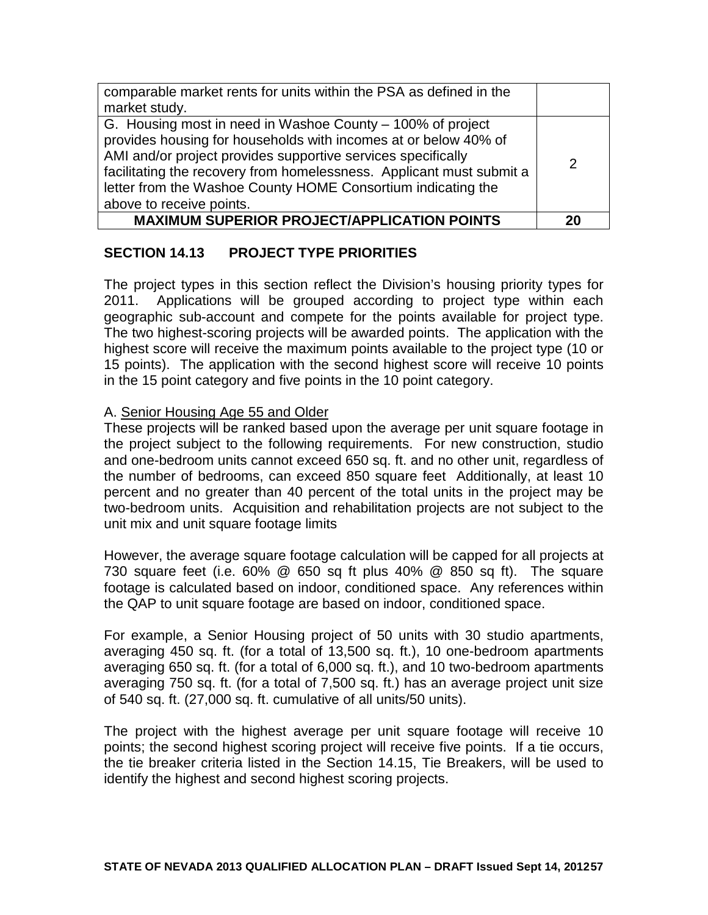| comparable market rents for units within the PSA as defined in the                                                                                                                                                                                                                                                                                                |   |
|-------------------------------------------------------------------------------------------------------------------------------------------------------------------------------------------------------------------------------------------------------------------------------------------------------------------------------------------------------------------|---|
| market study.                                                                                                                                                                                                                                                                                                                                                     |   |
| G. Housing most in need in Washoe County – 100% of project<br>provides housing for households with incomes at or below 40% of<br>AMI and/or project provides supportive services specifically<br>facilitating the recovery from homelessness. Applicant must submit a<br>letter from the Washoe County HOME Consortium indicating the<br>above to receive points. | 2 |
| <b>MAXIMUM SUPERIOR PROJECT/APPLICATION POINTS</b>                                                                                                                                                                                                                                                                                                                |   |

## **SECTION 14.13 PROJECT TYPE PRIORITIES**

The project types in this section reflect the Division's housing priority types for 2011. Applications will be grouped according to project type within each geographic sub-account and compete for the points available for project type. The two highest-scoring projects will be awarded points. The application with the highest score will receive the maximum points available to the project type (10 or 15 points). The application with the second highest score will receive 10 points in the 15 point category and five points in the 10 point category.

### A. Senior Housing Age 55 and Older

These projects will be ranked based upon the average per unit square footage in the project subject to the following requirements. For new construction, studio and one-bedroom units cannot exceed 650 sq. ft. and no other unit, regardless of the number of bedrooms, can exceed 850 square feet Additionally, at least 10 percent and no greater than 40 percent of the total units in the project may be two-bedroom units. Acquisition and rehabilitation projects are not subject to the unit mix and unit square footage limits

However, the average square footage calculation will be capped for all projects at 730 square feet (i.e. 60% @ 650 sq ft plus 40% @ 850 sq ft). The square footage is calculated based on indoor, conditioned space. Any references within the QAP to unit square footage are based on indoor, conditioned space.

For example, a Senior Housing project of 50 units with 30 studio apartments, averaging 450 sq. ft. (for a total of 13,500 sq. ft.), 10 one-bedroom apartments averaging 650 sq. ft. (for a total of 6,000 sq. ft.), and 10 two-bedroom apartments averaging 750 sq. ft. (for a total of 7,500 sq. ft.) has an average project unit size of 540 sq. ft. (27,000 sq. ft. cumulative of all units/50 units).

The project with the highest average per unit square footage will receive 10 points; the second highest scoring project will receive five points. If a tie occurs, the tie breaker criteria listed in the Section 14.15, Tie Breakers, will be used to identify the highest and second highest scoring projects.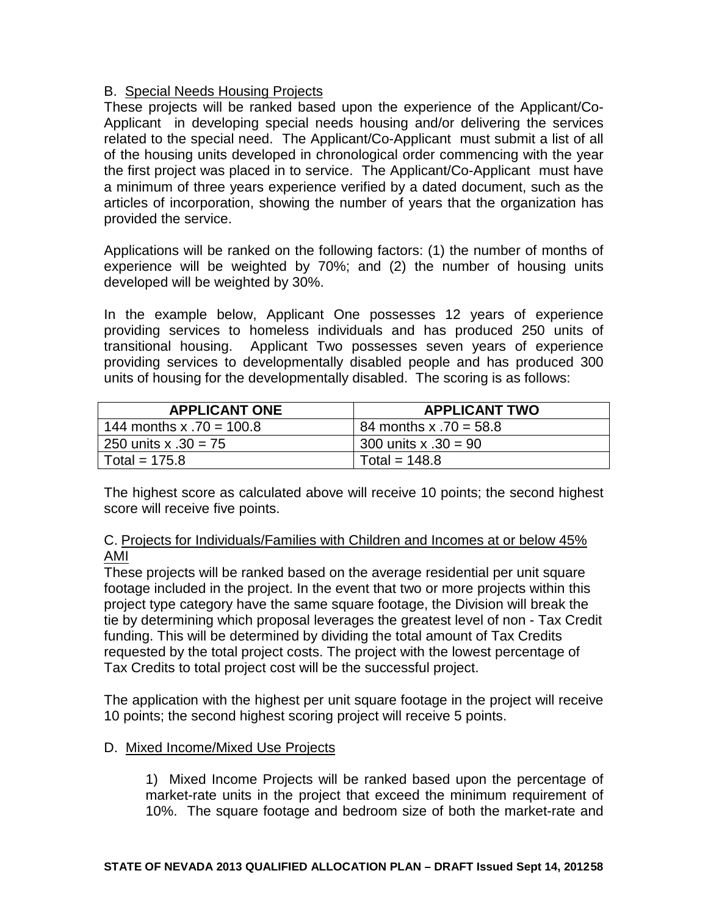### B. Special Needs Housing Projects

These projects will be ranked based upon the experience of the Applicant/Co-Applicant in developing special needs housing and/or delivering the services related to the special need. The Applicant/Co-Applicant must submit a list of all of the housing units developed in chronological order commencing with the year the first project was placed in to service. The Applicant/Co-Applicant must have a minimum of three years experience verified by a dated document, such as the articles of incorporation, showing the number of years that the organization has provided the service.

Applications will be ranked on the following factors: (1) the number of months of experience will be weighted by 70%; and (2) the number of housing units developed will be weighted by 30%.

In the example below, Applicant One possesses 12 years of experience providing services to homeless individuals and has produced 250 units of transitional housing. Applicant Two possesses seven years of experience providing services to developmentally disabled people and has produced 300 units of housing for the developmentally disabled. The scoring is as follows:

| <b>APPLICANT ONE</b>       | <b>APPLICANT TWO</b>    |
|----------------------------|-------------------------|
| 144 months x $.70 = 100.8$ | 84 months x .70 = 58.8  |
| 250 units x $.30 = 75$     | $1300$ units x .30 = 90 |
| Total = $175.8$            | Total = $148.8$         |

The highest score as calculated above will receive 10 points; the second highest score will receive five points.

### C. Projects for Individuals/Families with Children and Incomes at or below 45% AMI

These projects will be ranked based on the average residential per unit square footage included in the project. In the event that two or more projects within this project type category have the same square footage, the Division will break the tie by determining which proposal leverages the greatest level of non - Tax Credit funding. This will be determined by dividing the total amount of Tax Credits requested by the total project costs. The project with the lowest percentage of Tax Credits to total project cost will be the successful project.

The application with the highest per unit square footage in the project will receive 10 points; the second highest scoring project will receive 5 points.

### D. Mixed Income/Mixed Use Projects

1) Mixed Income Projects will be ranked based upon the percentage of market-rate units in the project that exceed the minimum requirement of 10%. The square footage and bedroom size of both the market-rate and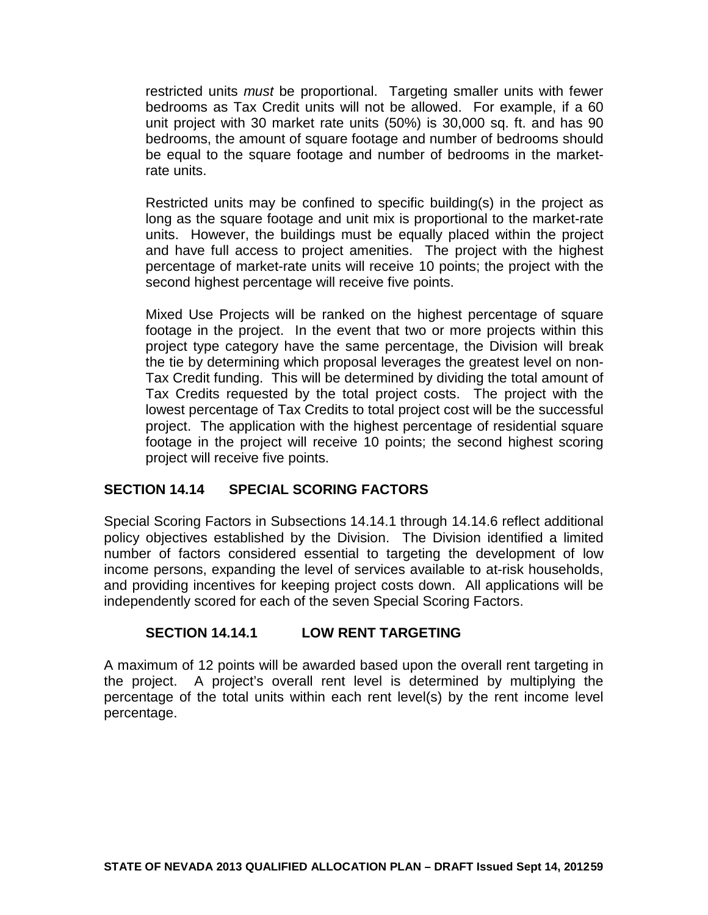restricted units *must* be proportional. Targeting smaller units with fewer bedrooms as Tax Credit units will not be allowed. For example, if a 60 unit project with 30 market rate units (50%) is 30,000 sq. ft. and has 90 bedrooms, the amount of square footage and number of bedrooms should be equal to the square footage and number of bedrooms in the marketrate units.

Restricted units may be confined to specific building(s) in the project as long as the square footage and unit mix is proportional to the market-rate units. However, the buildings must be equally placed within the project and have full access to project amenities. The project with the highest percentage of market-rate units will receive 10 points; the project with the second highest percentage will receive five points.

Mixed Use Projects will be ranked on the highest percentage of square footage in the project. In the event that two or more projects within this project type category have the same percentage, the Division will break the tie by determining which proposal leverages the greatest level on non-Tax Credit funding. This will be determined by dividing the total amount of Tax Credits requested by the total project costs. The project with the lowest percentage of Tax Credits to total project cost will be the successful project. The application with the highest percentage of residential square footage in the project will receive 10 points; the second highest scoring project will receive five points.

### **SECTION 14.14 SPECIAL SCORING FACTORS**

Special Scoring Factors in Subsections 14.14.1 through 14.14.6 reflect additional policy objectives established by the Division. The Division identified a limited number of factors considered essential to targeting the development of low income persons, expanding the level of services available to at-risk households, and providing incentives for keeping project costs down. All applications will be independently scored for each of the seven Special Scoring Factors.

### **SECTION 14.14.1 LOW RENT TARGETING**

A maximum of 12 points will be awarded based upon the overall rent targeting in the project. A project's overall rent level is determined by multiplying the percentage of the total units within each rent level(s) by the rent income level percentage.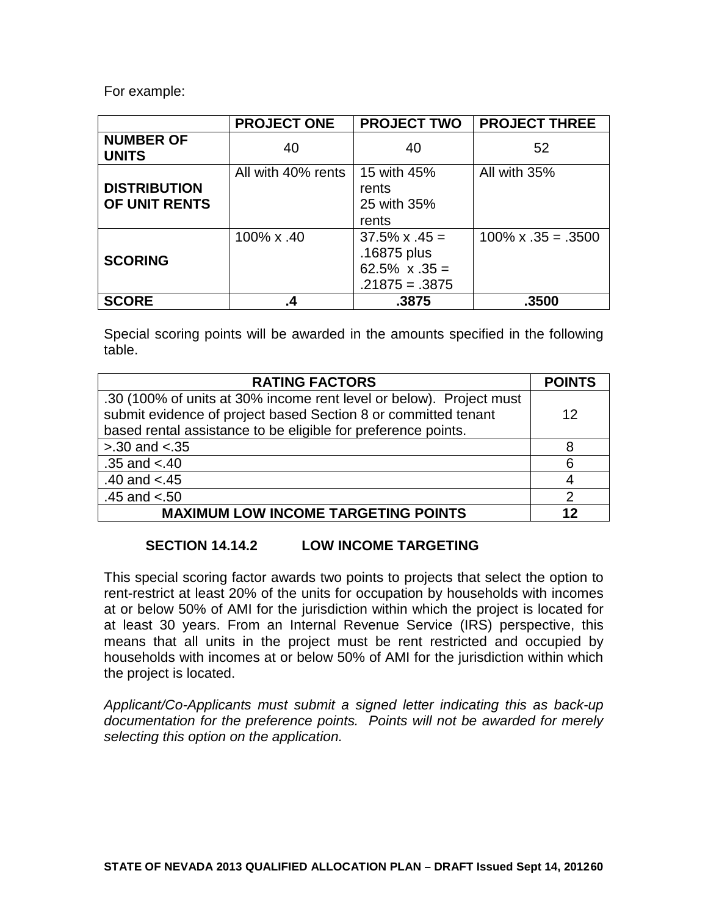For example:

|                                      | <b>PROJECT ONE</b> | <b>PROJECT TWO</b>                                                                | <b>PROJECT THREE</b>       |
|--------------------------------------|--------------------|-----------------------------------------------------------------------------------|----------------------------|
| <b>NUMBER OF</b><br><b>UNITS</b>     | 40                 | 40                                                                                | 52                         |
| <b>DISTRIBUTION</b><br>OF UNIT RENTS | All with 40% rents | 15 with 45%<br>rents<br>25 with 35%<br>rents                                      | All with 35%               |
| <b>SCORING</b>                       | 100% x .40         | $37.5\% \times .45 =$<br>.16875 plus<br>$62.5\% \times .35 =$<br>$.21875 = .3875$ | $100\% \times .35 = .3500$ |
| <b>SCORE</b>                         | .4                 | .3875                                                                             | .3500                      |

Special scoring points will be awarded in the amounts specified in the following table.

| <b>RATING FACTORS</b>                                               | <b>POINTS</b> |
|---------------------------------------------------------------------|---------------|
| .30 (100% of units at 30% income rent level or below). Project must |               |
| submit evidence of project based Section 8 or committed tenant      | 12            |
| based rental assistance to be eligible for preference points.       |               |
| $> 0.30$ and $< 0.35$                                               | 8             |
| $.35$ and $< .40$                                                   | 6             |
| .40 and $< .45$                                                     | 4             |
| $.45$ and $< 50$                                                    | ာ             |
| <b>MAXIMUM LOW INCOME TARGETING POINTS</b>                          | 19            |

### **SECTION 14.14.2 LOW INCOME TARGETING**

This special scoring factor awards two points to projects that select the option to rent-restrict at least 20% of the units for occupation by households with incomes at or below 50% of AMI for the jurisdiction within which the project is located for at least 30 years. From an Internal Revenue Service (IRS) perspective, this means that all units in the project must be rent restricted and occupied by households with incomes at or below 50% of AMI for the jurisdiction within which the project is located.

*Applicant/Co-Applicants must submit a signed letter indicating this as back-up documentation for the preference points. Points will not be awarded for merely selecting this option on the application.*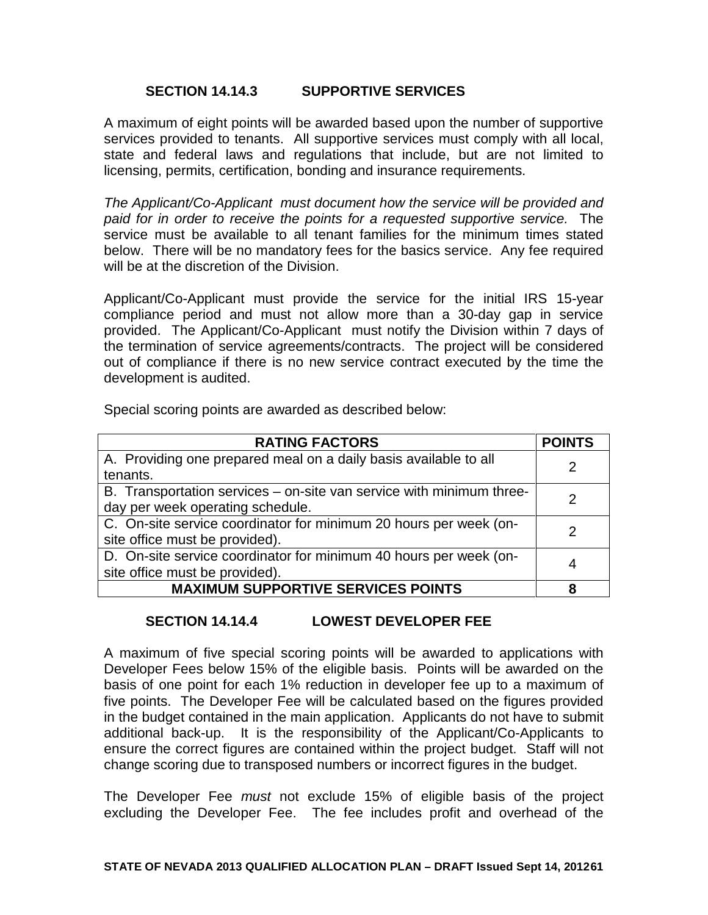### **SECTION 14.14.3 SUPPORTIVE SERVICES**

A maximum of eight points will be awarded based upon the number of supportive services provided to tenants. All supportive services must comply with all local, state and federal laws and regulations that include, but are not limited to licensing, permits, certification, bonding and insurance requirements.

*The Applicant/Co-Applicant must document how the service will be provided and paid for in order to receive the points for a requested supportive service.* The service must be available to all tenant families for the minimum times stated below. There will be no mandatory fees for the basics service. Any fee required will be at the discretion of the Division.

Applicant/Co-Applicant must provide the service for the initial IRS 15-year compliance period and must not allow more than a 30-day gap in service provided. The Applicant/Co-Applicant must notify the Division within 7 days of the termination of service agreements/contracts. The project will be considered out of compliance if there is no new service contract executed by the time the development is audited.

Special scoring points are awarded as described below:

| <b>RATING FACTORS</b>                                                | <b>POINTS</b> |
|----------------------------------------------------------------------|---------------|
| A. Providing one prepared meal on a daily basis available to all     |               |
| tenants.                                                             |               |
| B. Transportation services – on-site van service with minimum three- |               |
| day per week operating schedule.                                     |               |
| C. On-site service coordinator for minimum 20 hours per week (on-    |               |
| site office must be provided).                                       |               |
| D. On-site service coordinator for minimum 40 hours per week (on-    |               |
| site office must be provided).                                       |               |
| <b>MAXIMUM SUPPORTIVE SERVICES POINTS</b>                            |               |

### **SECTION 14.14.4 LOWEST DEVELOPER FEE**

A maximum of five special scoring points will be awarded to applications with Developer Fees below 15% of the eligible basis. Points will be awarded on the basis of one point for each 1% reduction in developer fee up to a maximum of five points. The Developer Fee will be calculated based on the figures provided in the budget contained in the main application. Applicants do not have to submit additional back-up. It is the responsibility of the Applicant/Co-Applicants to ensure the correct figures are contained within the project budget. Staff will not change scoring due to transposed numbers or incorrect figures in the budget.

The Developer Fee *must* not exclude 15% of eligible basis of the project excluding the Developer Fee. The fee includes profit and overhead of the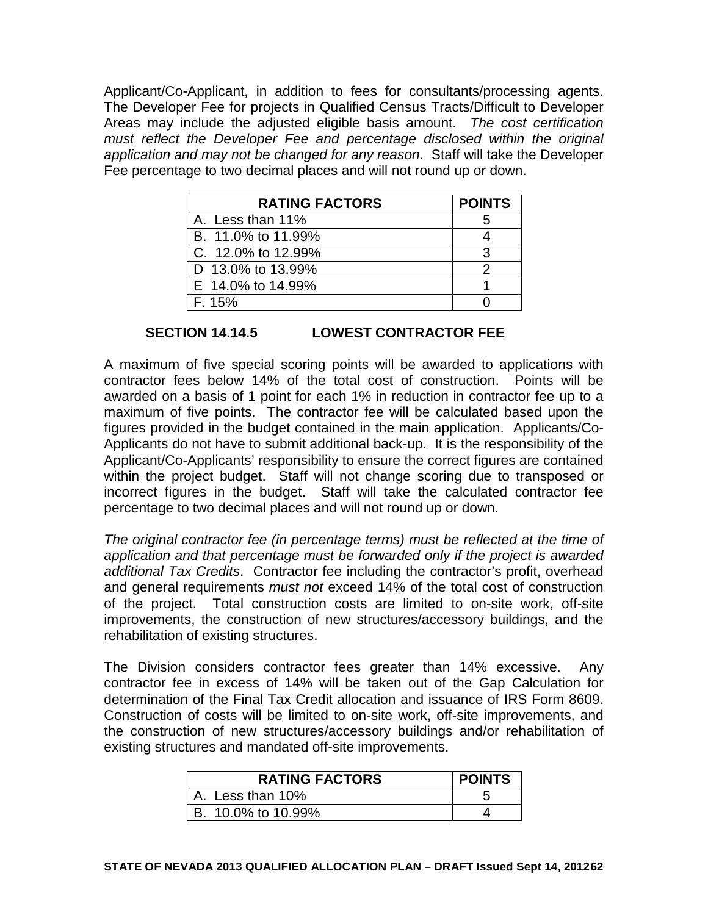Applicant/Co-Applicant, in addition to fees for consultants/processing agents. The Developer Fee for projects in Qualified Census Tracts/Difficult to Developer Areas may include the adjusted eligible basis amount. *The cost certification must reflect the Developer Fee and percentage disclosed within the original application and may not be changed for any reason.* Staff will take the Developer Fee percentage to two decimal places and will not round up or down.

| <b>RATING FACTORS</b> | <b>POINTS</b> |
|-----------------------|---------------|
| A. Less than 11%      |               |
| B. 11.0% to 11.99%    |               |
| C. 12.0% to 12.99%    | ঽ             |
| D 13.0% to 13.99%     |               |
| E 14.0% to 14.99%     |               |
| F. 15%                |               |

### **SECTION 14.14.5 LOWEST CONTRACTOR FEE**

A maximum of five special scoring points will be awarded to applications with contractor fees below 14% of the total cost of construction. Points will be awarded on a basis of 1 point for each 1% in reduction in contractor fee up to a maximum of five points. The contractor fee will be calculated based upon the figures provided in the budget contained in the main application. Applicants/Co-Applicants do not have to submit additional back-up. It is the responsibility of the Applicant/Co-Applicants' responsibility to ensure the correct figures are contained within the project budget. Staff will not change scoring due to transposed or incorrect figures in the budget. Staff will take the calculated contractor fee percentage to two decimal places and will not round up or down.

*The original contractor fee (in percentage terms) must be reflected at the time of application and that percentage must be forwarded only if the project is awarded additional Tax Credits*. Contractor fee including the contractor's profit, overhead and general requirements *must not* exceed 14% of the total cost of construction of the project. Total construction costs are limited to on-site work, off-site improvements, the construction of new structures/accessory buildings, and the rehabilitation of existing structures.

The Division considers contractor fees greater than 14% excessive. Any contractor fee in excess of 14% will be taken out of the Gap Calculation for determination of the Final Tax Credit allocation and issuance of IRS Form 8609. Construction of costs will be limited to on-site work, off-site improvements, and the construction of new structures/accessory buildings and/or rehabilitation of existing structures and mandated off-site improvements.

| <b>RATING FACTORS</b> | <b>POINTS</b> |
|-----------------------|---------------|
| A. Less than 10%      |               |
| B. 10.0% to 10.99%    |               |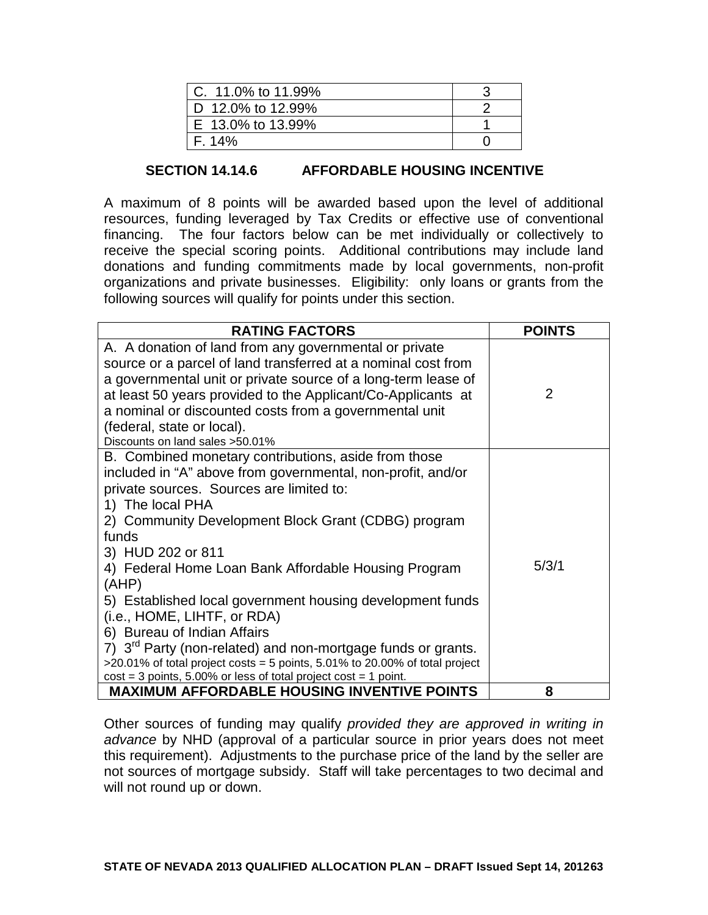| C. $11.0\%$ to $11.99\%$  |  |
|---------------------------|--|
| $\vert$ D 12.0% to 12.99% |  |
| $E$ 13.0% to 13.99%       |  |
| F. 14%                    |  |

### **SECTION 14.14.6 AFFORDABLE HOUSING INCENTIVE**

A maximum of 8 points will be awarded based upon the level of additional resources, funding leveraged by Tax Credits or effective use of conventional financing. The four factors below can be met individually or collectively to receive the special scoring points. Additional contributions may include land donations and funding commitments made by local governments, non-profit organizations and private businesses. Eligibility: only loans or grants from the following sources will qualify for points under this section.

| <b>RATING FACTORS</b>                                                                                                                                                                                                                                                                                                                                                                                                                                                                                                                                                                                                                                                                                   | <b>POINTS</b> |
|---------------------------------------------------------------------------------------------------------------------------------------------------------------------------------------------------------------------------------------------------------------------------------------------------------------------------------------------------------------------------------------------------------------------------------------------------------------------------------------------------------------------------------------------------------------------------------------------------------------------------------------------------------------------------------------------------------|---------------|
| A. A donation of land from any governmental or private<br>source or a parcel of land transferred at a nominal cost from<br>a governmental unit or private source of a long-term lease of<br>at least 50 years provided to the Applicant/Co-Applicants at<br>a nominal or discounted costs from a governmental unit<br>(federal, state or local).<br>Discounts on land sales > 50.01%                                                                                                                                                                                                                                                                                                                    | $\mathcal{P}$ |
| B. Combined monetary contributions, aside from those<br>included in "A" above from governmental, non-profit, and/or<br>private sources. Sources are limited to:<br>1) The local PHA<br>2) Community Development Block Grant (CDBG) program<br>funds<br>3) HUD 202 or 811<br>4) Federal Home Loan Bank Affordable Housing Program<br>(AHP)<br>5) Established local government housing development funds<br>(i.e., HOME, LIHTF, or RDA)<br>6) Bureau of Indian Affairs<br>7) 3 <sup>rd</sup> Party (non-related) and non-mortgage funds or grants.<br>$>20.01\%$ of total project costs = 5 points, 5.01% to 20.00% of total project<br>$cost = 3$ points, 5.00% or less of total project cost = 1 point. | 5/3/1         |
| <b>MAXIMUM AFFORDABLE HOUSING INVENTIVE POINTS</b>                                                                                                                                                                                                                                                                                                                                                                                                                                                                                                                                                                                                                                                      | 8             |

Other sources of funding may qualify *provided they are approved in writing in advance* by NHD (approval of a particular source in prior years does not meet this requirement). Adjustments to the purchase price of the land by the seller are not sources of mortgage subsidy. Staff will take percentages to two decimal and will not round up or down.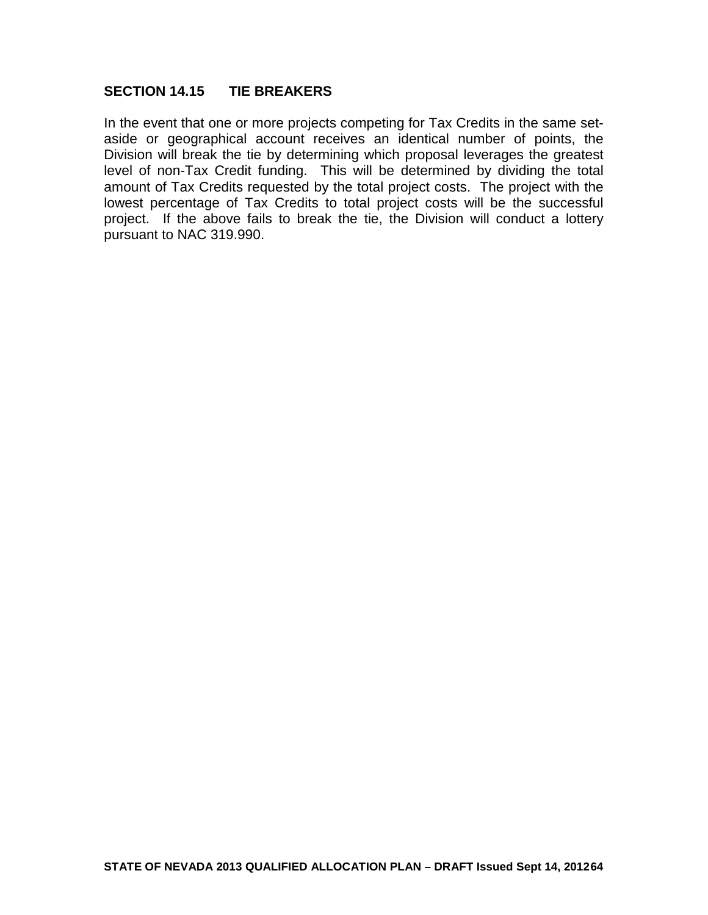### **SECTION 14.15 TIE BREAKERS**

In the event that one or more projects competing for Tax Credits in the same setaside or geographical account receives an identical number of points, the Division will break the tie by determining which proposal leverages the greatest level of non-Tax Credit funding. This will be determined by dividing the total amount of Tax Credits requested by the total project costs. The project with the lowest percentage of Tax Credits to total project costs will be the successful project. If the above fails to break the tie, the Division will conduct a lottery pursuant to NAC 319.990.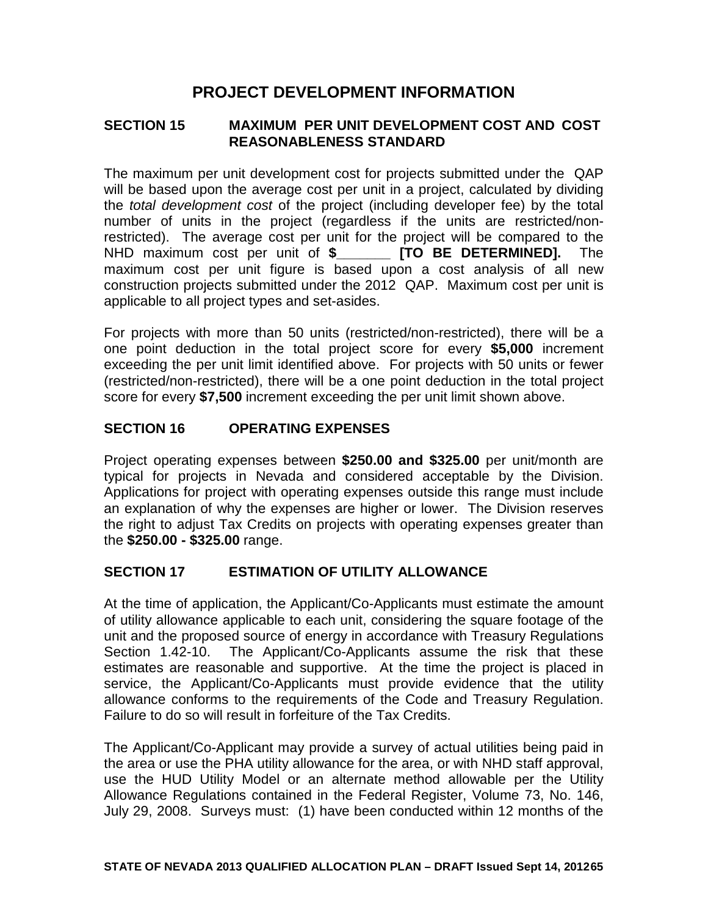# **PROJECT DEVELOPMENT INFORMATION**

### **SECTION 15 MAXIMUM PER UNIT DEVELOPMENT COST AND COST REASONABLENESS STANDARD**

The maximum per unit development cost for projects submitted under the QAP will be based upon the average cost per unit in a project, calculated by dividing the *total development cost* of the project (including developer fee) by the total number of units in the project (regardless if the units are restricted/nonrestricted). The average cost per unit for the project will be compared to the NHD maximum cost per unit of **\$\_\_\_\_\_\_\_ [TO BE DETERMINED].** The maximum cost per unit figure is based upon a cost analysis of all new construction projects submitted under the 2012 QAP. Maximum cost per unit is applicable to all project types and set-asides.

For projects with more than 50 units (restricted/non-restricted), there will be a one point deduction in the total project score for every **\$5,000** increment exceeding the per unit limit identified above. For projects with 50 units or fewer (restricted/non-restricted), there will be a one point deduction in the total project score for every **\$7,500** increment exceeding the per unit limit shown above.

### **SECTION 16 OPERATING EXPENSES**

Project operating expenses between **\$250.00 and \$325.00** per unit/month are typical for projects in Nevada and considered acceptable by the Division. Applications for project with operating expenses outside this range must include an explanation of why the expenses are higher or lower. The Division reserves the right to adjust Tax Credits on projects with operating expenses greater than the **\$250.00 - \$325.00** range.

### **SECTION 17 ESTIMATION OF UTILITY ALLOWANCE**

At the time of application, the Applicant/Co-Applicants must estimate the amount of utility allowance applicable to each unit, considering the square footage of the unit and the proposed source of energy in accordance with Treasury Regulations Section 1.42-10. The Applicant/Co-Applicants assume the risk that these estimates are reasonable and supportive. At the time the project is placed in service, the Applicant/Co-Applicants must provide evidence that the utility allowance conforms to the requirements of the Code and Treasury Regulation. Failure to do so will result in forfeiture of the Tax Credits.

The Applicant/Co-Applicant may provide a survey of actual utilities being paid in the area or use the PHA utility allowance for the area, or with NHD staff approval, use the HUD Utility Model or an alternate method allowable per the Utility Allowance Regulations contained in the Federal Register, Volume 73, No. 146, July 29, 2008. Surveys must: (1) have been conducted within 12 months of the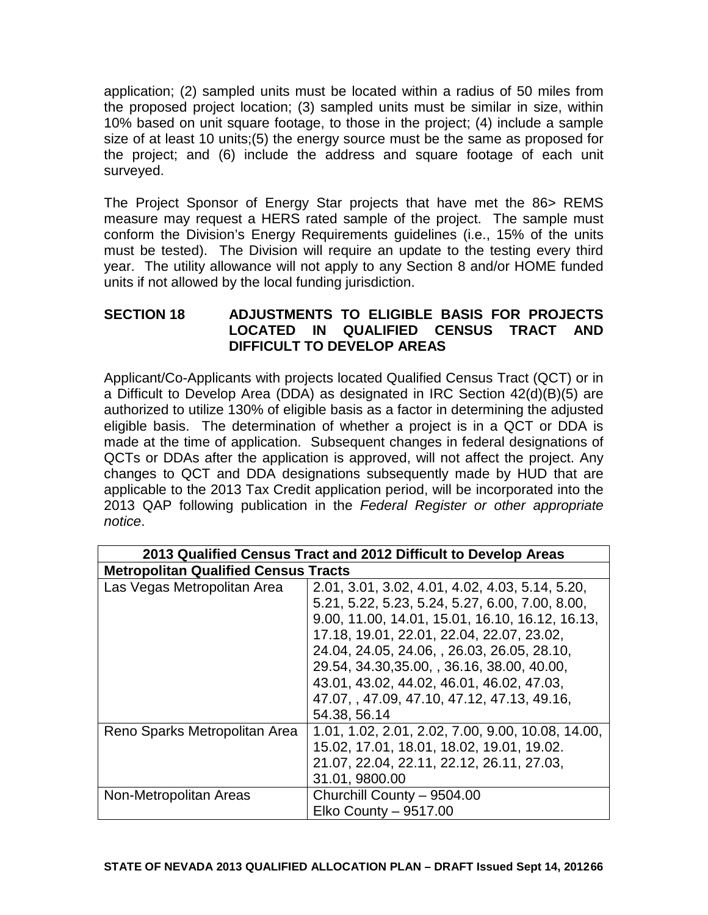application; (2) sampled units must be located within a radius of 50 miles from the proposed project location; (3) sampled units must be similar in size, within 10% based on unit square footage, to those in the project; (4) include a sample size of at least 10 units;(5) the energy source must be the same as proposed for the project; and (6) include the address and square footage of each unit surveyed.

The Project Sponsor of Energy Star projects that have met the 86> REMS measure may request a HERS rated sample of the project. The sample must conform the Division's Energy Requirements guidelines (i.e., 15% of the units must be tested). The Division will require an update to the testing every third year. The utility allowance will not apply to any Section 8 and/or HOME funded units if not allowed by the local funding jurisdiction.

### **SECTION 18 ADJUSTMENTS TO ELIGIBLE BASIS FOR PROJECTS LOCATED IN QUALIFIED CENSUS TRACT AND DIFFICULT TO DEVELOP AREAS**

Applicant/Co-Applicants with projects located Qualified Census Tract (QCT) or in a Difficult to Develop Area (DDA) as designated in IRC Section 42(d)(B)(5) are authorized to utilize 130% of eligible basis as a factor in determining the adjusted eligible basis. The determination of whether a project is in a QCT or DDA is made at the time of application. Subsequent changes in federal designations of QCTs or DDAs after the application is approved, will not affect the project. Any changes to QCT and DDA designations subsequently made by HUD that are applicable to the 2013 Tax Credit application period, will be incorporated into the 2013 QAP following publication in the *Federal Register or other appropriate notice*.

| 2013 Qualified Census Tract and 2012 Difficult to Develop Areas |                                                   |
|-----------------------------------------------------------------|---------------------------------------------------|
| <b>Metropolitan Qualified Census Tracts</b>                     |                                                   |
| Las Vegas Metropolitan Area                                     | 2.01, 3.01, 3.02, 4.01, 4.02, 4.03, 5.14, 5.20,   |
|                                                                 | 5.21, 5.22, 5.23, 5.24, 5.27, 6.00, 7.00, 8.00,   |
|                                                                 | 9.00, 11.00, 14.01, 15.01, 16.10, 16.12, 16.13,   |
|                                                                 | 17.18, 19.01, 22.01, 22.04, 22.07, 23.02,         |
|                                                                 | 24.04, 24.05, 24.06, , 26.03, 26.05, 28.10,       |
|                                                                 | 29.54, 34.30, 35.00, , 36.16, 38.00, 40.00,       |
|                                                                 | 43.01, 43.02, 44.02, 46.01, 46.02, 47.03,         |
|                                                                 | 47.07, 47.09, 47.10, 47.12, 47.13, 49.16,         |
|                                                                 | 54.38, 56.14                                      |
| Reno Sparks Metropolitan Area                                   | 1.01, 1.02, 2.01, 2.02, 7.00, 9.00, 10.08, 14.00, |
|                                                                 | 15.02, 17.01, 18.01, 18.02, 19.01, 19.02.         |
|                                                                 | 21.07, 22.04, 22.11, 22.12, 26.11, 27.03,         |
|                                                                 | 31.01, 9800.00                                    |
| Non-Metropolitan Areas                                          | Churchill County - 9504.00                        |
|                                                                 | Elko County - 9517.00                             |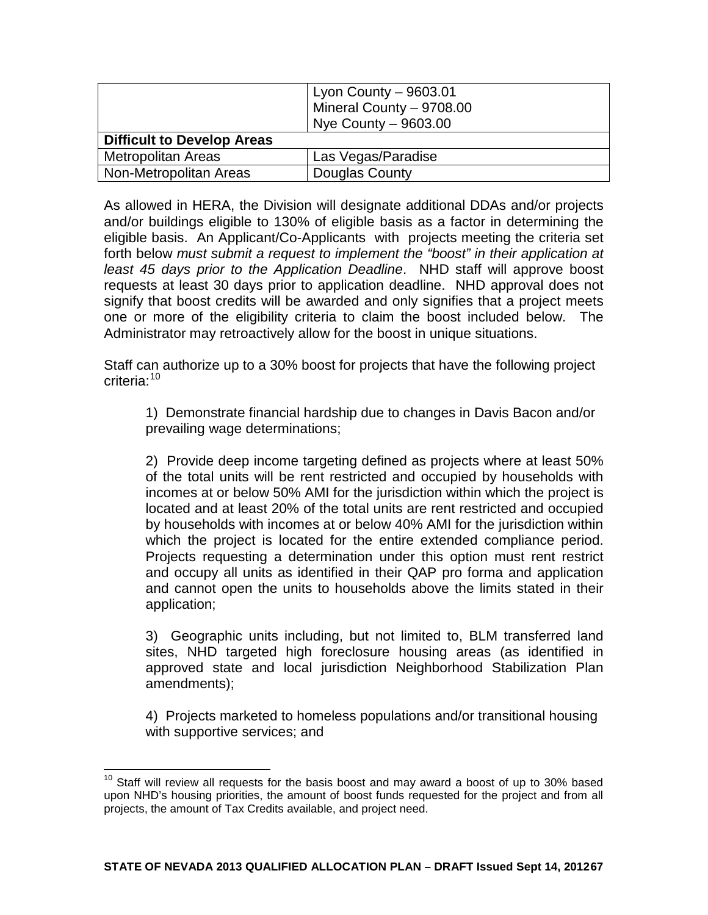|                                   | Lyon County $-9603.01$<br>Mineral County - 9708.00<br>Nye County - 9603.00 |
|-----------------------------------|----------------------------------------------------------------------------|
| <b>Difficult to Develop Areas</b> |                                                                            |
| <b>Metropolitan Areas</b>         | Las Vegas/Paradise                                                         |
| Non-Metropolitan Areas            | Douglas County                                                             |

As allowed in HERA, the Division will designate additional DDAs and/or projects and/or buildings eligible to 130% of eligible basis as a factor in determining the eligible basis. An Applicant/Co-Applicants with projects meeting the criteria set forth below *must submit a request to implement the "boost" in their application at least 45 days prior to the Application Deadline*. NHD staff will approve boost requests at least 30 days prior to application deadline. NHD approval does not signify that boost credits will be awarded and only signifies that a project meets one or more of the eligibility criteria to claim the boost included below. The Administrator may retroactively allow for the boost in unique situations.

Staff can authorize up to a 30% boost for projects that have the following project criteria:<sup>[10](#page-46-0)</sup>

1) Demonstrate financial hardship due to changes in Davis Bacon and/or prevailing wage determinations;

2) Provide deep income targeting defined as projects where at least 50% of the total units will be rent restricted and occupied by households with incomes at or below 50% AMI for the jurisdiction within which the project is located and at least 20% of the total units are rent restricted and occupied by households with incomes at or below 40% AMI for the jurisdiction within which the project is located for the entire extended compliance period. Projects requesting a determination under this option must rent restrict and occupy all units as identified in their QAP pro forma and application and cannot open the units to households above the limits stated in their application;

3) Geographic units including, but not limited to, BLM transferred land sites, NHD targeted high foreclosure housing areas (as identified in approved state and local jurisdiction Neighborhood Stabilization Plan amendments);

4) Projects marketed to homeless populations and/or transitional housing with supportive services; and

 $10$  Staff will review all requests for the basis boost and may award a boost of up to 30% based upon NHD's housing priorities, the amount of boost funds requested for the project and from all projects, the amount of Tax Credits available, and project need.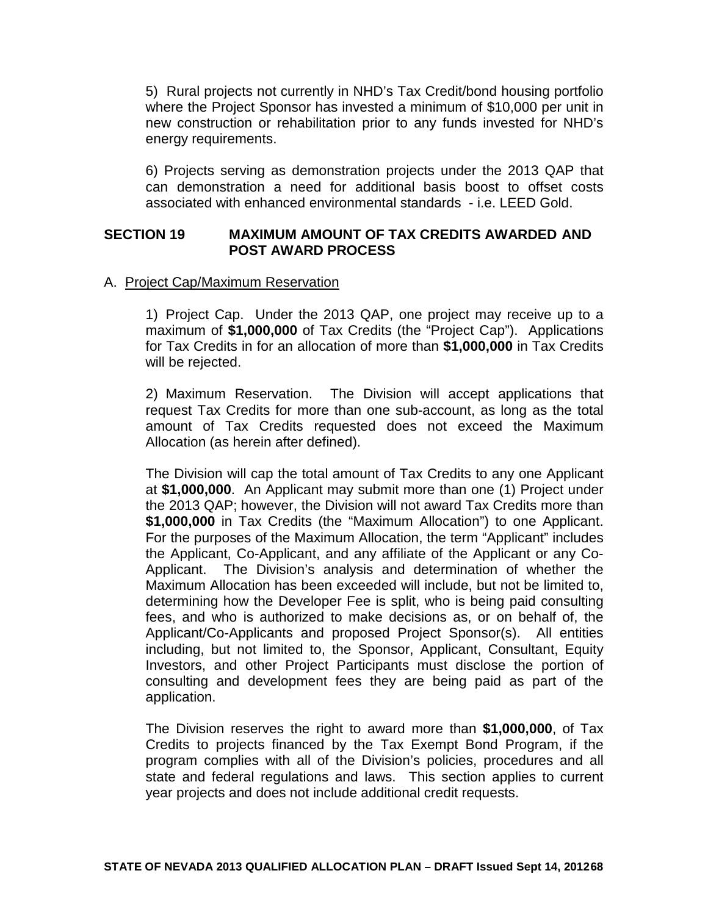5) Rural projects not currently in NHD's Tax Credit/bond housing portfolio where the Project Sponsor has invested a minimum of \$10,000 per unit in new construction or rehabilitation prior to any funds invested for NHD's energy requirements.

6) Projects serving as demonstration projects under the 2013 QAP that can demonstration a need for additional basis boost to offset costs associated with enhanced environmental standards - i.e. LEED Gold.

#### **SECTION 19 MAXIMUM AMOUNT OF TAX CREDITS AWARDED AND POST AWARD PROCESS**

#### A. Project Cap/Maximum Reservation

1) Project Cap. Under the 2013 QAP, one project may receive up to a maximum of **\$1,000,000** of Tax Credits (the "Project Cap"). Applications for Tax Credits in for an allocation of more than **\$1,000,000** in Tax Credits will be rejected.

2) Maximum Reservation. The Division will accept applications that request Tax Credits for more than one sub-account, as long as the total amount of Tax Credits requested does not exceed the Maximum Allocation (as herein after defined).

The Division will cap the total amount of Tax Credits to any one Applicant at **\$1,000,000**. An Applicant may submit more than one (1) Project under the 2013 QAP; however, the Division will not award Tax Credits more than **\$1,000,000** in Tax Credits (the "Maximum Allocation") to one Applicant. For the purposes of the Maximum Allocation, the term "Applicant" includes the Applicant, Co-Applicant, and any affiliate of the Applicant or any Co-Applicant. The Division's analysis and determination of whether the Maximum Allocation has been exceeded will include, but not be limited to, determining how the Developer Fee is split, who is being paid consulting fees, and who is authorized to make decisions as, or on behalf of, the Applicant/Co-Applicants and proposed Project Sponsor(s). All entities including, but not limited to, the Sponsor, Applicant, Consultant, Equity Investors, and other Project Participants must disclose the portion of consulting and development fees they are being paid as part of the application.

The Division reserves the right to award more than **\$1,000,000**, of Tax Credits to projects financed by the Tax Exempt Bond Program, if the program complies with all of the Division's policies, procedures and all state and federal regulations and laws. This section applies to current year projects and does not include additional credit requests.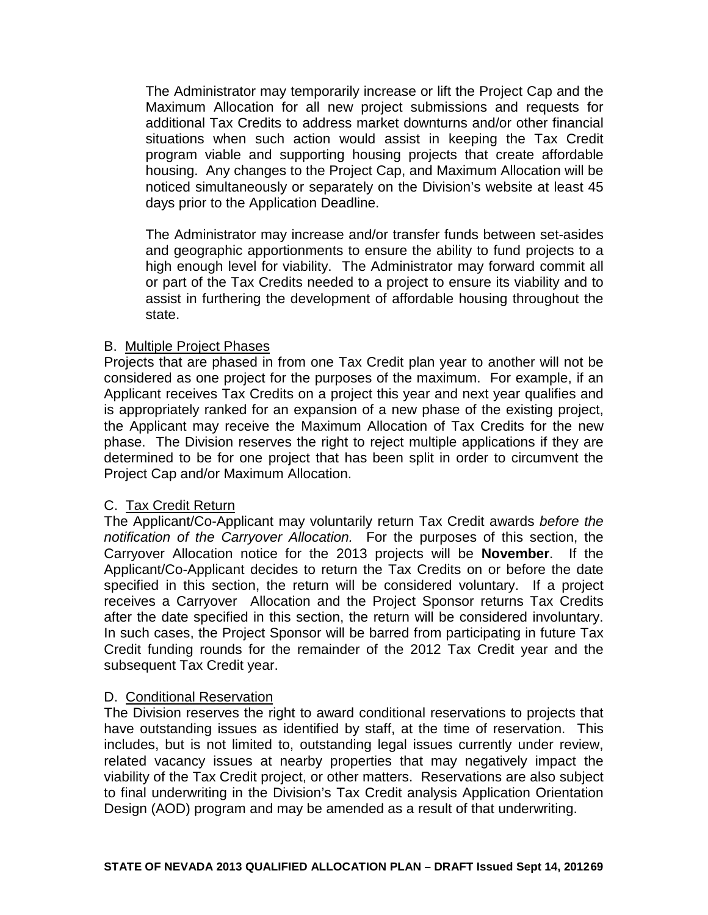The Administrator may temporarily increase or lift the Project Cap and the Maximum Allocation for all new project submissions and requests for additional Tax Credits to address market downturns and/or other financial situations when such action would assist in keeping the Tax Credit program viable and supporting housing projects that create affordable housing. Any changes to the Project Cap, and Maximum Allocation will be noticed simultaneously or separately on the Division's website at least 45 days prior to the Application Deadline.

The Administrator may increase and/or transfer funds between set-asides and geographic apportionments to ensure the ability to fund projects to a high enough level for viability. The Administrator may forward commit all or part of the Tax Credits needed to a project to ensure its viability and to assist in furthering the development of affordable housing throughout the state.

#### B. Multiple Project Phases

Projects that are phased in from one Tax Credit plan year to another will not be considered as one project for the purposes of the maximum. For example, if an Applicant receives Tax Credits on a project this year and next year qualifies and is appropriately ranked for an expansion of a new phase of the existing project, the Applicant may receive the Maximum Allocation of Tax Credits for the new phase. The Division reserves the right to reject multiple applications if they are determined to be for one project that has been split in order to circumvent the Project Cap and/or Maximum Allocation.

### C. Tax Credit Return

The Applicant/Co-Applicant may voluntarily return Tax Credit awards *before the notification of the Carryover Allocation.* For the purposes of this section, the Carryover Allocation notice for the 2013 projects will be **November**. If the Applicant/Co-Applicant decides to return the Tax Credits on or before the date specified in this section, the return will be considered voluntary. If a project receives a Carryover Allocation and the Project Sponsor returns Tax Credits after the date specified in this section, the return will be considered involuntary. In such cases, the Project Sponsor will be barred from participating in future Tax Credit funding rounds for the remainder of the 2012 Tax Credit year and the subsequent Tax Credit year.

### D. Conditional Reservation

The Division reserves the right to award conditional reservations to projects that have outstanding issues as identified by staff, at the time of reservation. This includes, but is not limited to, outstanding legal issues currently under review, related vacancy issues at nearby properties that may negatively impact the viability of the Tax Credit project, or other matters. Reservations are also subject to final underwriting in the Division's Tax Credit analysis Application Orientation Design (AOD) program and may be amended as a result of that underwriting.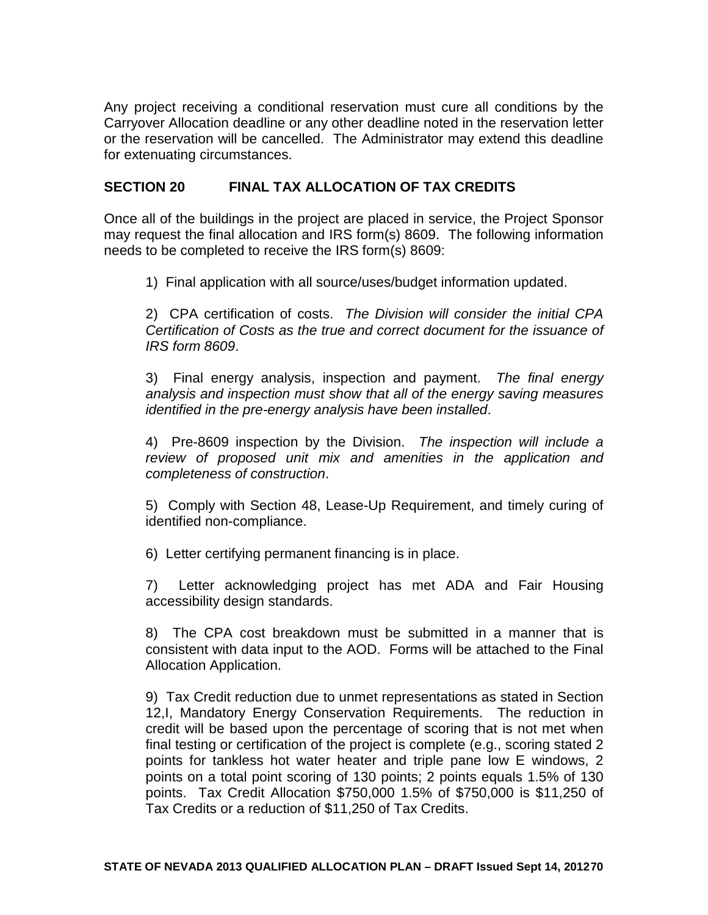Any project receiving a conditional reservation must cure all conditions by the Carryover Allocation deadline or any other deadline noted in the reservation letter or the reservation will be cancelled. The Administrator may extend this deadline for extenuating circumstances.

### **SECTION 20 FINAL TAX ALLOCATION OF TAX CREDITS**

Once all of the buildings in the project are placed in service, the Project Sponsor may request the final allocation and IRS form(s) 8609. The following information needs to be completed to receive the IRS form(s) 8609:

1) Final application with all source/uses/budget information updated.

2) CPA certification of costs. *The Division will consider the initial CPA Certification of Costs as the true and correct document for the issuance of IRS form 8609*.

3) Final energy analysis, inspection and payment. *The final energy analysis and inspection must show that all of the energy saving measures identified in the pre-energy analysis have been installed*.

4) Pre-8609 inspection by the Division. *The inspection will include a review of proposed unit mix and amenities in the application and completeness of construction*.

5) Comply with Section 48, Lease-Up Requirement, and timely curing of identified non-compliance.

6) Letter certifying permanent financing is in place.

7) Letter acknowledging project has met ADA and Fair Housing accessibility design standards.

8) The CPA cost breakdown must be submitted in a manner that is consistent with data input to the AOD. Forms will be attached to the Final Allocation Application.

9) Tax Credit reduction due to unmet representations as stated in Section 12,I, Mandatory Energy Conservation Requirements. The reduction in credit will be based upon the percentage of scoring that is not met when final testing or certification of the project is complete (e.g., scoring stated 2 points for tankless hot water heater and triple pane low E windows, 2 points on a total point scoring of 130 points; 2 points equals 1.5% of 130 points. Tax Credit Allocation \$750,000 1.5% of \$750,000 is \$11,250 of Tax Credits or a reduction of \$11,250 of Tax Credits.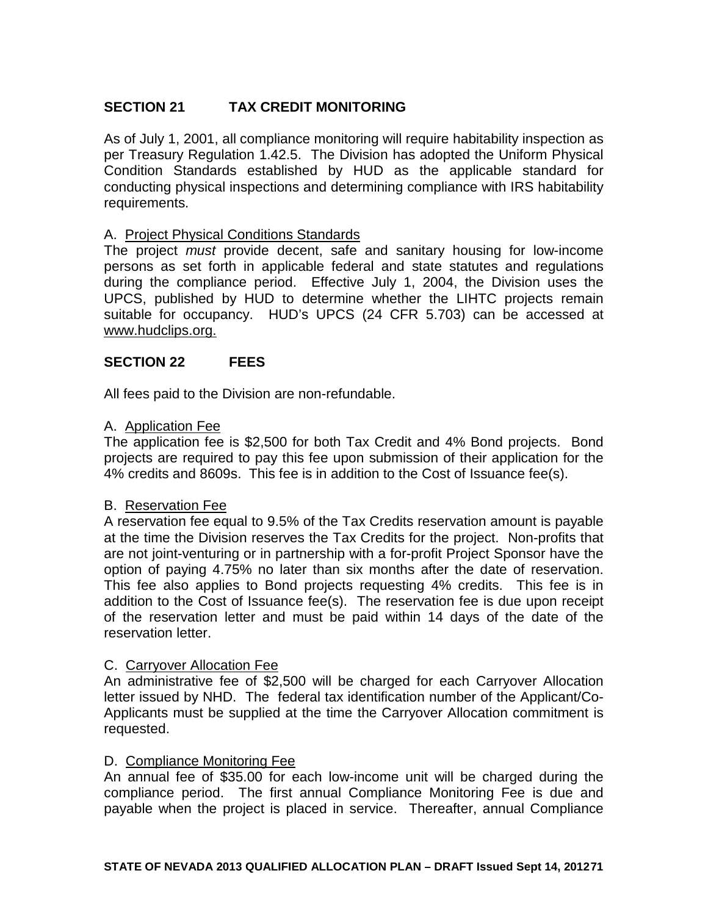# **SECTION 21 TAX CREDIT MONITORING**

As of July 1, 2001, all compliance monitoring will require habitability inspection as per Treasury Regulation 1.42.5. The Division has adopted the Uniform Physical Condition Standards established by HUD as the applicable standard for conducting physical inspections and determining compliance with IRS habitability requirements.

#### A. Project Physical Conditions Standards

The project *must* provide decent, safe and sanitary housing for low-income persons as set forth in applicable federal and state statutes and regulations during the compliance period. Effective July 1, 2004, the Division uses the UPCS, published by HUD to determine whether the LIHTC projects remain suitable for occupancy. HUD's UPCS (24 CFR 5.703) can be accessed at www.hudclips.org.

#### **SECTION 22 FEES**

All fees paid to the Division are non-refundable.

#### A. Application Fee

The application fee is \$2,500 for both Tax Credit and 4% Bond projects. Bond projects are required to pay this fee upon submission of their application for the 4% credits and 8609s. This fee is in addition to the Cost of Issuance fee(s).

#### B. Reservation Fee

A reservation fee equal to 9.5% of the Tax Credits reservation amount is payable at the time the Division reserves the Tax Credits for the project. Non-profits that are not joint-venturing or in partnership with a for-profit Project Sponsor have the option of paying 4.75% no later than six months after the date of reservation. This fee also applies to Bond projects requesting 4% credits. This fee is in addition to the Cost of Issuance fee(s). The reservation fee is due upon receipt of the reservation letter and must be paid within 14 days of the date of the reservation letter.

#### C. Carryover Allocation Fee

An administrative fee of \$2,500 will be charged for each Carryover Allocation letter issued by NHD. The federal tax identification number of the Applicant/Co-Applicants must be supplied at the time the Carryover Allocation commitment is requested.

#### D. Compliance Monitoring Fee

An annual fee of \$35.00 for each low-income unit will be charged during the compliance period. The first annual Compliance Monitoring Fee is due and payable when the project is placed in service. Thereafter, annual Compliance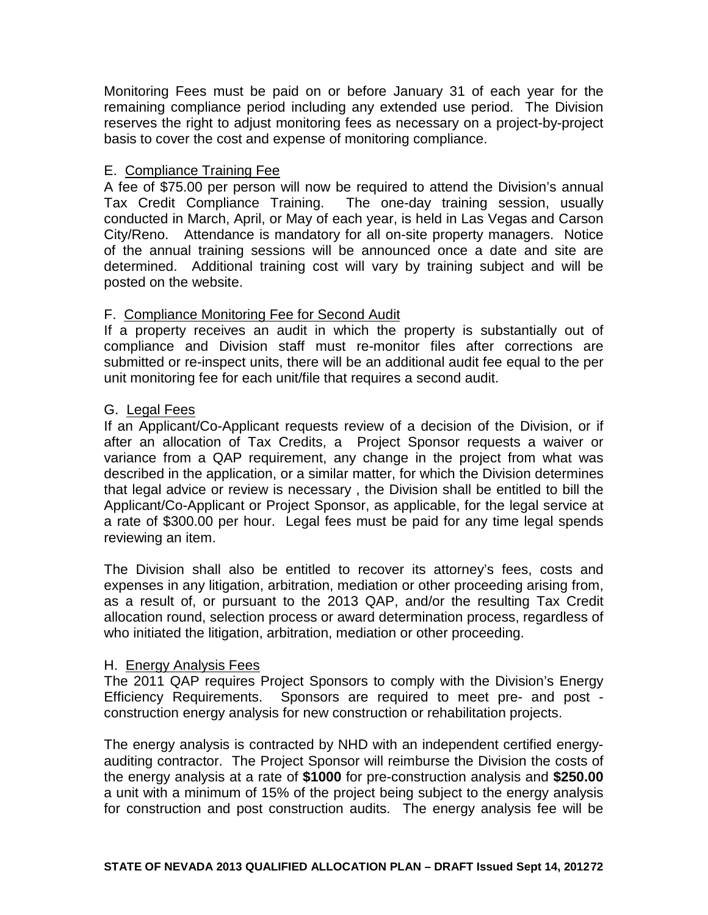Monitoring Fees must be paid on or before January 31 of each year for the remaining compliance period including any extended use period. The Division reserves the right to adjust monitoring fees as necessary on a project-by-project basis to cover the cost and expense of monitoring compliance.

### E. Compliance Training Fee

A fee of \$75.00 per person will now be required to attend the Division's annual Tax Credit Compliance Training. The one-day training session, usually conducted in March, April, or May of each year, is held in Las Vegas and Carson City/Reno. Attendance is mandatory for all on-site property managers. Notice of the annual training sessions will be announced once a date and site are determined. Additional training cost will vary by training subject and will be posted on the website.

### F. Compliance Monitoring Fee for Second Audit

If a property receives an audit in which the property is substantially out of compliance and Division staff must re-monitor files after corrections are submitted or re-inspect units, there will be an additional audit fee equal to the per unit monitoring fee for each unit/file that requires a second audit.

### G. Legal Fees

If an Applicant/Co-Applicant requests review of a decision of the Division, or if after an allocation of Tax Credits, a Project Sponsor requests a waiver or variance from a QAP requirement, any change in the project from what was described in the application, or a similar matter, for which the Division determines that legal advice or review is necessary , the Division shall be entitled to bill the Applicant/Co-Applicant or Project Sponsor, as applicable, for the legal service at a rate of \$300.00 per hour. Legal fees must be paid for any time legal spends reviewing an item.

The Division shall also be entitled to recover its attorney's fees, costs and expenses in any litigation, arbitration, mediation or other proceeding arising from, as a result of, or pursuant to the 2013 QAP, and/or the resulting Tax Credit allocation round, selection process or award determination process, regardless of who initiated the litigation, arbitration, mediation or other proceeding.

### H. Energy Analysis Fees

The 2011 QAP requires Project Sponsors to comply with the Division's Energy Efficiency Requirements. Sponsors are required to meet pre- and post construction energy analysis for new construction or rehabilitation projects.

The energy analysis is contracted by NHD with an independent certified energyauditing contractor. The Project Sponsor will reimburse the Division the costs of the energy analysis at a rate of **\$1000** for pre-construction analysis and **\$250.00** a unit with a minimum of 15% of the project being subject to the energy analysis for construction and post construction audits. The energy analysis fee will be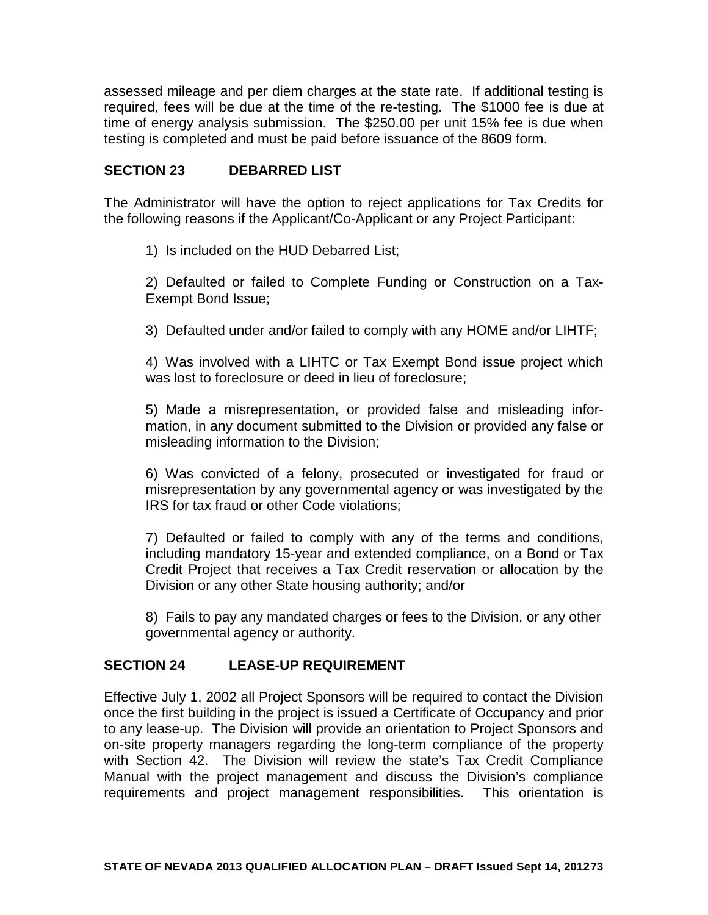assessed mileage and per diem charges at the state rate. If additional testing is required, fees will be due at the time of the re-testing. The \$1000 fee is due at time of energy analysis submission. The \$250.00 per unit 15% fee is due when testing is completed and must be paid before issuance of the 8609 form.

## **SECTION 23 DEBARRED LIST**

The Administrator will have the option to reject applications for Tax Credits for the following reasons if the Applicant/Co-Applicant or any Project Participant:

1) Is included on the HUD Debarred List;

2) Defaulted or failed to Complete Funding or Construction on a Tax-Exempt Bond Issue;

3) Defaulted under and/or failed to comply with any HOME and/or LIHTF;

4) Was involved with a LIHTC or Tax Exempt Bond issue project which was lost to foreclosure or deed in lieu of foreclosure;

5) Made a misrepresentation, or provided false and misleading information, in any document submitted to the Division or provided any false or misleading information to the Division;

6) Was convicted of a felony, prosecuted or investigated for fraud or misrepresentation by any governmental agency or was investigated by the IRS for tax fraud or other Code violations;

7) Defaulted or failed to comply with any of the terms and conditions, including mandatory 15-year and extended compliance, on a Bond or Tax Credit Project that receives a Tax Credit reservation or allocation by the Division or any other State housing authority; and/or

8) Fails to pay any mandated charges or fees to the Division, or any other governmental agency or authority.

## **SECTION 24 LEASE-UP REQUIREMENT**

Effective July 1, 2002 all Project Sponsors will be required to contact the Division once the first building in the project is issued a Certificate of Occupancy and prior to any lease-up. The Division will provide an orientation to Project Sponsors and on-site property managers regarding the long-term compliance of the property with Section 42. The Division will review the state's Tax Credit Compliance Manual with the project management and discuss the Division's compliance requirements and project management responsibilities. This orientation is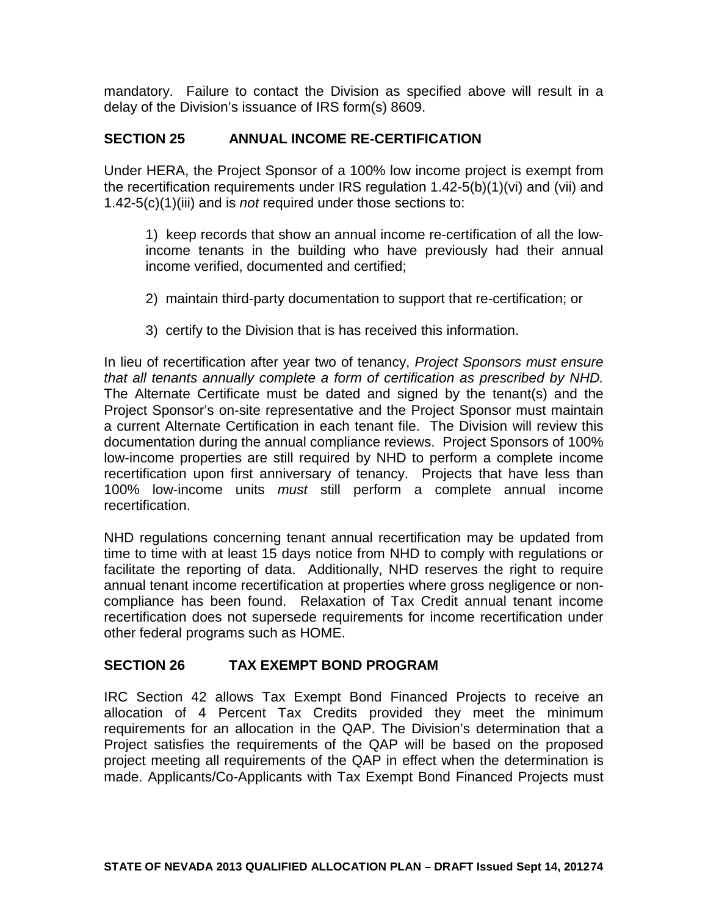mandatory. Failure to contact the Division as specified above will result in a delay of the Division's issuance of IRS form(s) 8609.

### **SECTION 25 ANNUAL INCOME RE-CERTIFICATION**

Under HERA, the Project Sponsor of a 100% low income project is exempt from the recertification requirements under IRS regulation 1.42-5(b)(1)(vi) and (vii) and 1.42-5(c)(1)(iii) and is *not* required under those sections to:

1) keep records that show an annual income re-certification of all the lowincome tenants in the building who have previously had their annual income verified, documented and certified;

- 2) maintain third-party documentation to support that re-certification; or
- 3) certify to the Division that is has received this information.

In lieu of recertification after year two of tenancy, *Project Sponsors must ensure that all tenants annually complete a form of certification as prescribed by NHD.* The Alternate Certificate must be dated and signed by the tenant(s) and the Project Sponsor's on-site representative and the Project Sponsor must maintain a current Alternate Certification in each tenant file. The Division will review this documentation during the annual compliance reviews. Project Sponsors of 100% low-income properties are still required by NHD to perform a complete income recertification upon first anniversary of tenancy. Projects that have less than 100% low-income units *must* still perform a complete annual income recertification.

NHD regulations concerning tenant annual recertification may be updated from time to time with at least 15 days notice from NHD to comply with regulations or facilitate the reporting of data. Additionally, NHD reserves the right to require annual tenant income recertification at properties where gross negligence or noncompliance has been found. Relaxation of Tax Credit annual tenant income recertification does not supersede requirements for income recertification under other federal programs such as HOME.

## **SECTION 26 TAX EXEMPT BOND PROGRAM**

IRC Section 42 allows Tax Exempt Bond Financed Projects to receive an allocation of 4 Percent Tax Credits provided they meet the minimum requirements for an allocation in the QAP. The Division's determination that a Project satisfies the requirements of the QAP will be based on the proposed project meeting all requirements of the QAP in effect when the determination is made. Applicants/Co-Applicants with Tax Exempt Bond Financed Projects must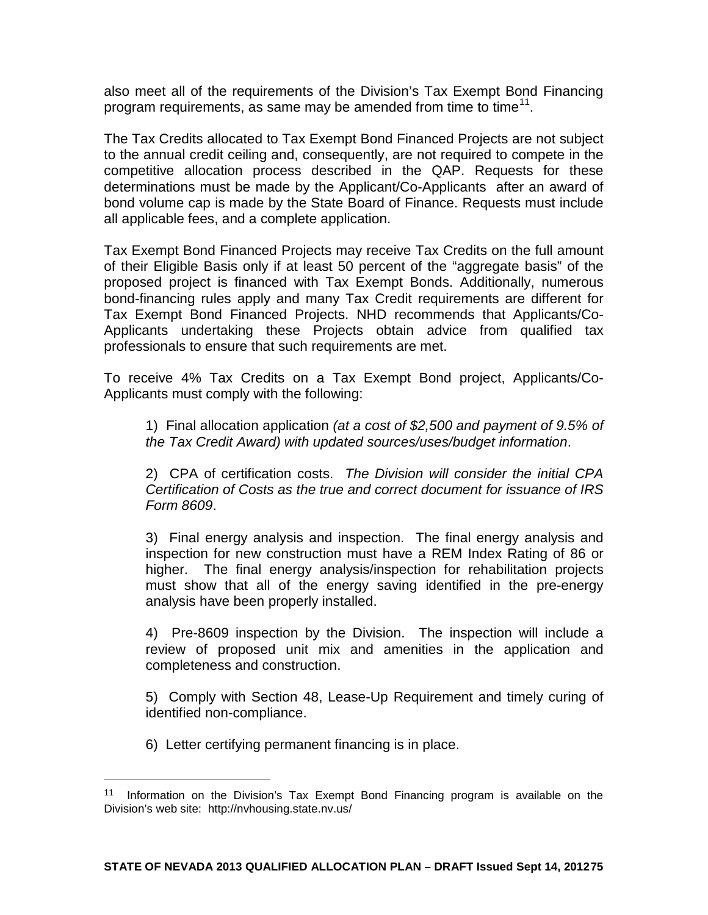also meet all of the requirements of the Division's Tax Exempt Bond Financing program requirements, as same may be amended from time to time<sup>[11](#page-66-0)</sup>.

The Tax Credits allocated to Tax Exempt Bond Financed Projects are not subject to the annual credit ceiling and, consequently, are not required to compete in the competitive allocation process described in the QAP. Requests for these determinations must be made by the Applicant/Co-Applicants after an award of bond volume cap is made by the State Board of Finance. Requests must include all applicable fees, and a complete application.

Tax Exempt Bond Financed Projects may receive Tax Credits on the full amount of their Eligible Basis only if at least 50 percent of the "aggregate basis" of the proposed project is financed with Tax Exempt Bonds. Additionally, numerous bond-financing rules apply and many Tax Credit requirements are different for Tax Exempt Bond Financed Projects. NHD recommends that Applicants/Co-Applicants undertaking these Projects obtain advice from qualified tax professionals to ensure that such requirements are met.

To receive 4% Tax Credits on a Tax Exempt Bond project, Applicants/Co-Applicants must comply with the following:

1) Final allocation application *(at a cost of \$2,500 and payment of 9.5% of the Tax Credit Award) with updated sources/uses/budget information*.

2) CPA of certification costs. *The Division will consider the initial CPA Certification of Costs as the true and correct document for issuance of IRS Form 8609*.

3) Final energy analysis and inspection. The final energy analysis and inspection for new construction must have a REM Index Rating of 86 or higher. The final energy analysis/inspection for rehabilitation projects must show that all of the energy saving identified in the pre-energy analysis have been properly installed.

4) Pre-8609 inspection by the Division. The inspection will include a review of proposed unit mix and amenities in the application and completeness and construction.

5) Comply with Section 48, Lease-Up Requirement and timely curing of identified non-compliance.

6) Letter certifying permanent financing is in place.

 $11$  Information on the Division's Tax Exempt Bond Financing program is available on the Division's web site: http://nvhousing.state.nv.us/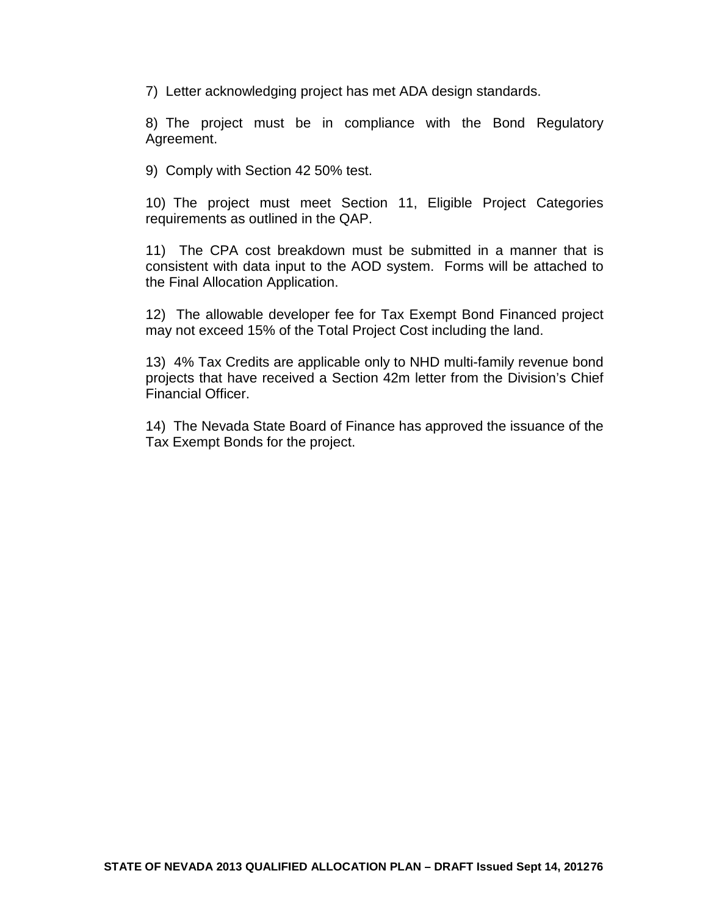7) Letter acknowledging project has met ADA design standards.

8) The project must be in compliance with the Bond Regulatory Agreement.

9) Comply with Section 42 50% test.

10) The project must meet Section 11, Eligible Project Categories requirements as outlined in the QAP.

11) The CPA cost breakdown must be submitted in a manner that is consistent with data input to the AOD system. Forms will be attached to the Final Allocation Application.

12) The allowable developer fee for Tax Exempt Bond Financed project may not exceed 15% of the Total Project Cost including the land.

13) 4% Tax Credits are applicable only to NHD multi-family revenue bond projects that have received a Section 42m letter from the Division's Chief Financial Officer.

14) The Nevada State Board of Finance has approved the issuance of the Tax Exempt Bonds for the project.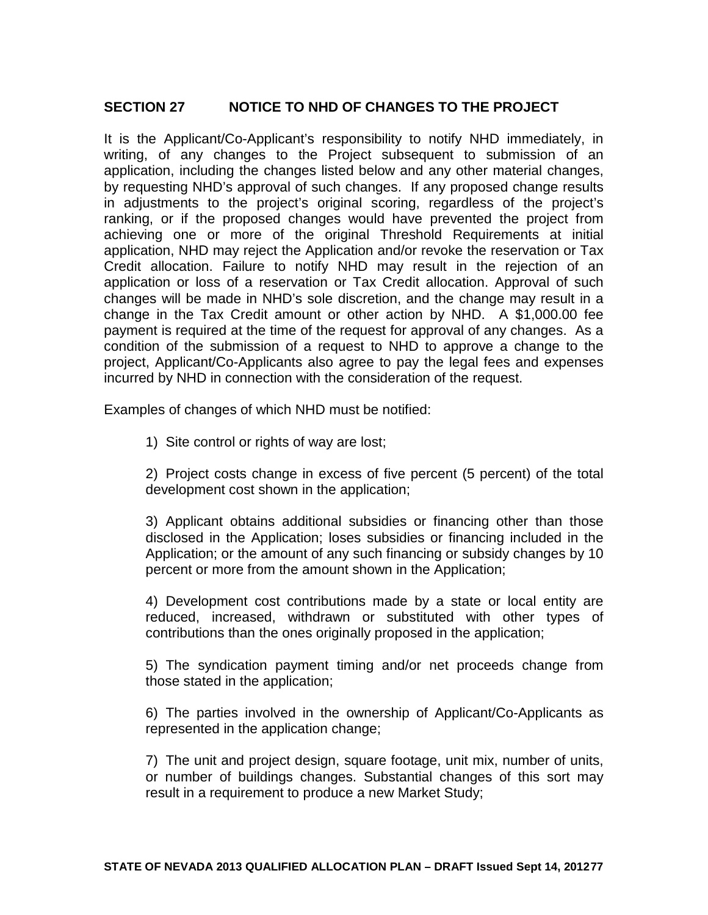## **SECTION 27 NOTICE TO NHD OF CHANGES TO THE PROJECT**

It is the Applicant/Co-Applicant's responsibility to notify NHD immediately, in writing, of any changes to the Project subsequent to submission of an application, including the changes listed below and any other material changes, by requesting NHD's approval of such changes. If any proposed change results in adjustments to the project's original scoring, regardless of the project's ranking, or if the proposed changes would have prevented the project from achieving one or more of the original Threshold Requirements at initial application, NHD may reject the Application and/or revoke the reservation or Tax Credit allocation. Failure to notify NHD may result in the rejection of an application or loss of a reservation or Tax Credit allocation. Approval of such changes will be made in NHD's sole discretion, and the change may result in a change in the Tax Credit amount or other action by NHD. A \$1,000.00 fee payment is required at the time of the request for approval of any changes. As a condition of the submission of a request to NHD to approve a change to the project, Applicant/Co-Applicants also agree to pay the legal fees and expenses incurred by NHD in connection with the consideration of the request.

Examples of changes of which NHD must be notified:

1) Site control or rights of way are lost;

2) Project costs change in excess of five percent (5 percent) of the total development cost shown in the application;

3) Applicant obtains additional subsidies or financing other than those disclosed in the Application; loses subsidies or financing included in the Application; or the amount of any such financing or subsidy changes by 10 percent or more from the amount shown in the Application;

4) Development cost contributions made by a state or local entity are reduced, increased, withdrawn or substituted with other types of contributions than the ones originally proposed in the application;

5) The syndication payment timing and/or net proceeds change from those stated in the application;

6) The parties involved in the ownership of Applicant/Co-Applicants as represented in the application change;

7) The unit and project design, square footage, unit mix, number of units, or number of buildings changes. Substantial changes of this sort may result in a requirement to produce a new Market Study;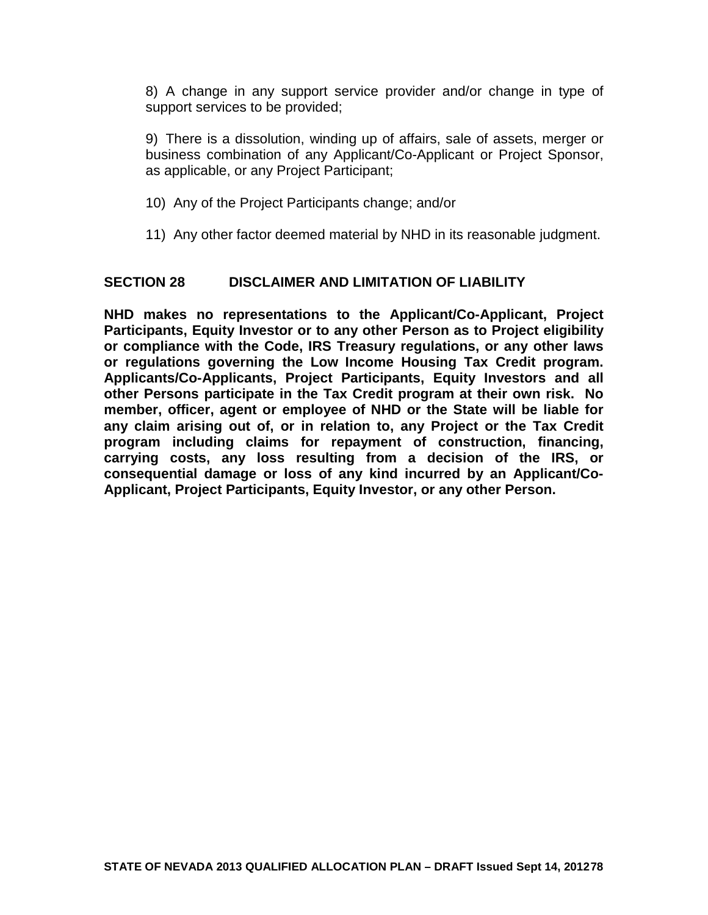8) A change in any support service provider and/or change in type of support services to be provided;

9) There is a dissolution, winding up of affairs, sale of assets, merger or business combination of any Applicant/Co-Applicant or Project Sponsor, as applicable, or any Project Participant;

- 10) Any of the Project Participants change; and/or
- 11) Any other factor deemed material by NHD in its reasonable judgment.

### **SECTION 28 DISCLAIMER AND LIMITATION OF LIABILITY**

**NHD makes no representations to the Applicant/Co-Applicant, Project Participants, Equity Investor or to any other Person as to Project eligibility or compliance with the Code, IRS Treasury regulations, or any other laws or regulations governing the Low Income Housing Tax Credit program. Applicants/Co-Applicants, Project Participants, Equity Investors and all other Persons participate in the Tax Credit program at their own risk. No member, officer, agent or employee of NHD or the State will be liable for any claim arising out of, or in relation to, any Project or the Tax Credit program including claims for repayment of construction, financing, carrying costs, any loss resulting from a decision of the IRS, or consequential damage or loss of any kind incurred by an Applicant/Co-Applicant, Project Participants, Equity Investor, or any other Person.**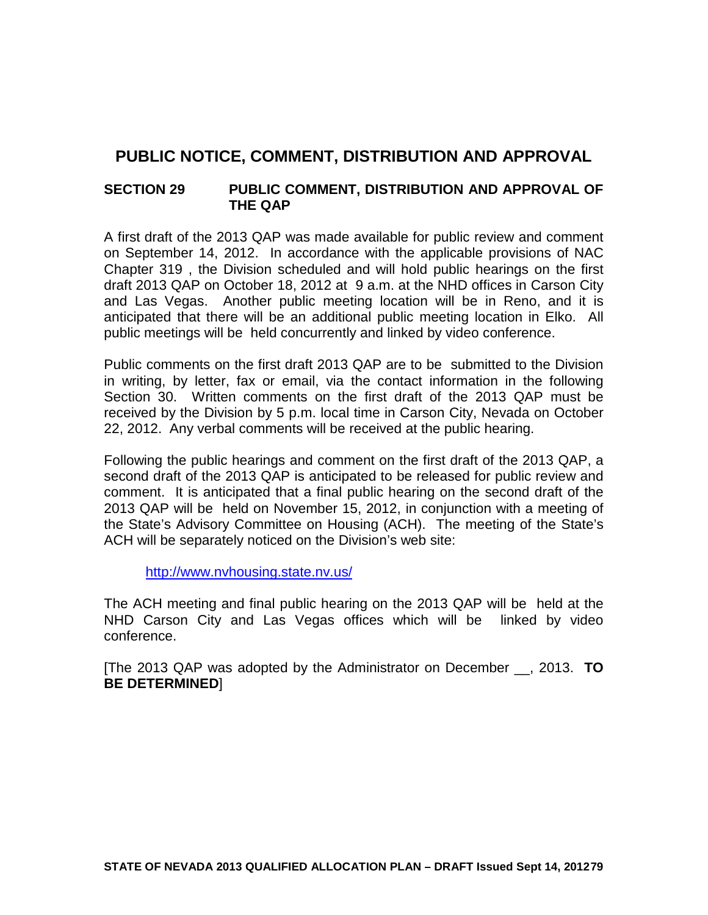# **PUBLIC NOTICE, COMMENT, DISTRIBUTION AND APPROVAL**

## **SECTION 29 PUBLIC COMMENT, DISTRIBUTION AND APPROVAL OF THE QAP**

A first draft of the 2013 QAP was made available for public review and comment on September 14, 2012. In accordance with the applicable provisions of NAC Chapter 319 , the Division scheduled and will hold public hearings on the first draft 2013 QAP on October 18, 2012 at 9 a.m. at the NHD offices in Carson City and Las Vegas. Another public meeting location will be in Reno, and it is anticipated that there will be an additional public meeting location in Elko. All public meetings will be held concurrently and linked by video conference.

Public comments on the first draft 2013 QAP are to be submitted to the Division in writing, by letter, fax or email, via the contact information in the following Section 30. Written comments on the first draft of the 2013 QAP must be received by the Division by 5 p.m. local time in Carson City, Nevada on October 22, 2012. Any verbal comments will be received at the public hearing.

Following the public hearings and comment on the first draft of the 2013 QAP, a second draft of the 2013 QAP is anticipated to be released for public review and comment. It is anticipated that a final public hearing on the second draft of the 2013 QAP will be held on November 15, 2012, in conjunction with a meeting of the State's Advisory Committee on Housing (ACH). The meeting of the State's ACH will be separately noticed on the Division's web site:

<http://www.nvhousing.state.nv.us/>

The ACH meeting and final public hearing on the 2013 QAP will be held at the NHD Carson City and Las Vegas offices which will be linked by video conference.

[The 2013 QAP was adopted by the Administrator on December \_\_, 2013. **TO BE DETERMINED**]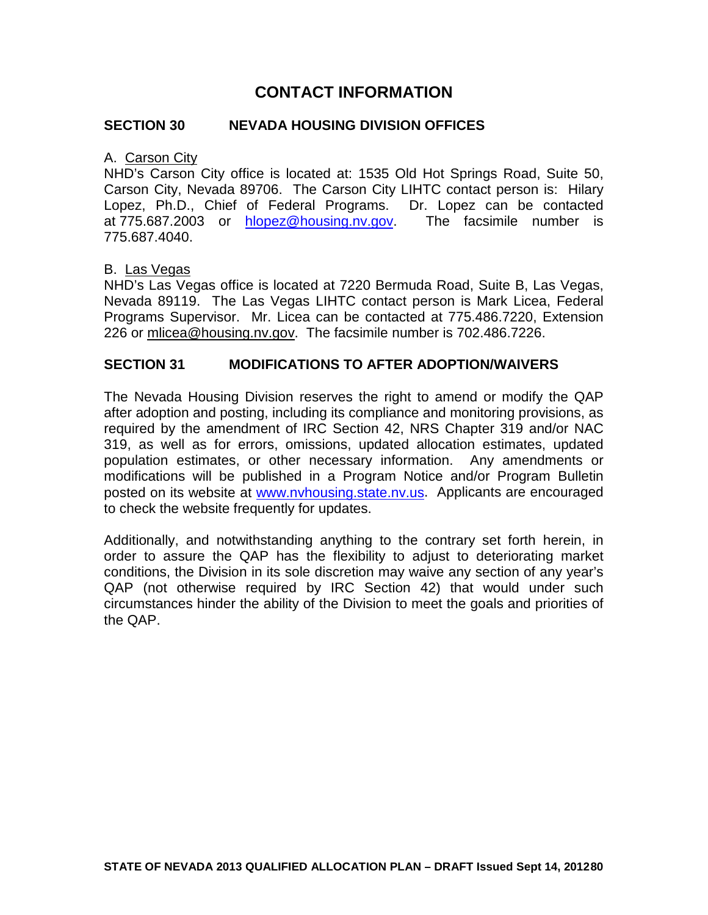## **CONTACT INFORMATION**

### **SECTION 30 NEVADA HOUSING DIVISION OFFICES**

### A. Carson City

NHD's Carson City office is located at: 1535 Old Hot Springs Road, Suite 50, Carson City, Nevada 89706. The Carson City LIHTC contact person is: Hilary Lopez, Ph.D., Chief of Federal Programs. Dr. Lopez can be contacted at 775.687.2003 or [hlopez@housing.nv.gov.](mailto:hlopez@housing.nv.gov) The facsimile number is 775.687.4040.

### B. Las Vegas

NHD's Las Vegas office is located at 7220 Bermuda Road, Suite B, Las Vegas, Nevada 89119. The Las Vegas LIHTC contact person is Mark Licea, Federal Programs Supervisor. Mr. Licea can be contacted at 775.486.7220, Extension 226 or mlicea@housing.nv.gov. The facsimile number is 702.486.7226.

### **SECTION 31 MODIFICATIONS TO AFTER ADOPTION/WAIVERS**

The Nevada Housing Division reserves the right to amend or modify the QAP after adoption and posting, including its compliance and monitoring provisions, as required by the amendment of IRC Section 42, NRS Chapter 319 and/or NAC 319, as well as for errors, omissions, updated allocation estimates, updated population estimates, or other necessary information. Any amendments or modifications will be published in a Program Notice and/or Program Bulletin posted on its website at [www.nvhousing.state.nv.us.](http://www.nvhousing.state.nv.us/) Applicants are encouraged to check the website frequently for updates.

Additionally, and notwithstanding anything to the contrary set forth herein, in order to assure the QAP has the flexibility to adjust to deteriorating market conditions, the Division in its sole discretion may waive any section of any year's QAP (not otherwise required by IRC Section 42) that would under such circumstances hinder the ability of the Division to meet the goals and priorities of the QAP.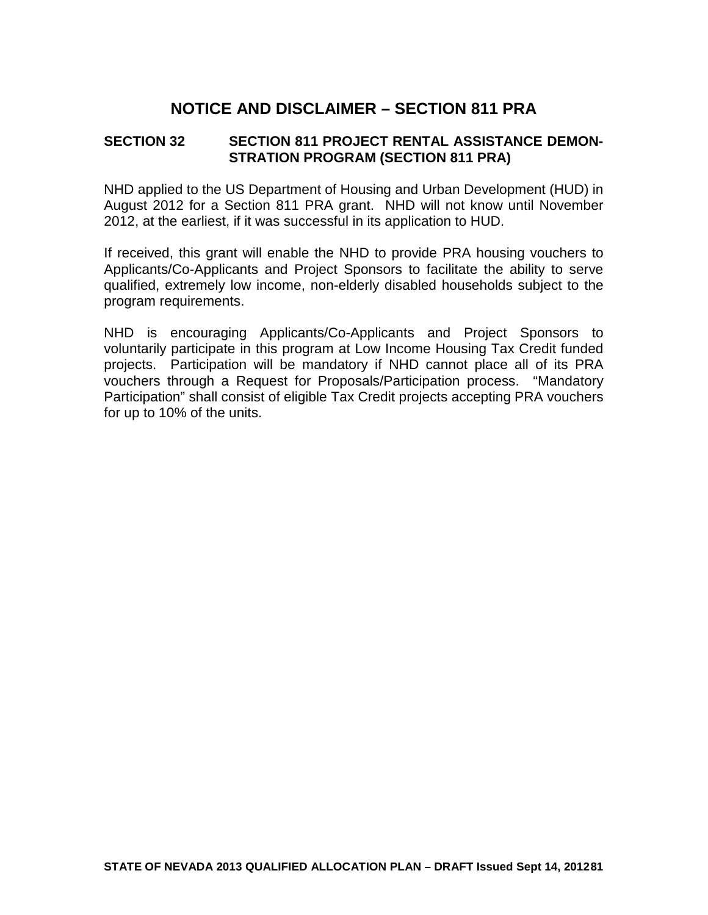# **NOTICE AND DISCLAIMER – SECTION 811 PRA**

## **SECTION 32 SECTION 811 PROJECT RENTAL ASSISTANCE DEMON-STRATION PROGRAM (SECTION 811 PRA)**

NHD applied to the US Department of Housing and Urban Development (HUD) in August 2012 for a Section 811 PRA grant. NHD will not know until November 2012, at the earliest, if it was successful in its application to HUD.

If received, this grant will enable the NHD to provide PRA housing vouchers to Applicants/Co-Applicants and Project Sponsors to facilitate the ability to serve qualified, extremely low income, non-elderly disabled households subject to the program requirements.

NHD is encouraging Applicants/Co-Applicants and Project Sponsors to voluntarily participate in this program at Low Income Housing Tax Credit funded projects. Participation will be mandatory if NHD cannot place all of its PRA vouchers through a Request for Proposals/Participation process. "Mandatory Participation" shall consist of eligible Tax Credit projects accepting PRA vouchers for up to 10% of the units.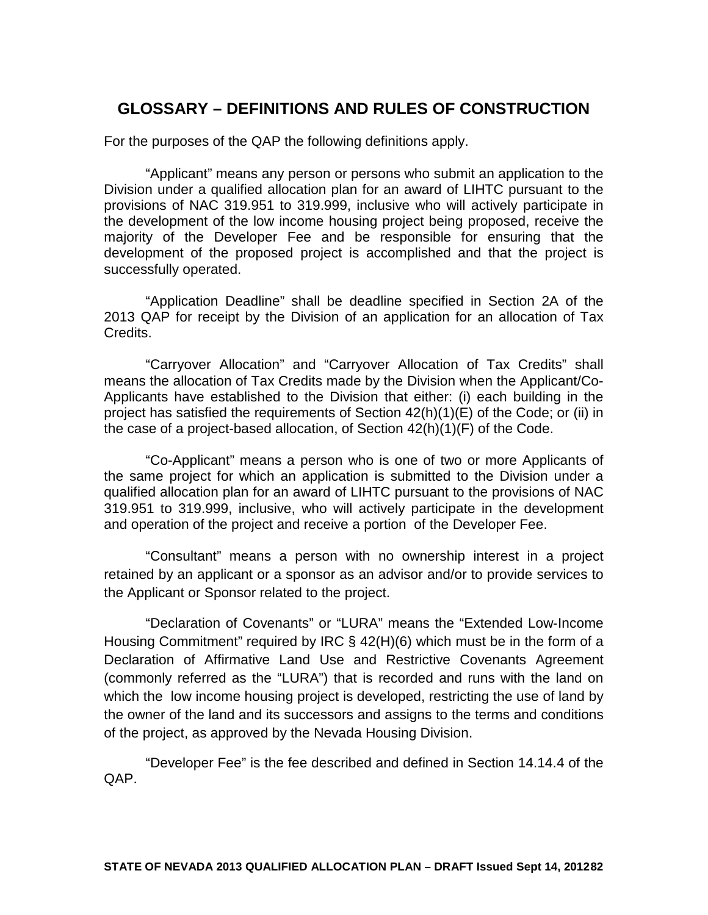# **GLOSSARY – DEFINITIONS AND RULES OF CONSTRUCTION**

For the purposes of the QAP the following definitions apply.

"Applicant" means any person or persons who submit an application to the Division under a qualified allocation plan for an award of LIHTC pursuant to the provisions of NAC 319.951 to 319.999, inclusive who will actively participate in the development of the low income housing project being proposed, receive the majority of the Developer Fee and be responsible for ensuring that the development of the proposed project is accomplished and that the project is successfully operated.

"Application Deadline" shall be deadline specified in Section 2A of the 2013 QAP for receipt by the Division of an application for an allocation of Tax Credits.

"Carryover Allocation" and "Carryover Allocation of Tax Credits" shall means the allocation of Tax Credits made by the Division when the Applicant/Co-Applicants have established to the Division that either: (i) each building in the project has satisfied the requirements of Section 42(h)(1)(E) of the Code; or (ii) in the case of a project-based allocation, of Section 42(h)(1)(F) of the Code.

"Co-Applicant" means a person who is one of two or more Applicants of the same project for which an application is submitted to the Division under a qualified allocation plan for an award of LIHTC pursuant to the provisions of NAC 319.951 to 319.999, inclusive, who will actively participate in the development and operation of the project and receive a portion of the Developer Fee.

"Consultant" means a person with no ownership interest in a project retained by an applicant or a sponsor as an advisor and/or to provide services to the Applicant or Sponsor related to the project.

"Declaration of Covenants" or "LURA" means the "Extended Low‐Income Housing Commitment" required by IRC § 42(H)(6) which must be in the form of a Declaration of Affirmative Land Use and Restrictive Covenants Agreement (commonly referred as the "LURA") that is recorded and runs with the land on which the low income housing project is developed, restricting the use of land by the owner of the land and its successors and assigns to the terms and conditions of the project, as approved by the Nevada Housing Division.

"Developer Fee" is the fee described and defined in Section 14.14.4 of the QAP.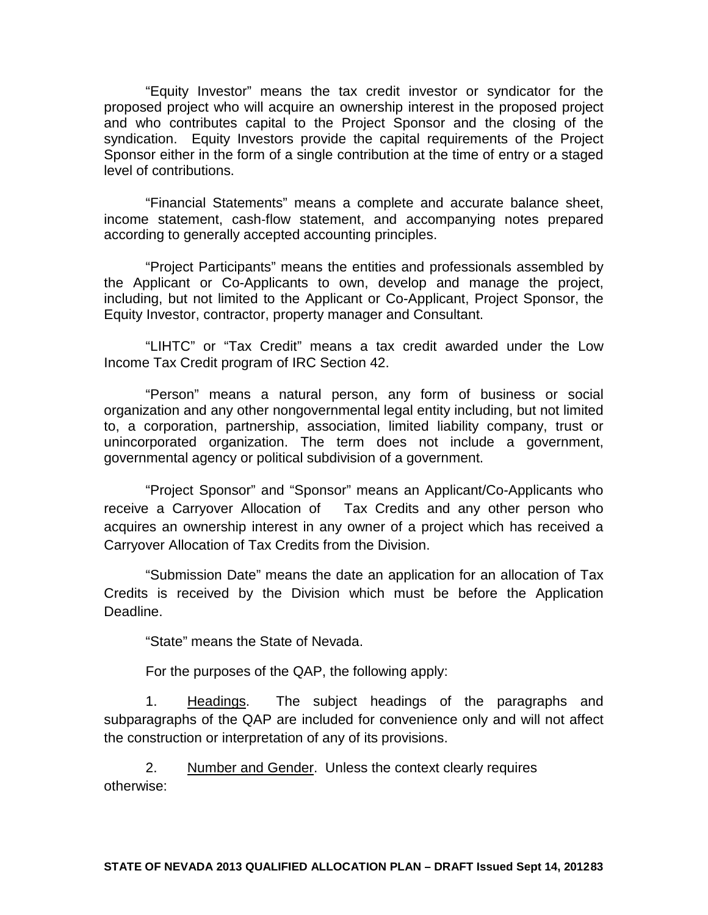"Equity Investor" means the tax credit investor or syndicator for the proposed project who will acquire an ownership interest in the proposed project and who contributes capital to the Project Sponsor and the closing of the syndication. Equity Investors provide the capital requirements of the Project Sponsor either in the form of a single contribution at the time of entry or a staged level of contributions.

"Financial Statements" means a complete and accurate balance sheet, income statement, cash‐flow statement, and accompanying notes prepared according to generally accepted accounting principles.

"Project Participants" means the entities and professionals assembled by the Applicant or Co-Applicants to own, develop and manage the project, including, but not limited to the Applicant or Co-Applicant, Project Sponsor, the Equity Investor, contractor, property manager and Consultant.

"LIHTC" or "Tax Credit" means a tax credit awarded under the Low Income Tax Credit program of IRC Section 42.

"Person" means a natural person, any form of business or social organization and any other nongovernmental legal entity including, but not limited to, a corporation, partnership, association, limited liability company, trust or unincorporated organization. The term does not include a government, governmental agency or political subdivision of a government.

"Project Sponsor" and "Sponsor" means an Applicant/Co-Applicants who receive a Carryover Allocation of Tax Credits and any other person who acquires an ownership interest in any owner of a project which has received a Carryover Allocation of Tax Credits from the Division.

"Submission Date" means the date an application for an allocation of Tax Credits is received by the Division which must be before the Application Deadline.

"State" means the State of Nevada.

For the purposes of the QAP, the following apply:

1. Headings. The subject headings of the paragraphs and subparagraphs of the QAP are included for convenience only and will not affect the construction or interpretation of any of its provisions.

2. Number and Gender. Unless the context clearly requires otherwise: